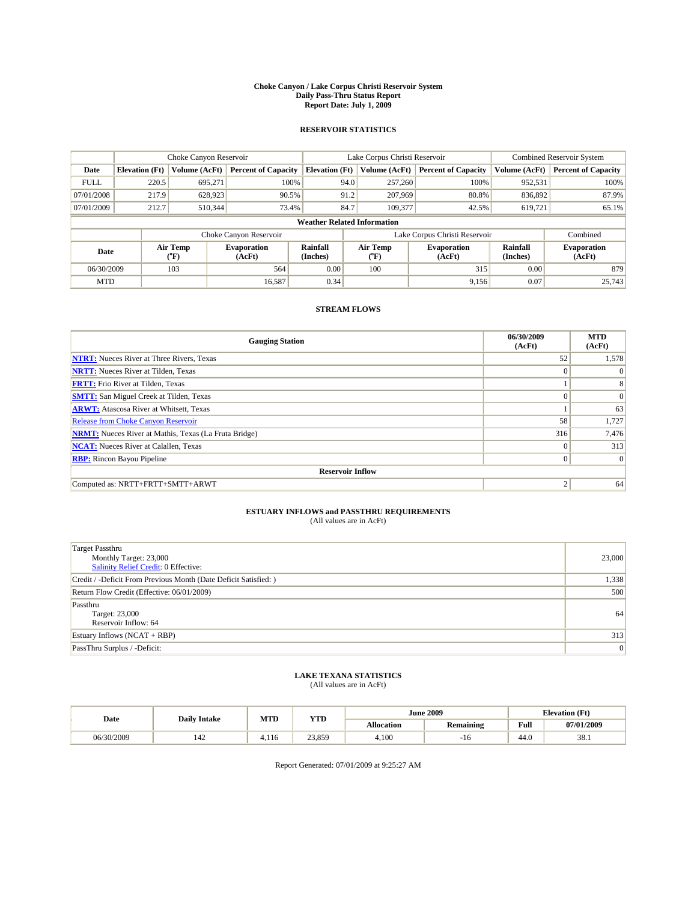#### **Choke Canyon / Lake Corpus Christi Reservoir System Daily Pass-Thru Status Report Report Date: July 1, 2009**

### **RESERVOIR STATISTICS**

|             | Choke Canyon Reservoir             |                                           |                              |                       | Lake Corpus Christi Reservoir | <b>Combined Reservoir System</b> |                             |                              |  |
|-------------|------------------------------------|-------------------------------------------|------------------------------|-----------------------|-------------------------------|----------------------------------|-----------------------------|------------------------------|--|
| Date        | <b>Elevation</b> (Ft)              | <b>Volume (AcFt)</b>                      | <b>Percent of Capacity</b>   | <b>Elevation</b> (Ft) | Volume (AcFt)                 | <b>Percent of Capacity</b>       | Volume (AcFt)               | <b>Percent of Capacity</b>   |  |
| <b>FULL</b> | 220.5                              | 695,271                                   | 100%                         | 94.0                  | 257,260                       | 100%                             | 952,531                     | 100%                         |  |
| 07/01/2008  | 217.9                              | 628,923                                   | 90.5%                        | 91.2                  | 207,969                       | 80.8%                            | 836,892                     | 87.9%                        |  |
| 07/01/2009  | 212.7                              | 510,344                                   | 73.4%                        | 84.7                  | 109,377                       | 42.5%                            | 619,721                     | 65.1%                        |  |
|             | <b>Weather Related Information</b> |                                           |                              |                       |                               |                                  |                             |                              |  |
|             |                                    |                                           | Choke Canyon Reservoir       |                       |                               | Lake Corpus Christi Reservoir    |                             | Combined                     |  |
| Date        |                                    | Air Temp<br>$({}^{\mathrm{o}}\mathrm{F})$ | <b>Evaporation</b><br>(AcFt) | Rainfall<br>(Inches)  | Air Temp<br>("F)              | <b>Evaporation</b><br>(AcFt)     | <b>Rainfall</b><br>(Inches) | <b>Evaporation</b><br>(AcFt) |  |
| 06/30/2009  |                                    | 103                                       | 564                          | 0.00                  | 100                           | 315                              | 0.00                        | 879                          |  |
| <b>MTD</b>  |                                    |                                           | 16,587                       | 0.34                  |                               | 9,156                            | 0.07                        | 25,743                       |  |

## **STREAM FLOWS**

| <b>Gauging Station</b>                                       | 06/30/2009<br>(AcFt) | <b>MTD</b><br>(AcFt) |  |  |  |  |  |
|--------------------------------------------------------------|----------------------|----------------------|--|--|--|--|--|
| <b>NTRT:</b> Nueces River at Three Rivers, Texas             | 52                   | 1,578                |  |  |  |  |  |
| <b>NRTT:</b> Nueces River at Tilden, Texas                   | $\Omega$             | $\Omega$             |  |  |  |  |  |
| <b>FRTT:</b> Frio River at Tilden, Texas                     |                      | 8                    |  |  |  |  |  |
| <b>SMTT:</b> San Miguel Creek at Tilden, Texas               | $\Omega$             | $\Omega$             |  |  |  |  |  |
| <b>ARWT:</b> Atascosa River at Whitsett, Texas               |                      | 63                   |  |  |  |  |  |
| <b>Release from Choke Canyon Reservoir</b>                   | 58                   | 1,727                |  |  |  |  |  |
| <b>NRMT:</b> Nueces River at Mathis, Texas (La Fruta Bridge) | 316                  | 7,476                |  |  |  |  |  |
| <b>NCAT:</b> Nueces River at Calallen, Texas                 | $\Omega$             | 313                  |  |  |  |  |  |
| <b>RBP:</b> Rincon Bayou Pipeline                            | $\overline{0}$       | $\Omega$             |  |  |  |  |  |
| <b>Reservoir Inflow</b>                                      |                      |                      |  |  |  |  |  |
| Computed as: NRTT+FRTT+SMTT+ARWT                             | 2                    | 64                   |  |  |  |  |  |

# **ESTUARY INFLOWS and PASSTHRU REQUIREMENTS**<br>(All values are in AcFt)

| <b>Target Passthru</b><br>Monthly Target: 23,000<br>Salinity Relief Credit: 0 Effective: | 23,000 |
|------------------------------------------------------------------------------------------|--------|
| Credit / -Deficit From Previous Month (Date Deficit Satisfied: )                         | 1,338  |
| Return Flow Credit (Effective: 06/01/2009)                                               | 500    |
| Passthru<br>Target: 23,000<br>Reservoir Inflow: 64                                       | 64     |
| Estuary Inflows $(NCAT + RBP)$                                                           | 313    |
| PassThru Surplus / -Deficit:                                                             | 0      |

## **LAKE TEXANA STATISTICS** (All values are in AcFt)

| Date       | <b>Daily Intake</b> | MTD   | <b>YTD</b> |                   | <b>June 2009</b> | <b>Elevation</b> (Ft) |            |
|------------|---------------------|-------|------------|-------------------|------------------|-----------------------|------------|
|            |                     |       |            | <b>Allocation</b> | <b>Remaining</b> | Full                  | 07/01/2009 |
| 06/30/2009 | 142                 | 4.116 | 23,859     | 4.100             | -16              | 44.0                  | 38.1       |

Report Generated: 07/01/2009 at 9:25:27 AM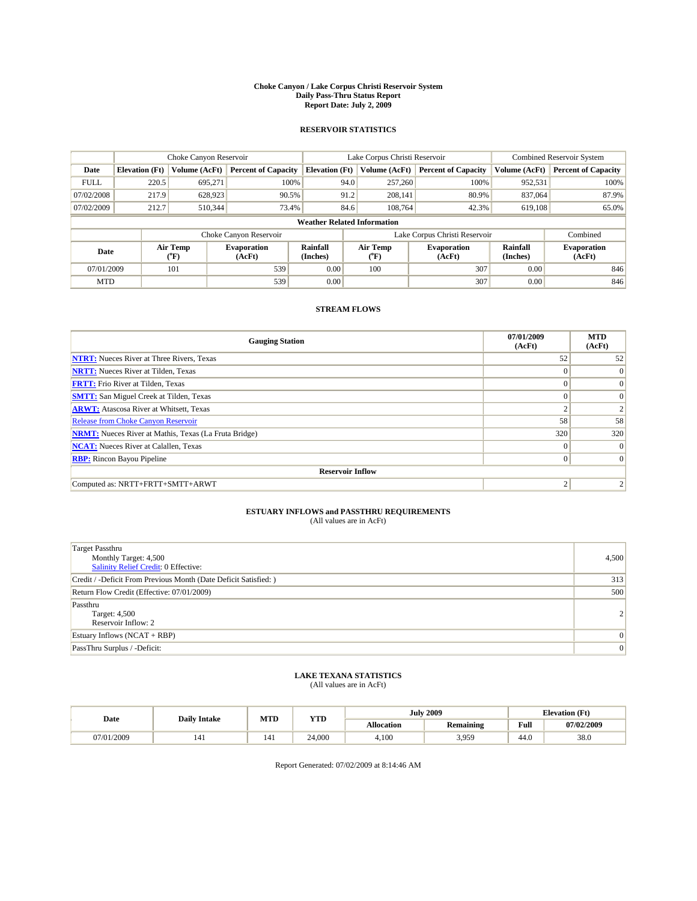#### **Choke Canyon / Lake Corpus Christi Reservoir System Daily Pass-Thru Status Report Report Date: July 2, 2009**

### **RESERVOIR STATISTICS**

|             | Choke Canyon Reservoir             |                      |                              |                       | Lake Corpus Christi Reservoir | <b>Combined Reservoir System</b> |                      |                              |  |
|-------------|------------------------------------|----------------------|------------------------------|-----------------------|-------------------------------|----------------------------------|----------------------|------------------------------|--|
| Date        | <b>Elevation</b> (Ft)              | <b>Volume (AcFt)</b> | <b>Percent of Capacity</b>   | <b>Elevation</b> (Ft) | Volume (AcFt)                 | <b>Percent of Capacity</b>       | Volume (AcFt)        | <b>Percent of Capacity</b>   |  |
| <b>FULL</b> | 220.5                              | 695,271              | 100%                         | 94.0                  | 257,260                       | 100%                             | 952,531              | 100%                         |  |
| 07/02/2008  | 217.9                              | 628,923              | 90.5%                        | 91.2                  | 208,141                       | 80.9%                            | 837,064              | 87.9%                        |  |
| 07/02/2009  | 212.7                              | 510,344              | 73.4%                        | 84.6                  | 108,764                       | 42.3%                            | 619,108              | 65.0%                        |  |
|             | <b>Weather Related Information</b> |                      |                              |                       |                               |                                  |                      |                              |  |
|             |                                    |                      | Choke Canyon Reservoir       |                       |                               | Lake Corpus Christi Reservoir    |                      | Combined                     |  |
| Date        |                                    | Air Temp<br>(°F)     | <b>Evaporation</b><br>(AcFt) | Rainfall<br>(Inches)  | Air Temp<br>(°F)              | <b>Evaporation</b><br>(AcFt)     | Rainfall<br>(Inches) | <b>Evaporation</b><br>(AcFt) |  |
| 07/01/2009  |                                    | 101                  | 539                          | 0.00                  | 100                           | 307                              | 0.00                 | 846                          |  |
| <b>MTD</b>  |                                    |                      | 539                          | 0.00                  |                               | 307                              | 0.00                 | 846                          |  |

## **STREAM FLOWS**

| <b>Gauging Station</b>                                       | 07/01/2009<br>(AcFt) | <b>MTD</b><br>(AcFt) |  |  |  |  |  |
|--------------------------------------------------------------|----------------------|----------------------|--|--|--|--|--|
| <b>NTRT:</b> Nueces River at Three Rivers, Texas             | 52                   | 52                   |  |  |  |  |  |
| <b>NRTT:</b> Nueces River at Tilden, Texas                   | $\Omega$             | $\Omega$             |  |  |  |  |  |
| <b>FRTT:</b> Frio River at Tilden, Texas                     | $\Omega$             | $\Omega$             |  |  |  |  |  |
| <b>SMTT:</b> San Miguel Creek at Tilden, Texas               | $\Omega$             | $\Omega$             |  |  |  |  |  |
| <b>ARWT:</b> Atascosa River at Whitsett, Texas               | $\sim$               |                      |  |  |  |  |  |
| Release from Choke Canyon Reservoir                          | 58                   | 58                   |  |  |  |  |  |
| <b>NRMT:</b> Nueces River at Mathis, Texas (La Fruta Bridge) | 320                  | 320                  |  |  |  |  |  |
| <b>NCAT:</b> Nueces River at Calallen, Texas                 | $\Omega$             | $\Omega$             |  |  |  |  |  |
| <b>RBP:</b> Rincon Bayou Pipeline                            | $\mathbf{0}$         | $\Omega$             |  |  |  |  |  |
| <b>Reservoir Inflow</b>                                      |                      |                      |  |  |  |  |  |
| Computed as: NRTT+FRTT+SMTT+ARWT                             | っ                    |                      |  |  |  |  |  |

# **ESTUARY INFLOWS and PASSTHRU REQUIREMENTS**<br>(All values are in AcFt)

| <b>Target Passthru</b><br>Monthly Target: 4,500<br>Salinity Relief Credit: 0 Effective: | 4,500          |
|-----------------------------------------------------------------------------------------|----------------|
| Credit / -Deficit From Previous Month (Date Deficit Satisfied: )                        | 313            |
| Return Flow Credit (Effective: 07/01/2009)                                              | 500            |
| Passthru<br>Target: 4,500<br>Reservoir Inflow: 2                                        | $\overline{2}$ |
| Estuary Inflows $(NCAT + RBP)$                                                          | $\Omega$       |
| PassThru Surplus / -Deficit:                                                            | $\overline{0}$ |

## **LAKE TEXANA STATISTICS** (All values are in AcFt)

|            | <b>Daily Intake</b> | MTD | <b>YTD</b> |                   | <b>July 2009</b> | <b>Elevation</b> (Ft)                       |            |
|------------|---------------------|-----|------------|-------------------|------------------|---------------------------------------------|------------|
| Date       |                     |     |            | <b>Allocation</b> | <b>Remaining</b> | Full<br>the contract of the contract of the | 07/02/2009 |
| 07/01/2009 | 141                 | 141 | 24,000     | 4.100             | 3,959            | 44.0                                        | 38.0       |

Report Generated: 07/02/2009 at 8:14:46 AM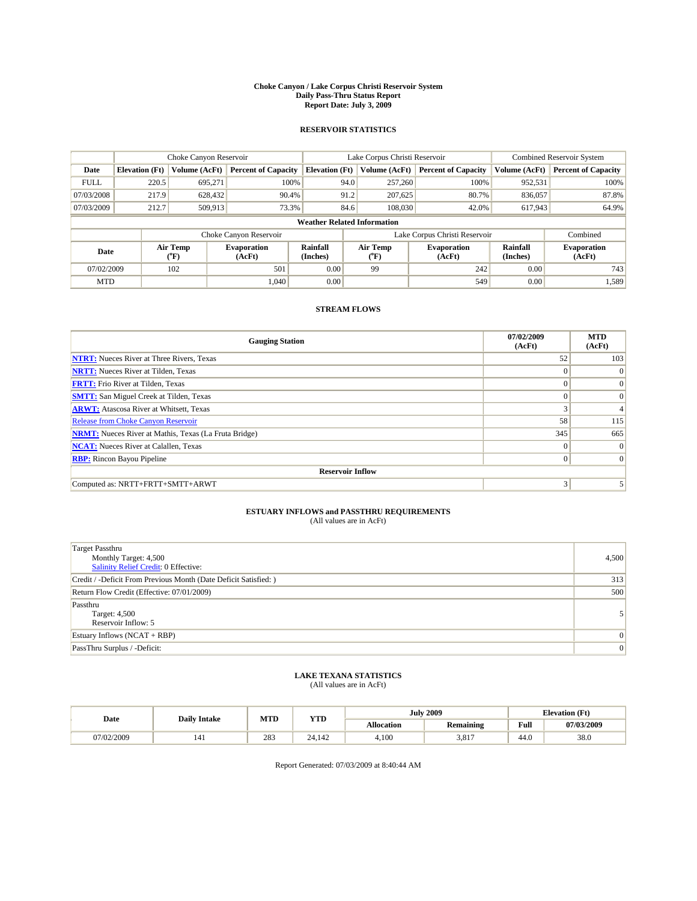#### **Choke Canyon / Lake Corpus Christi Reservoir System Daily Pass-Thru Status Report Report Date: July 3, 2009**

### **RESERVOIR STATISTICS**

|             | Choke Canyon Reservoir             |                                           |                              |                       | Lake Corpus Christi Reservoir | <b>Combined Reservoir System</b> |                      |                              |  |
|-------------|------------------------------------|-------------------------------------------|------------------------------|-----------------------|-------------------------------|----------------------------------|----------------------|------------------------------|--|
| Date        | <b>Elevation</b> (Ft)              | <b>Volume (AcFt)</b>                      | <b>Percent of Capacity</b>   | <b>Elevation</b> (Ft) | Volume (AcFt)                 | <b>Percent of Capacity</b>       | Volume (AcFt)        | <b>Percent of Capacity</b>   |  |
| <b>FULL</b> | 220.5                              | 695,271                                   | 100%                         | 94.0                  | 257,260                       | 100%                             | 952,531              | 100%                         |  |
| 07/03/2008  | 217.9                              | 628,432                                   | 90.4%                        | 91.2                  | 207,625                       | 80.7%                            | 836,057              | 87.8%                        |  |
| 07/03/2009  | 212.7                              | 509,913                                   | 73.3%                        | 84.6                  | 108,030                       | 42.0%                            | 617,943              | 64.9%                        |  |
|             | <b>Weather Related Information</b> |                                           |                              |                       |                               |                                  |                      |                              |  |
|             |                                    |                                           | Choke Canyon Reservoir       |                       |                               | Lake Corpus Christi Reservoir    |                      | Combined                     |  |
| Date        |                                    | Air Temp<br>$({}^{\mathrm{o}}\mathrm{F})$ | <b>Evaporation</b><br>(AcFt) | Rainfall<br>(Inches)  | Air Temp<br>(°F)              | <b>Evaporation</b><br>(AcFt)     | Rainfall<br>(Inches) | <b>Evaporation</b><br>(AcFt) |  |
| 07/02/2009  |                                    | 102                                       | 501                          | 0.00                  | 99                            | 242                              | 0.00                 | 743                          |  |
| <b>MTD</b>  |                                    |                                           | 1.040                        | 0.00                  |                               | 549                              | 0.00                 | 1,589                        |  |

### **STREAM FLOWS**

| <b>Gauging Station</b>                                       | 07/02/2009<br>(AcFt) | <b>MTD</b><br>(AcFt) |  |  |  |  |  |
|--------------------------------------------------------------|----------------------|----------------------|--|--|--|--|--|
| <b>NTRT:</b> Nueces River at Three Rivers, Texas             | 52                   | 103                  |  |  |  |  |  |
| <b>NRTT:</b> Nueces River at Tilden, Texas                   | $\Omega$             | $\Omega$             |  |  |  |  |  |
| <b>FRTT:</b> Frio River at Tilden, Texas                     | $\Omega$             | $\Omega$             |  |  |  |  |  |
| <b>SMTT:</b> San Miguel Creek at Tilden, Texas               | $\Omega$             | $\Omega$             |  |  |  |  |  |
| <b>ARWT:</b> Atascosa River at Whitsett, Texas               | 3                    | 4                    |  |  |  |  |  |
| <b>Release from Choke Canyon Reservoir</b>                   | 58                   | 115                  |  |  |  |  |  |
| <b>NRMT:</b> Nueces River at Mathis, Texas (La Fruta Bridge) | 345                  | 665                  |  |  |  |  |  |
| <b>NCAT:</b> Nueces River at Calallen, Texas                 | $\Omega$             | $\Omega$             |  |  |  |  |  |
| <b>RBP:</b> Rincon Bayou Pipeline                            | $\overline{0}$       | $\Omega$             |  |  |  |  |  |
| <b>Reservoir Inflow</b>                                      |                      |                      |  |  |  |  |  |
| Computed as: NRTT+FRTT+SMTT+ARWT                             | 3                    |                      |  |  |  |  |  |

# **ESTUARY INFLOWS and PASSTHRU REQUIREMENTS**<br>(All values are in AcFt)

| <b>Target Passthru</b><br>Monthly Target: 4,500<br>Salinity Relief Credit: 0 Effective: | 4,500          |
|-----------------------------------------------------------------------------------------|----------------|
| Credit / -Deficit From Previous Month (Date Deficit Satisfied: )                        | 313            |
| Return Flow Credit (Effective: 07/01/2009)                                              | 500            |
| Passthru<br>Target: 4,500<br>Reservoir Inflow: 5                                        |                |
| Estuary Inflows $(NCAT + RBP)$                                                          | $\Omega$       |
| PassThru Surplus / -Deficit:                                                            | $\overline{0}$ |

## **LAKE TEXANA STATISTICS** (All values are in AcFt)

|            | <b>Daily Intake</b> | MTD | <b>YTD</b> |                   | <b>July 2009</b> | <b>Elevation</b> (Ft)                       |            |
|------------|---------------------|-----|------------|-------------------|------------------|---------------------------------------------|------------|
| Date       |                     |     |            | <b>Allocation</b> | <b>Remaining</b> | Full<br>the contract of the contract of the | 07/03/2009 |
| ,7/02/2009 | 141                 | 283 | 24.142     | 4,100             | 3.817            | 44.0                                        | 38.0       |

Report Generated: 07/03/2009 at 8:40:44 AM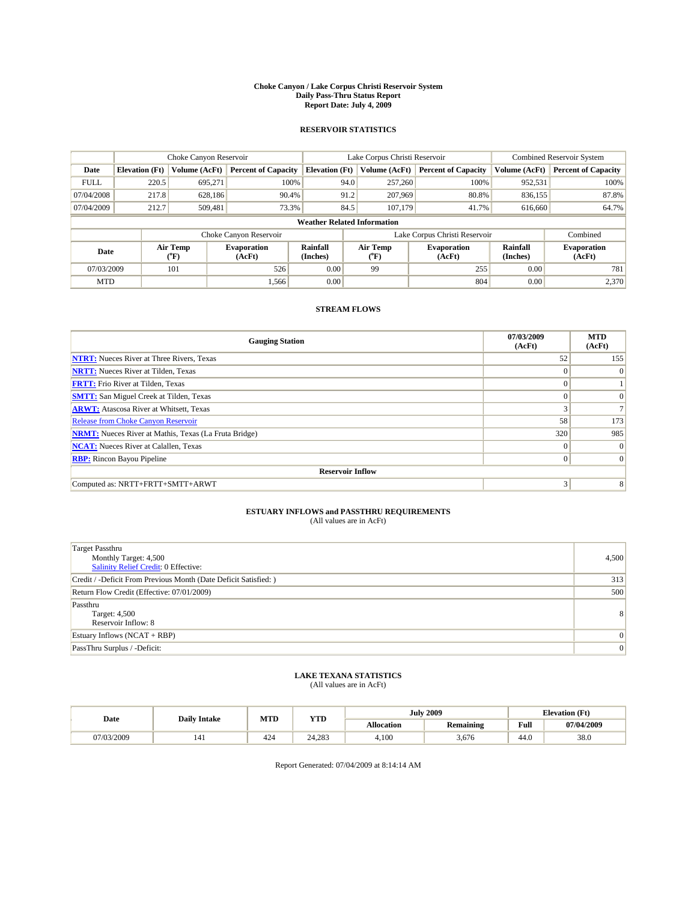#### **Choke Canyon / Lake Corpus Christi Reservoir System Daily Pass-Thru Status Report Report Date: July 4, 2009**

### **RESERVOIR STATISTICS**

|             | Choke Canyon Reservoir             |                                           |                              |                       | Lake Corpus Christi Reservoir | <b>Combined Reservoir System</b> |                      |                              |  |
|-------------|------------------------------------|-------------------------------------------|------------------------------|-----------------------|-------------------------------|----------------------------------|----------------------|------------------------------|--|
| Date        | <b>Elevation</b> (Ft)              | <b>Volume (AcFt)</b>                      | <b>Percent of Capacity</b>   | <b>Elevation</b> (Ft) | Volume (AcFt)                 | <b>Percent of Capacity</b>       | Volume (AcFt)        | <b>Percent of Capacity</b>   |  |
| <b>FULL</b> | 220.5                              | 695,271                                   | 100%                         | 94.0                  | 257,260                       | 100%                             | 952,531              | 100%                         |  |
| 07/04/2008  | 217.8                              | 628,186                                   | 90.4%                        | 91.2                  | 207,969                       | 80.8%                            | 836,155              | 87.8%                        |  |
| 07/04/2009  | 212.7                              | 509.481                                   | 73.3%                        | 84.5                  | 107,179                       | 41.7%                            | 616,660              | 64.7%                        |  |
|             | <b>Weather Related Information</b> |                                           |                              |                       |                               |                                  |                      |                              |  |
|             |                                    |                                           | Choke Canyon Reservoir       |                       |                               | Lake Corpus Christi Reservoir    |                      | Combined                     |  |
| Date        |                                    | Air Temp<br>$({}^{\mathrm{o}}\mathrm{F})$ | <b>Evaporation</b><br>(AcFt) | Rainfall<br>(Inches)  | Air Temp<br>(°F)              | <b>Evaporation</b><br>(AcFt)     | Rainfall<br>(Inches) | <b>Evaporation</b><br>(AcFt) |  |
| 07/03/2009  |                                    | 101                                       | 526                          | 0.00                  | 99                            | 255                              | 0.00                 | 781                          |  |
| <b>MTD</b>  |                                    |                                           | 1,566                        | 0.00                  |                               | 804                              | 0.00                 | 2.370                        |  |

## **STREAM FLOWS**

| <b>Gauging Station</b>                                       | 07/03/2009<br>(AcFt) | <b>MTD</b><br>(AcFt) |  |  |  |  |  |
|--------------------------------------------------------------|----------------------|----------------------|--|--|--|--|--|
| <b>NTRT:</b> Nueces River at Three Rivers, Texas             | 52                   | 155                  |  |  |  |  |  |
| <b>NRTT:</b> Nueces River at Tilden, Texas                   | $\Omega$             |                      |  |  |  |  |  |
| <b>FRTT:</b> Frio River at Tilden, Texas                     | $\Omega$             |                      |  |  |  |  |  |
| <b>SMTT:</b> San Miguel Creek at Tilden, Texas               | $\Omega$             | $\Omega$             |  |  |  |  |  |
| <b>ARWT:</b> Atascosa River at Whitsett, Texas               | $\sim$               |                      |  |  |  |  |  |
| Release from Choke Canyon Reservoir                          | 58                   | 173                  |  |  |  |  |  |
| <b>NRMT:</b> Nueces River at Mathis, Texas (La Fruta Bridge) | 320                  | 985                  |  |  |  |  |  |
| <b>NCAT:</b> Nueces River at Calallen, Texas                 | $\Omega$             | $\Omega$             |  |  |  |  |  |
| <b>RBP:</b> Rincon Bayou Pipeline                            | $\overline{0}$       | $\Omega$             |  |  |  |  |  |
| <b>Reservoir Inflow</b>                                      |                      |                      |  |  |  |  |  |
| Computed as: NRTT+FRTT+SMTT+ARWT                             | 3                    | 8                    |  |  |  |  |  |

# **ESTUARY INFLOWS and PASSTHRU REQUIREMENTS**<br>(All values are in AcFt)

| <b>Target Passthru</b><br>Monthly Target: 4,500<br>Salinity Relief Credit: 0 Effective: | 4,500           |
|-----------------------------------------------------------------------------------------|-----------------|
| Credit / -Deficit From Previous Month (Date Deficit Satisfied: )                        | 313             |
| Return Flow Credit (Effective: 07/01/2009)                                              | 500             |
| Passthru<br>Target: 4,500<br>Reservoir Inflow: 8                                        | 8 <sup>1</sup>  |
| Estuary Inflows $(NCAT + RBP)$                                                          | $\vert 0 \vert$ |
| PassThru Surplus / -Deficit:                                                            | $\vert 0 \vert$ |

## **LAKE TEXANA STATISTICS** (All values are in AcFt)

| Date       | <b>Daily Intake</b> | MTD | <b>YTD</b> |                   | <b>July 2009</b> | <b>Elevation</b> (Ft) |            |
|------------|---------------------|-----|------------|-------------------|------------------|-----------------------|------------|
|            |                     |     |            | <b>Allocation</b> | <b>Remaining</b> | Full                  | 07/04/2009 |
| 07/03/2009 | 141                 | 424 | 24.283     | 4.100             | 3,676            | 44.0                  | 38.0       |

Report Generated: 07/04/2009 at 8:14:14 AM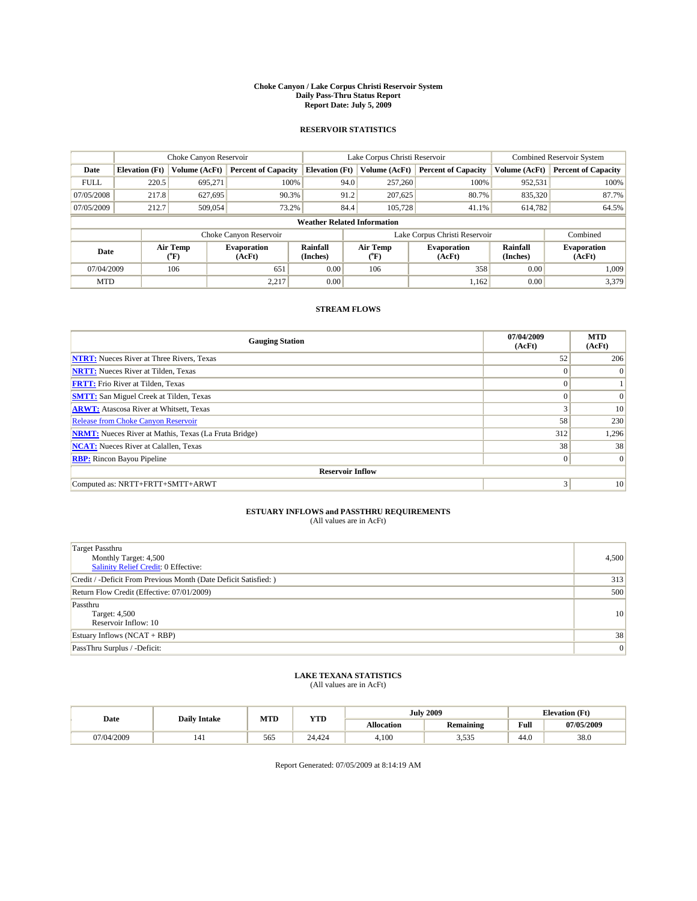#### **Choke Canyon / Lake Corpus Christi Reservoir System Daily Pass-Thru Status Report Report Date: July 5, 2009**

### **RESERVOIR STATISTICS**

|             | Choke Canyon Reservoir             |                      |                              |                       | Lake Corpus Christi Reservoir | <b>Combined Reservoir System</b> |                             |                              |  |
|-------------|------------------------------------|----------------------|------------------------------|-----------------------|-------------------------------|----------------------------------|-----------------------------|------------------------------|--|
| Date        | <b>Elevation</b> (Ft)              | <b>Volume (AcFt)</b> | <b>Percent of Capacity</b>   | <b>Elevation</b> (Ft) | Volume (AcFt)                 | <b>Percent of Capacity</b>       | Volume (AcFt)               | <b>Percent of Capacity</b>   |  |
| <b>FULL</b> | 220.5                              | 695,271              | 100%                         | 94.0                  | 257,260                       | 100%                             | 952,531                     | 100%                         |  |
| 07/05/2008  | 217.8                              | 627,695              | 90.3%                        | 91.2                  | 207,625                       | 80.7%                            | 835,320                     | 87.7%                        |  |
| 07/05/2009  | 212.7                              | 509,054              | 73.2%                        | 84.4                  | 105,728                       | 41.1%                            | 614,782                     | 64.5%                        |  |
|             | <b>Weather Related Information</b> |                      |                              |                       |                               |                                  |                             |                              |  |
|             |                                    |                      | Choke Canyon Reservoir       |                       |                               | Lake Corpus Christi Reservoir    |                             | Combined                     |  |
| Date        |                                    | Air Temp<br>(°F)     | <b>Evaporation</b><br>(AcFt) | Rainfall<br>(Inches)  | Air Temp<br>("F)              | <b>Evaporation</b><br>(AcFt)     | <b>Rainfall</b><br>(Inches) | <b>Evaporation</b><br>(AcFt) |  |
| 07/04/2009  |                                    | 106                  | 651                          | 0.00                  | 106                           | 358                              | 0.00                        | 1.009                        |  |
| <b>MTD</b>  |                                    |                      | 2,217                        | 0.00                  |                               | 1,162                            | 0.00                        | 3,379                        |  |

## **STREAM FLOWS**

| <b>Gauging Station</b>                                       | 07/04/2009<br>(AcFt) | <b>MTD</b><br>(AcFt) |  |  |  |  |  |
|--------------------------------------------------------------|----------------------|----------------------|--|--|--|--|--|
| <b>NTRT:</b> Nueces River at Three Rivers, Texas             | 52                   | 206                  |  |  |  |  |  |
| <b>NRTT:</b> Nueces River at Tilden, Texas                   | $\Omega$             | $\Omega$             |  |  |  |  |  |
| <b>FRTT:</b> Frio River at Tilden, Texas                     | $\Omega$             |                      |  |  |  |  |  |
| <b>SMTT:</b> San Miguel Creek at Tilden, Texas               | $\Omega$             | $\Omega$             |  |  |  |  |  |
| <b>ARWT:</b> Atascosa River at Whitsett, Texas               | 3                    | 10                   |  |  |  |  |  |
| Release from Choke Canyon Reservoir                          | 58                   | 230                  |  |  |  |  |  |
| <b>NRMT:</b> Nueces River at Mathis, Texas (La Fruta Bridge) | 312                  | 1,296                |  |  |  |  |  |
| <b>NCAT:</b> Nueces River at Calallen, Texas                 | 38                   | 38                   |  |  |  |  |  |
| <b>RBP:</b> Rincon Bayou Pipeline                            | $\overline{0}$       | $\Omega$             |  |  |  |  |  |
| <b>Reservoir Inflow</b>                                      |                      |                      |  |  |  |  |  |
| Computed as: NRTT+FRTT+SMTT+ARWT                             | 3                    | 10                   |  |  |  |  |  |

# **ESTUARY INFLOWS and PASSTHRU REQUIREMENTS**<br>(All values are in AcFt)

| <b>Target Passthru</b><br>Monthly Target: 4,500<br>Salinity Relief Credit: 0 Effective: | 4,500           |
|-----------------------------------------------------------------------------------------|-----------------|
| Credit / -Deficit From Previous Month (Date Deficit Satisfied: )                        | 313             |
| Return Flow Credit (Effective: 07/01/2009)                                              | 500             |
| Passthru<br>Target: 4,500<br>Reservoir Inflow: 10                                       | 10 <sup>1</sup> |
| Estuary Inflows $(NCAT + RBP)$                                                          | 38              |
| PassThru Surplus / -Deficit:                                                            | 0               |

## **LAKE TEXANA STATISTICS** (All values are in AcFt)

| Date       | <b>Daily Intake</b> | MTD | <b>YTD</b> |                   | <b>July 2009</b>       | <b>Elevation</b> (Ft) |            |
|------------|---------------------|-----|------------|-------------------|------------------------|-----------------------|------------|
|            |                     |     |            | <b>Allocation</b> | <b>Remaining</b>       | Full                  | 07/05/2009 |
| 07/04/2009 | 141                 | 565 | 24,424     | 4.100             | $\sim$ $\sim$<br>J.JJJ | 44.0                  | 38.0       |

Report Generated: 07/05/2009 at 8:14:19 AM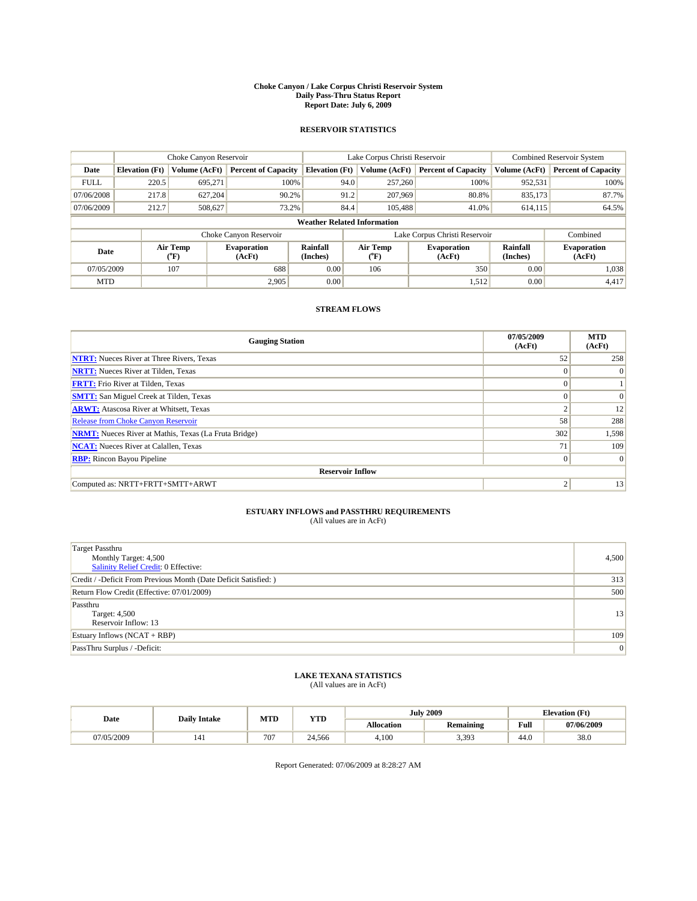#### **Choke Canyon / Lake Corpus Christi Reservoir System Daily Pass-Thru Status Report Report Date: July 6, 2009**

### **RESERVOIR STATISTICS**

|                                    | Choke Canyon Reservoir |                                           |                              |                       | Lake Corpus Christi Reservoir | <b>Combined Reservoir System</b> |                             |                              |
|------------------------------------|------------------------|-------------------------------------------|------------------------------|-----------------------|-------------------------------|----------------------------------|-----------------------------|------------------------------|
| Date                               | <b>Elevation</b> (Ft)  | <b>Volume (AcFt)</b>                      | <b>Percent of Capacity</b>   | <b>Elevation</b> (Ft) | Volume (AcFt)                 | <b>Percent of Capacity</b>       | Volume (AcFt)               | <b>Percent of Capacity</b>   |
| <b>FULL</b>                        | 220.5                  | 695,271                                   | 100%                         | 94.0                  | 257,260                       | 100%                             | 952,531                     | 100%                         |
| 07/06/2008                         | 217.8                  | 627,204                                   | 90.2%                        | 91.2                  | 207,969                       | 80.8%                            | 835,173                     | 87.7%                        |
| 07/06/2009                         | 212.7                  | 508,627                                   | 73.2%                        | 84.4                  | 105,488                       | 41.0%                            | 614,115                     | 64.5%                        |
| <b>Weather Related Information</b> |                        |                                           |                              |                       |                               |                                  |                             |                              |
|                                    |                        |                                           | Choke Canyon Reservoir       |                       |                               | Lake Corpus Christi Reservoir    |                             | Combined                     |
| Date                               |                        | Air Temp<br>$({}^{\mathrm{o}}\mathrm{F})$ | <b>Evaporation</b><br>(AcFt) | Rainfall<br>(Inches)  | Air Temp<br>("F)              | <b>Evaporation</b><br>(AcFt)     | <b>Rainfall</b><br>(Inches) | <b>Evaporation</b><br>(AcFt) |
| 07/05/2009                         |                        | 107                                       | 688                          | 0.00                  | 106                           | 350                              | 0.00                        | 1,038                        |
| <b>MTD</b>                         |                        |                                           | 2.905                        | 0.00                  |                               | 1,512                            | 0.00                        | 4,417                        |

## **STREAM FLOWS**

| <b>Gauging Station</b>                                       | 07/05/2009<br>(AcFt) | <b>MTD</b><br>(AcFt) |  |  |  |  |  |
|--------------------------------------------------------------|----------------------|----------------------|--|--|--|--|--|
| <b>NTRT:</b> Nueces River at Three Rivers, Texas             | 52                   | 258                  |  |  |  |  |  |
| <b>NRTT:</b> Nueces River at Tilden, Texas                   | $\Omega$             | $\Omega$             |  |  |  |  |  |
| <b>FRTT:</b> Frio River at Tilden, Texas                     | $\Omega$             |                      |  |  |  |  |  |
| <b>SMTT:</b> San Miguel Creek at Tilden, Texas               | $\Omega$             | $\Omega$             |  |  |  |  |  |
| <b>ARWT:</b> Atascosa River at Whitsett, Texas               | $\Delta$             | 12                   |  |  |  |  |  |
| Release from Choke Canyon Reservoir                          | 58                   | 288                  |  |  |  |  |  |
| <b>NRMT:</b> Nueces River at Mathis, Texas (La Fruta Bridge) | 302                  | 1,598                |  |  |  |  |  |
| <b>NCAT:</b> Nueces River at Calallen, Texas                 | 71                   | 109                  |  |  |  |  |  |
| <b>RBP:</b> Rincon Bayou Pipeline                            | $\vert 0 \vert$      | $\Omega$             |  |  |  |  |  |
| <b>Reservoir Inflow</b>                                      |                      |                      |  |  |  |  |  |
| Computed as: NRTT+FRTT+SMTT+ARWT                             | 2                    | 13                   |  |  |  |  |  |

# **ESTUARY INFLOWS and PASSTHRU REQUIREMENTS**<br>(All values are in AcFt)

| <b>Target Passthru</b><br>Monthly Target: 4,500<br>Salinity Relief Credit: 0 Effective: | 4,500          |
|-----------------------------------------------------------------------------------------|----------------|
| Credit / -Deficit From Previous Month (Date Deficit Satisfied: )                        | 313            |
| Return Flow Credit (Effective: 07/01/2009)                                              | 500            |
| Passthru<br>Target: 4,500<br>Reservoir Inflow: 13                                       | 13             |
| Estuary Inflows $(NCAT + RBP)$                                                          | 109            |
| PassThru Surplus / -Deficit:                                                            | $\overline{0}$ |

## **LAKE TEXANA STATISTICS** (All values are in AcFt)

| Date       | <b>Daily Intake</b> | MTD | <b>YTD</b> |                   | <b>July 2009</b> | <b>Elevation</b> (Ft) |            |
|------------|---------------------|-----|------------|-------------------|------------------|-----------------------|------------|
|            |                     |     |            | <b>Allocation</b> | <b>Remaining</b> | Full                  | 07/06/2009 |
| 07/05/2009 | 141                 | 707 | 24.566     | 4.100             | 3,393            | 44.0                  | 38.0       |

Report Generated: 07/06/2009 at 8:28:27 AM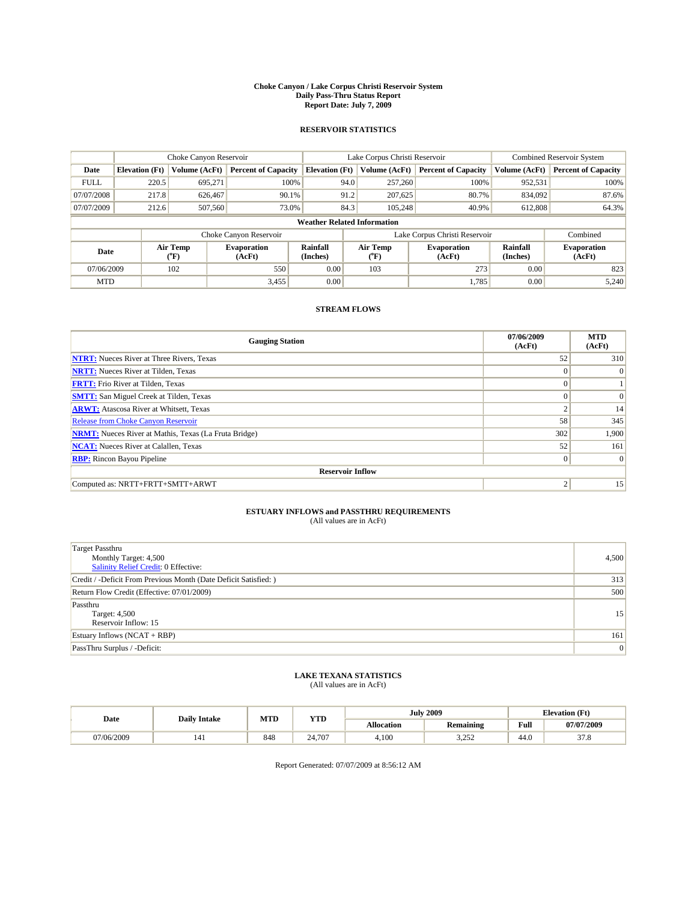#### **Choke Canyon / Lake Corpus Christi Reservoir System Daily Pass-Thru Status Report Report Date: July 7, 2009**

### **RESERVOIR STATISTICS**

|             | Choke Canyon Reservoir             |                                           |                              |                       | Lake Corpus Christi Reservoir | <b>Combined Reservoir System</b> |                             |                              |  |  |
|-------------|------------------------------------|-------------------------------------------|------------------------------|-----------------------|-------------------------------|----------------------------------|-----------------------------|------------------------------|--|--|
| Date        | <b>Elevation</b> (Ft)              | <b>Volume (AcFt)</b>                      | <b>Percent of Capacity</b>   | <b>Elevation</b> (Ft) | Volume (AcFt)                 | <b>Percent of Capacity</b>       | Volume (AcFt)               | <b>Percent of Capacity</b>   |  |  |
| <b>FULL</b> | 220.5                              | 695,271                                   | 100%                         | 94.0                  | 257,260                       | 100%                             | 952,531                     | 100%                         |  |  |
| 07/07/2008  | 217.8                              | 626,467                                   | 90.1%                        | 91.2                  | 207,625                       | 80.7%                            | 834,092                     | 87.6%                        |  |  |
| 07/07/2009  | 212.6                              | 507,560                                   | 73.0%                        | 84.3                  | 105,248                       | 40.9%                            | 612,808                     | 64.3%                        |  |  |
|             | <b>Weather Related Information</b> |                                           |                              |                       |                               |                                  |                             |                              |  |  |
|             |                                    |                                           | Choke Canyon Reservoir       |                       |                               | Lake Corpus Christi Reservoir    |                             | Combined                     |  |  |
| Date        |                                    | Air Temp<br>$({}^{\mathrm{o}}\mathrm{F})$ | <b>Evaporation</b><br>(AcFt) | Rainfall<br>(Inches)  | Air Temp<br>(°F)              | <b>Evaporation</b><br>(AcFt)     | <b>Rainfall</b><br>(Inches) | <b>Evaporation</b><br>(AcFt) |  |  |
| 07/06/2009  |                                    | 102                                       | 550                          | 0.00                  | 103                           | 273                              | 0.00                        | 823                          |  |  |
| <b>MTD</b>  |                                    |                                           | 3,455                        | 0.00                  |                               | 1.785                            | 0.00                        | 5,240                        |  |  |

## **STREAM FLOWS**

| <b>Gauging Station</b>                                       | 07/06/2009<br>(AcFt) | <b>MTD</b><br>(AcFt) |  |  |  |  |  |
|--------------------------------------------------------------|----------------------|----------------------|--|--|--|--|--|
| <b>NTRT:</b> Nueces River at Three Rivers, Texas             | 52                   | 310                  |  |  |  |  |  |
| <b>NRTT:</b> Nueces River at Tilden, Texas                   | $\Omega$             | $\Omega$             |  |  |  |  |  |
| <b>FRTT:</b> Frio River at Tilden, Texas                     | $\Omega$             |                      |  |  |  |  |  |
| <b>SMTT:</b> San Miguel Creek at Tilden, Texas               | $\Omega$             | $\Omega$             |  |  |  |  |  |
| <b>ARWT:</b> Atascosa River at Whitsett, Texas               | $\sim$               | 14                   |  |  |  |  |  |
| <b>Release from Choke Canyon Reservoir</b>                   | 58                   | 345                  |  |  |  |  |  |
| <b>NRMT:</b> Nueces River at Mathis, Texas (La Fruta Bridge) | 302                  | 1,900                |  |  |  |  |  |
| <b>NCAT:</b> Nueces River at Calallen, Texas                 | 52                   | 161                  |  |  |  |  |  |
| <b>RBP:</b> Rincon Bayou Pipeline                            | $\mathbf{0}$         | $\Omega$             |  |  |  |  |  |
| <b>Reservoir Inflow</b>                                      |                      |                      |  |  |  |  |  |
| Computed as: NRTT+FRTT+SMTT+ARWT                             | $\mathcal{L}$        | 15                   |  |  |  |  |  |

# **ESTUARY INFLOWS and PASSTHRU REQUIREMENTS**<br>(All values are in AcFt)

| <b>Target Passthru</b><br>Monthly Target: 4,500<br>Salinity Relief Credit: 0 Effective: | 4,500 |
|-----------------------------------------------------------------------------------------|-------|
| Credit / -Deficit From Previous Month (Date Deficit Satisfied: )                        | 313   |
| Return Flow Credit (Effective: 07/01/2009)                                              | 500   |
| Passthru<br>Target: 4,500<br>Reservoir Inflow: 15                                       | 15    |
| Estuary Inflows $(NCAT + RBP)$                                                          | 161   |
| PassThru Surplus / -Deficit:                                                            | 0     |

## **LAKE TEXANA STATISTICS** (All values are in AcFt)

|            | <b>Daily Intake</b> | MTD | <b>YTD</b> |                   | <b>July 2009</b> | <b>Elevation</b> (Ft)                       |                         |
|------------|---------------------|-----|------------|-------------------|------------------|---------------------------------------------|-------------------------|
| Date       |                     |     |            | <b>Allocation</b> | <b>Remaining</b> | Full<br>the contract of the contract of the | 07/07/2009              |
| 07/06/2009 | 141                 | 848 | 24.707     | 4.100             | 2.252<br>ے بے د  | 44.0                                        | $\sim$ $\sim$<br>J I .O |

Report Generated: 07/07/2009 at 8:56:12 AM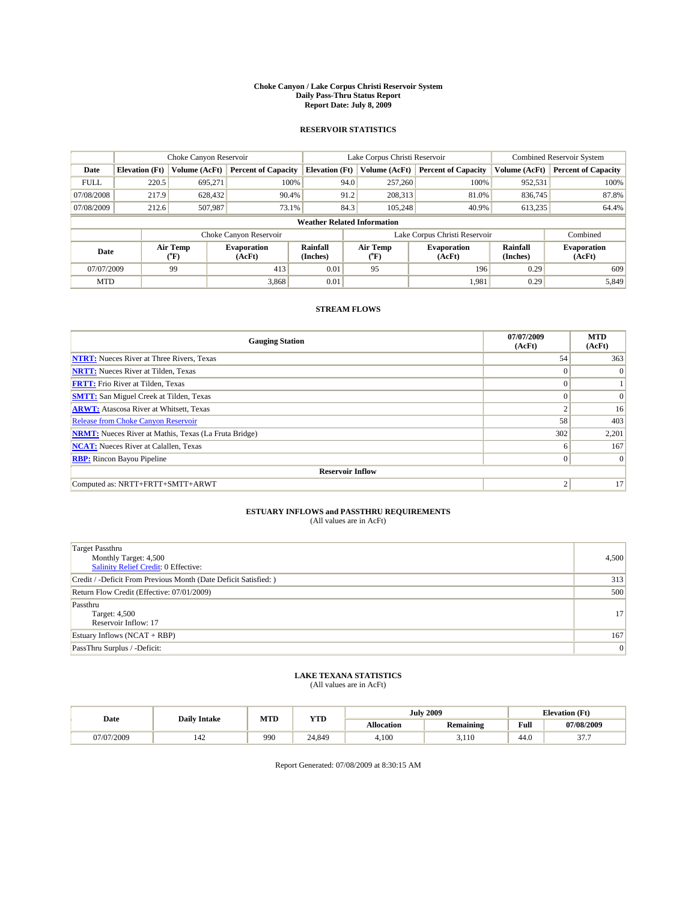#### **Choke Canyon / Lake Corpus Christi Reservoir System Daily Pass-Thru Status Report Report Date: July 8, 2009**

### **RESERVOIR STATISTICS**

|             | Choke Canyon Reservoir             |                                           |                              |                       | Lake Corpus Christi Reservoir | <b>Combined Reservoir System</b> |                      |                              |  |  |
|-------------|------------------------------------|-------------------------------------------|------------------------------|-----------------------|-------------------------------|----------------------------------|----------------------|------------------------------|--|--|
| Date        | <b>Elevation</b> (Ft)              | <b>Volume (AcFt)</b>                      | <b>Percent of Capacity</b>   | <b>Elevation</b> (Ft) | Volume (AcFt)                 | <b>Percent of Capacity</b>       | Volume (AcFt)        | <b>Percent of Capacity</b>   |  |  |
| <b>FULL</b> | 220.5                              | 695,271                                   | 100%                         | 94.0                  | 257,260                       | 100%                             | 952,531              | 100%                         |  |  |
| 07/08/2008  | 217.9                              | 628,432                                   | 90.4%                        | 91.2                  | 208,313                       | 81.0%                            | 836,745              | 87.8%                        |  |  |
| 07/08/2009  | 212.6                              | 507,987                                   | 73.1%                        | 84.3                  | 105,248                       | 40.9%                            | 613,235              | 64.4%                        |  |  |
|             | <b>Weather Related Information</b> |                                           |                              |                       |                               |                                  |                      |                              |  |  |
|             |                                    |                                           | Choke Canyon Reservoir       |                       |                               | Lake Corpus Christi Reservoir    |                      | Combined                     |  |  |
| Date        |                                    | Air Temp<br>$({}^{\mathrm{o}}\mathrm{F})$ | <b>Evaporation</b><br>(AcFt) | Rainfall<br>(Inches)  | Air Temp<br>(°F)              | <b>Evaporation</b><br>(AcFt)     | Rainfall<br>(Inches) | <b>Evaporation</b><br>(AcFt) |  |  |
| 07/07/2009  |                                    | 99                                        | 413                          | 0.01                  | 95                            | 196                              | 0.29                 | 609                          |  |  |
| <b>MTD</b>  |                                    |                                           | 3,868                        | 0.01                  |                               | 1,981                            | 0.29                 | 5,849                        |  |  |

## **STREAM FLOWS**

| <b>Gauging Station</b>                                       | 07/07/2009<br>(AcFt) | <b>MTD</b><br>(AcFt) |  |  |  |  |
|--------------------------------------------------------------|----------------------|----------------------|--|--|--|--|
| <b>NTRT:</b> Nueces River at Three Rivers, Texas             | 54                   | 363                  |  |  |  |  |
| <b>NRTT:</b> Nueces River at Tilden, Texas                   | $\Omega$             | $\Omega$             |  |  |  |  |
| <b>FRTT:</b> Frio River at Tilden, Texas                     | $\Omega$             |                      |  |  |  |  |
| <b>SMTT:</b> San Miguel Creek at Tilden, Texas               | $\Omega$             | $\Omega$             |  |  |  |  |
| <b>ARWT:</b> Atascosa River at Whitsett, Texas               | $\sim$               | 16                   |  |  |  |  |
| Release from Choke Canyon Reservoir                          | 58                   | 403                  |  |  |  |  |
| <b>NRMT:</b> Nueces River at Mathis, Texas (La Fruta Bridge) | 302                  | 2,201                |  |  |  |  |
| <b>NCAT:</b> Nueces River at Calallen, Texas                 | 6                    | 167                  |  |  |  |  |
| <b>RBP:</b> Rincon Bayou Pipeline                            | $\overline{0}$       | $\Omega$             |  |  |  |  |
| <b>Reservoir Inflow</b>                                      |                      |                      |  |  |  |  |
| Computed as: NRTT+FRTT+SMTT+ARWT                             | 2                    | 17                   |  |  |  |  |

# **ESTUARY INFLOWS and PASSTHRU REQUIREMENTS**<br>(All values are in AcFt)

| <b>Target Passthru</b><br>Monthly Target: 4,500<br>Salinity Relief Credit: 0 Effective: | 4,500           |
|-----------------------------------------------------------------------------------------|-----------------|
| Credit / -Deficit From Previous Month (Date Deficit Satisfied: )                        | 313             |
| Return Flow Credit (Effective: 07/01/2009)                                              | 500             |
| Passthru<br>Target: 4,500<br>Reservoir Inflow: 17                                       | 17 <sup>1</sup> |
| Estuary Inflows $(NCAT + RBP)$                                                          | 167             |
| PassThru Surplus / -Deficit:                                                            | 0               |

## **LAKE TEXANA STATISTICS** (All values are in AcFt)

| Date       | <b>Daily Intake</b> | MTD | <b>YTD</b> |                   | <b>July 2009</b> | <b>Elevation</b> (Ft) |                           |
|------------|---------------------|-----|------------|-------------------|------------------|-----------------------|---------------------------|
|            |                     |     |            | <b>Allocation</b> | <b>Remaining</b> | Full                  | 07/08/2009                |
| 07/07/2009 | 142                 | 990 | 24.849     | 4.100             | 3,110            | 44.0                  | $\sim$ $\sim$ $\sim$<br>. |

Report Generated: 07/08/2009 at 8:30:15 AM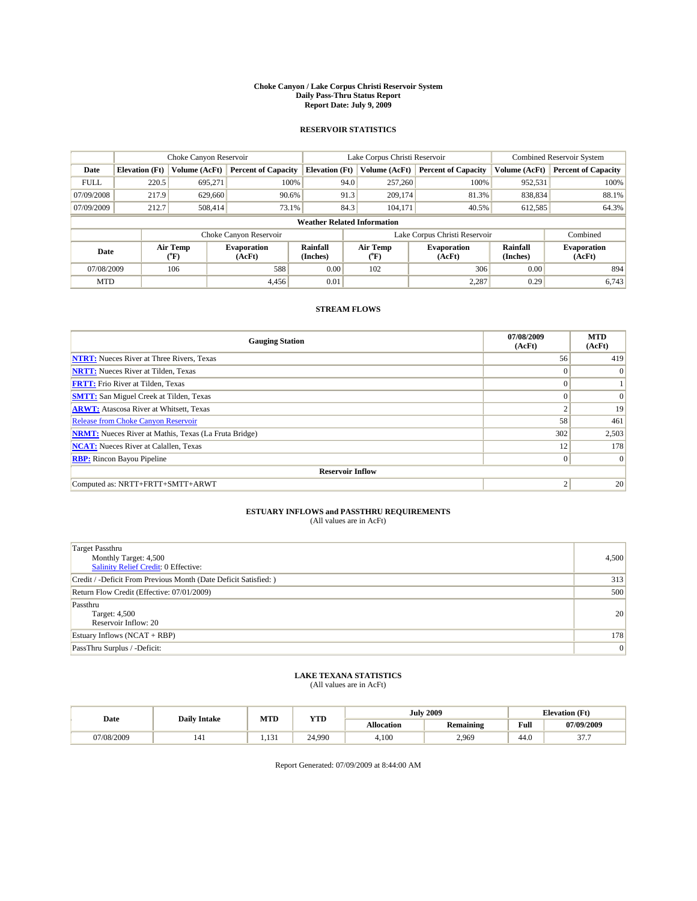#### **Choke Canyon / Lake Corpus Christi Reservoir System Daily Pass-Thru Status Report Report Date: July 9, 2009**

### **RESERVOIR STATISTICS**

|                                    | Choke Canyon Reservoir |                  | Lake Corpus Christi Reservoir |                             |      |                  | Combined Reservoir System     |                      |                              |
|------------------------------------|------------------------|------------------|-------------------------------|-----------------------------|------|------------------|-------------------------------|----------------------|------------------------------|
| Date                               | <b>Elevation</b> (Ft)  | Volume (AcFt)    | <b>Percent of Capacity</b>    | <b>Elevation (Ft)</b>       |      | Volume (AcFt)    | <b>Percent of Capacity</b>    | Volume (AcFt)        | <b>Percent of Capacity</b>   |
| <b>FULL</b>                        | 220.5                  | 695,271          | 100%                          |                             | 94.0 | 257,260          | 100%                          | 952,531              | 100%                         |
| 07/09/2008                         | 217.9                  | 629,660          | 90.6%                         |                             | 91.3 | 209,174          | 81.3%                         | 838,834              | 88.1%                        |
| 07/09/2009                         | 212.7                  | 508.414          | 73.1%                         |                             | 84.3 | 104,171          | 40.5%                         | 612,585              | 64.3%                        |
| <b>Weather Related Information</b> |                        |                  |                               |                             |      |                  |                               |                      |                              |
|                                    |                        |                  | Choke Canyon Reservoir        |                             |      |                  | Lake Corpus Christi Reservoir |                      | Combined                     |
| Date                               |                        | Air Temp<br>(°F) | <b>Evaporation</b><br>(AcFt)  | <b>Rainfall</b><br>(Inches) |      | Air Temp<br>(°F) | <b>Evaporation</b><br>(AcFt)  | Rainfall<br>(Inches) | <b>Evaporation</b><br>(AcFt) |
| 07/08/2009                         |                        | 106              | 588                           | 0.00                        |      | 102              | 306                           | 0.00                 | 894                          |
| <b>MTD</b>                         |                        |                  | 4.456                         | 0.01                        |      |                  | 2,287                         | 0.29                 | 6,743                        |

## **STREAM FLOWS**

| <b>Gauging Station</b>                                       | 07/08/2009<br>(AcFt) | <b>MTD</b><br>(AcFt) |  |  |  |  |
|--------------------------------------------------------------|----------------------|----------------------|--|--|--|--|
| <b>NTRT:</b> Nueces River at Three Rivers, Texas             | 56                   | 419                  |  |  |  |  |
| <b>NRTT:</b> Nueces River at Tilden, Texas                   | $\Omega$             | $\Omega$             |  |  |  |  |
| <b>FRTT:</b> Frio River at Tilden, Texas                     | $\mathbf{0}$         |                      |  |  |  |  |
| <b>SMTT:</b> San Miguel Creek at Tilden, Texas               | $\Omega$             | $\Omega$             |  |  |  |  |
| <b>ARWT:</b> Atascosa River at Whitsett, Texas               | ◠                    | 19                   |  |  |  |  |
| <b>Release from Choke Canyon Reservoir</b>                   | 58                   | 461                  |  |  |  |  |
| <b>NRMT:</b> Nueces River at Mathis, Texas (La Fruta Bridge) | 302                  | 2,503                |  |  |  |  |
| <b>NCAT:</b> Nueces River at Calallen, Texas                 | 12                   | 178                  |  |  |  |  |
| <b>RBP:</b> Rincon Bayou Pipeline                            | $\overline{0}$       | $\Omega$             |  |  |  |  |
| <b>Reservoir Inflow</b>                                      |                      |                      |  |  |  |  |
| Computed as: NRTT+FRTT+SMTT+ARWT                             | 2                    | 20                   |  |  |  |  |

# **ESTUARY INFLOWS and PASSTHRU REQUIREMENTS**<br>(All values are in AcFt)

| <b>Target Passthru</b><br>Monthly Target: 4,500<br>Salinity Relief Credit: 0 Effective: | 4,500          |
|-----------------------------------------------------------------------------------------|----------------|
| Credit / -Deficit From Previous Month (Date Deficit Satisfied: )                        | 313            |
| Return Flow Credit (Effective: 07/01/2009)                                              | 500            |
| Passthru<br>Target: 4,500<br>Reservoir Inflow: 20                                       | 20             |
| Estuary Inflows $(NCAT + RBP)$                                                          | 178            |
| PassThru Surplus / -Deficit:                                                            | $\overline{0}$ |

## **LAKE TEXANA STATISTICS** (All values are in AcFt)

|            | <b>Daily Intake</b> | MTD   | <b>YTD</b> |            | <b>July 2009</b> | <b>Elevation</b> (Ft)                       |                    |
|------------|---------------------|-------|------------|------------|------------------|---------------------------------------------|--------------------|
| Date       |                     |       |            | Allocation | <b>Remaining</b> | Full<br>the contract of the contract of the | 07/09/2009         |
| 07/08/2009 | 141                 | 1.131 | 24.990     | 4.100      | 2,969            | 44.0                                        | $\sim$ $\sim$<br>. |

Report Generated: 07/09/2009 at 8:44:00 AM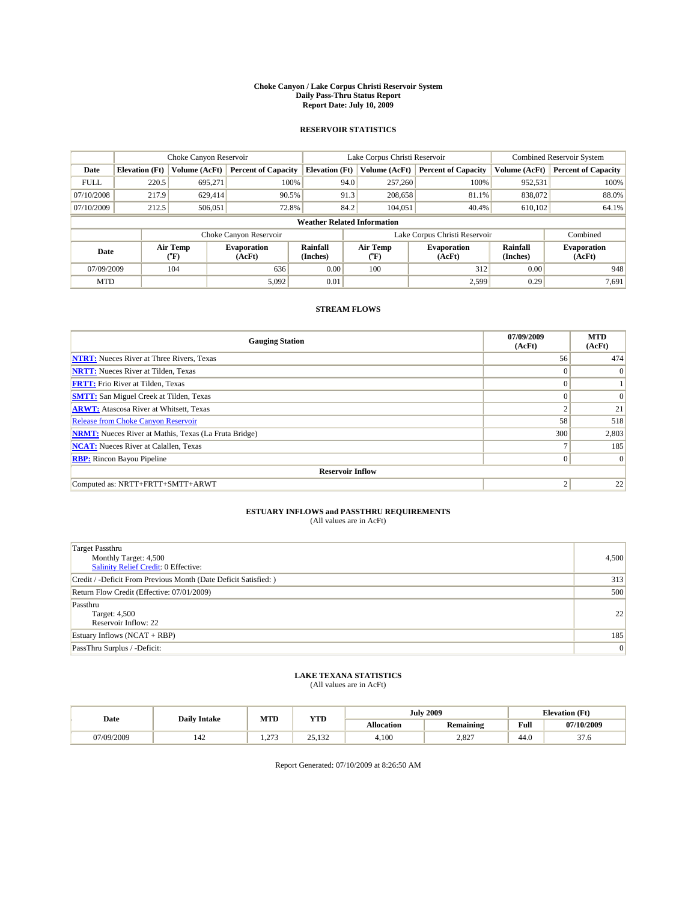#### **Choke Canyon / Lake Corpus Christi Reservoir System Daily Pass-Thru Status Report Report Date: July 10, 2009**

### **RESERVOIR STATISTICS**

|             | Choke Canyon Reservoir             |                                           |                              |                             | Lake Corpus Christi Reservoir | <b>Combined Reservoir System</b> |                      |                              |  |
|-------------|------------------------------------|-------------------------------------------|------------------------------|-----------------------------|-------------------------------|----------------------------------|----------------------|------------------------------|--|
| Date        | <b>Elevation</b> (Ft)              | <b>Volume (AcFt)</b>                      | <b>Percent of Capacity</b>   | <b>Elevation</b> (Ft)       | Volume (AcFt)                 | <b>Percent of Capacity</b>       | Volume (AcFt)        | <b>Percent of Capacity</b>   |  |
| <b>FULL</b> | 220.5                              | 695,271                                   | 100%                         | 94.0                        | 257,260                       | 100%                             | 952,531              | 100%                         |  |
| 07/10/2008  | 217.9                              | 629,414                                   | 90.5%                        | 91.3                        | 208,658                       | 81.1%                            | 838,072              | 88.0%                        |  |
| 07/10/2009  | 212.5                              | 506,051                                   | 72.8%                        | 84.2                        | 104,051                       | 40.4%                            | 610,102              | 64.1%                        |  |
|             | <b>Weather Related Information</b> |                                           |                              |                             |                               |                                  |                      |                              |  |
|             |                                    |                                           | Choke Canyon Reservoir       |                             |                               | Lake Corpus Christi Reservoir    |                      | Combined                     |  |
| Date        |                                    | Air Temp<br>$({}^{\mathrm{o}}\mathrm{F})$ | <b>Evaporation</b><br>(AcFt) | <b>Rainfall</b><br>(Inches) | Air Temp<br>(°F)              | <b>Evaporation</b><br>(AcFt)     | Rainfall<br>(Inches) | <b>Evaporation</b><br>(AcFt) |  |
| 07/09/2009  |                                    | 104                                       | 636                          | 0.00                        | 100                           | 312                              | 0.00                 | 948                          |  |
| <b>MTD</b>  |                                    |                                           | 5,092                        | 0.01                        |                               | 2.599                            | 0.29                 | 7,691                        |  |

## **STREAM FLOWS**

| <b>Gauging Station</b>                                       | 07/09/2009<br>(AcFt) | <b>MTD</b><br>(AcFt) |  |  |  |  |  |
|--------------------------------------------------------------|----------------------|----------------------|--|--|--|--|--|
| <b>NTRT:</b> Nueces River at Three Rivers, Texas             | 56                   | 474                  |  |  |  |  |  |
| <b>NRTT:</b> Nueces River at Tilden, Texas                   | $\Omega$             | $\Omega$             |  |  |  |  |  |
| <b>FRTT:</b> Frio River at Tilden, Texas                     | $\Omega$             |                      |  |  |  |  |  |
| <b>SMTT:</b> San Miguel Creek at Tilden, Texas               | $\Omega$             | $\Omega$             |  |  |  |  |  |
| <b>ARWT:</b> Atascosa River at Whitsett, Texas               | $\Delta$             | 21                   |  |  |  |  |  |
| <b>Release from Choke Canyon Reservoir</b>                   | 58                   | 518                  |  |  |  |  |  |
| <b>NRMT:</b> Nueces River at Mathis, Texas (La Fruta Bridge) | 300                  | 2,803                |  |  |  |  |  |
| <b>NCAT:</b> Nueces River at Calallen, Texas                 | −                    | 185                  |  |  |  |  |  |
| <b>RBP:</b> Rincon Bayou Pipeline                            | $\vert 0 \vert$      | $\Omega$             |  |  |  |  |  |
| <b>Reservoir Inflow</b>                                      |                      |                      |  |  |  |  |  |
| Computed as: NRTT+FRTT+SMTT+ARWT                             | 2                    | 22                   |  |  |  |  |  |

# **ESTUARY INFLOWS and PASSTHRU REQUIREMENTS**<br>(All values are in AcFt)

| <b>Target Passthru</b><br>Monthly Target: 4,500<br>Salinity Relief Credit: 0 Effective: | 4,500           |
|-----------------------------------------------------------------------------------------|-----------------|
| Credit / -Deficit From Previous Month (Date Deficit Satisfied: )                        | 313             |
| Return Flow Credit (Effective: 07/01/2009)                                              | 500             |
| Passthru<br>Target: 4,500<br>Reservoir Inflow: 22                                       | 22              |
| Estuary Inflows $(NCAT + RBP)$                                                          | 185             |
| PassThru Surplus / -Deficit:                                                            | $\vert 0 \vert$ |

## **LAKE TEXANA STATISTICS** (All values are in AcFt)

| Date       | <b>Daily Intake</b> | MTD           | <b>YTD</b>                  |                   | <b>July 2009</b> | <b>Elevation</b> (Ft) |                |
|------------|---------------------|---------------|-----------------------------|-------------------|------------------|-----------------------|----------------|
|            |                     |               |                             | <b>Allocation</b> | <b>Remaining</b> | Full                  | 07/10/2009     |
| 07/09/2009 | 142                 | $\sim$<br>$-$ | $\Omega$<br>122<br>ے روز کے | 4.100             | 2,827            | 44.0                  | $\sim$<br>31.O |

Report Generated: 07/10/2009 at 8:26:50 AM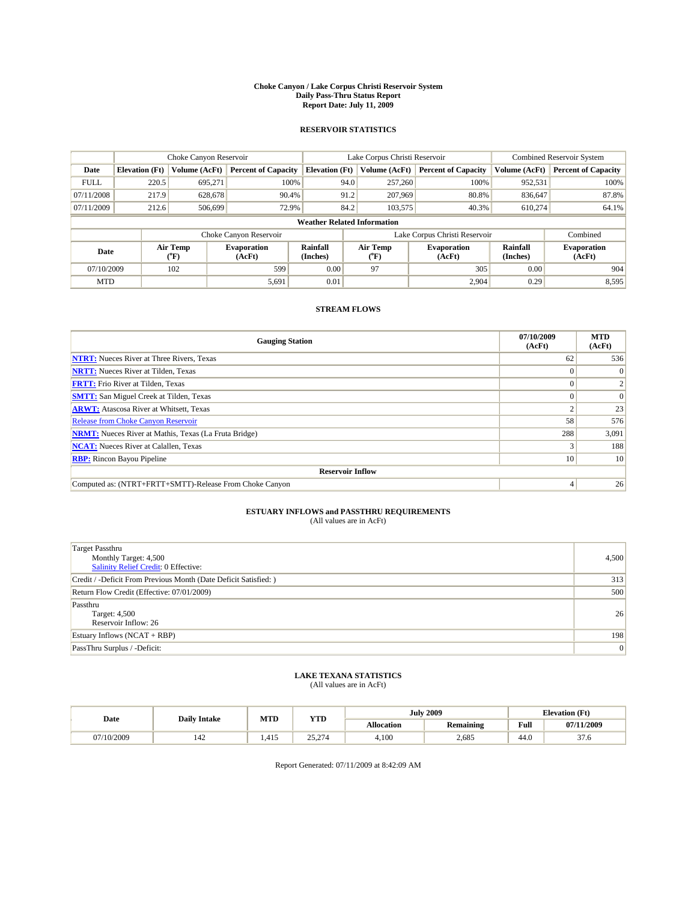#### **Choke Canyon / Lake Corpus Christi Reservoir System Daily Pass-Thru Status Report Report Date: July 11, 2009**

### **RESERVOIR STATISTICS**

|             | Choke Canyon Reservoir             |                                           |                              |                             | Lake Corpus Christi Reservoir | <b>Combined Reservoir System</b> |                      |                              |  |
|-------------|------------------------------------|-------------------------------------------|------------------------------|-----------------------------|-------------------------------|----------------------------------|----------------------|------------------------------|--|
| Date        | <b>Elevation</b> (Ft)              | <b>Volume (AcFt)</b>                      | <b>Percent of Capacity</b>   | <b>Elevation</b> (Ft)       | Volume (AcFt)                 | <b>Percent of Capacity</b>       | Volume (AcFt)        | <b>Percent of Capacity</b>   |  |
| <b>FULL</b> | 220.5                              | 695,271                                   | 100%                         | 94.0                        | 257,260                       | 100%                             | 952,531              | 100%                         |  |
| 07/11/2008  | 217.9                              | 628,678                                   | 90.4%                        | 91.2                        | 207,969                       | 80.8%                            | 836,647              | 87.8%                        |  |
| 07/11/2009  | 212.6                              | 506,699                                   | 72.9%                        | 84.2                        | 103,575                       | 40.3%                            | 610,274              | 64.1%                        |  |
|             | <b>Weather Related Information</b> |                                           |                              |                             |                               |                                  |                      |                              |  |
|             |                                    |                                           | Choke Canyon Reservoir       |                             |                               | Lake Corpus Christi Reservoir    |                      | Combined                     |  |
| Date        |                                    | Air Temp<br>$({}^{\mathrm{o}}\mathrm{F})$ | <b>Evaporation</b><br>(AcFt) | <b>Rainfall</b><br>(Inches) | Air Temp<br>(°F)              | <b>Evaporation</b><br>(AcFt)     | Rainfall<br>(Inches) | <b>Evaporation</b><br>(AcFt) |  |
| 07/10/2009  |                                    | 102                                       | 599                          | 0.00                        | 97                            | 305                              | 0.00                 | 904                          |  |
| <b>MTD</b>  |                                    |                                           | 5,691                        | 0.01                        |                               | 2.904                            | 0.29                 | 8,595                        |  |

## **STREAM FLOWS**

| <b>Gauging Station</b>                                       | 07/10/2009<br>(AcFt) | <b>MTD</b><br>(AcFt) |  |  |  |  |  |
|--------------------------------------------------------------|----------------------|----------------------|--|--|--|--|--|
| <b>NTRT:</b> Nueces River at Three Rivers, Texas             | 62                   | 536                  |  |  |  |  |  |
| <b>NRTT:</b> Nueces River at Tilden, Texas                   |                      | $\Omega$             |  |  |  |  |  |
| <b>FRTT:</b> Frio River at Tilden, Texas                     |                      |                      |  |  |  |  |  |
| <b>SMTT:</b> San Miguel Creek at Tilden, Texas               |                      | $\Omega$             |  |  |  |  |  |
| <b>ARWT:</b> Atascosa River at Whitsett, Texas               |                      | 23                   |  |  |  |  |  |
| Release from Choke Canyon Reservoir                          | 58                   | 576                  |  |  |  |  |  |
| <b>NRMT:</b> Nueces River at Mathis, Texas (La Fruta Bridge) | 288                  | 3,091                |  |  |  |  |  |
| <b>NCAT:</b> Nueces River at Calallen, Texas                 |                      | 188                  |  |  |  |  |  |
| <b>RBP:</b> Rincon Bayou Pipeline                            | 10 <sup>1</sup>      | 10                   |  |  |  |  |  |
| <b>Reservoir Inflow</b>                                      |                      |                      |  |  |  |  |  |
| Computed as: (NTRT+FRTT+SMTT)-Release From Choke Canyon      |                      | 26                   |  |  |  |  |  |

# **ESTUARY INFLOWS and PASSTHRU REQUIREMENTS**<br>(All values are in AcFt)

| <b>Target Passthru</b><br>Monthly Target: 4,500<br>Salinity Relief Credit: 0 Effective: | 4,500 |
|-----------------------------------------------------------------------------------------|-------|
| Credit / -Deficit From Previous Month (Date Deficit Satisfied: )                        | 313   |
| Return Flow Credit (Effective: 07/01/2009)                                              | 500   |
| Passthru<br>Target: 4,500<br>Reservoir Inflow: 26                                       | 26    |
| Estuary Inflows $(NCAT + RBP)$                                                          | 198   |
| PassThru Surplus / -Deficit:                                                            | 0     |

## **LAKE TEXANA STATISTICS** (All values are in AcFt)

|            | <b>Daily Intake</b> | MTD  | <b>YTD</b>                                         |                   | <b>July 2009</b> | <b>Elevation</b> (Ft)                       |                |
|------------|---------------------|------|----------------------------------------------------|-------------------|------------------|---------------------------------------------|----------------|
| Date       |                     |      |                                                    | <b>Allocation</b> | <b>Remaining</b> | Full<br>the contract of the contract of the | 07/11/2009     |
| 07/10/2009 | 142                 | .415 | $\sim$<br>25<br>$\sim$ $\sim$ $\sim$ $\sim$ $\sim$ | 4,100             | 2.685            | 44.0                                        | $\sim$<br>31.O |

Report Generated: 07/11/2009 at 8:42:09 AM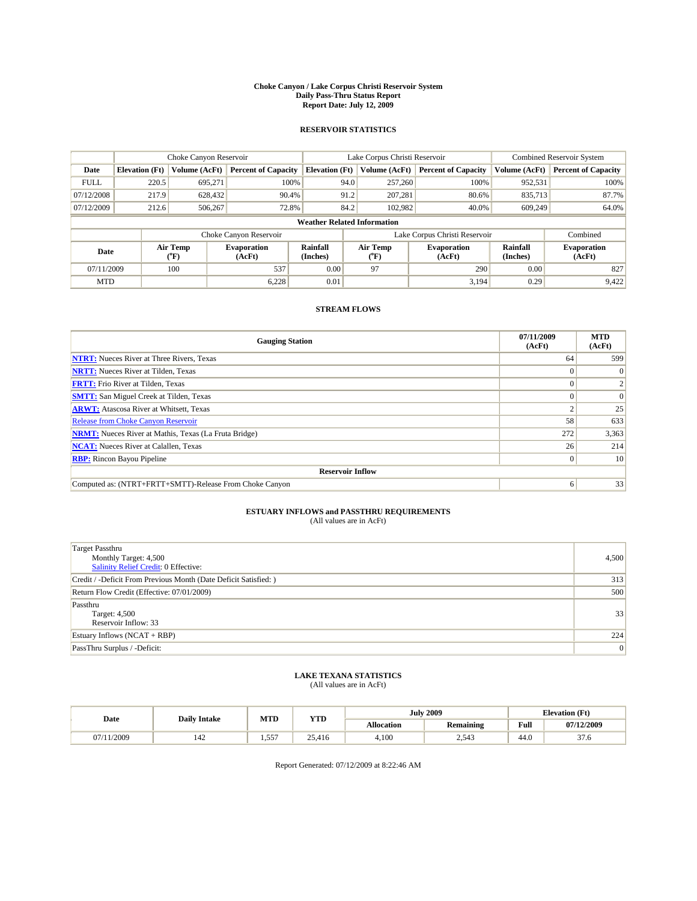#### **Choke Canyon / Lake Corpus Christi Reservoir System Daily Pass-Thru Status Report Report Date: July 12, 2009**

### **RESERVOIR STATISTICS**

|             | Choke Canyon Reservoir             |                                           |                              |                             | Lake Corpus Christi Reservoir | <b>Combined Reservoir System</b> |                      |                              |  |
|-------------|------------------------------------|-------------------------------------------|------------------------------|-----------------------------|-------------------------------|----------------------------------|----------------------|------------------------------|--|
| Date        | <b>Elevation</b> (Ft)              | <b>Volume (AcFt)</b>                      | <b>Percent of Capacity</b>   | <b>Elevation</b> (Ft)       | Volume (AcFt)                 | <b>Percent of Capacity</b>       | Volume (AcFt)        | <b>Percent of Capacity</b>   |  |
| <b>FULL</b> | 220.5                              | 695,271                                   | 100%                         | 94.0                        | 257,260                       | 100%                             | 952,531              | 100%                         |  |
| 07/12/2008  | 217.9                              | 628,432                                   | 90.4%                        | 91.2                        | 207,281                       | 80.6%                            | 835,713              | 87.7%                        |  |
| 07/12/2009  | 212.6                              | 506,267                                   | 72.8%                        | 84.2                        | 102,982                       | 40.0%                            | 609.249              | 64.0%                        |  |
|             | <b>Weather Related Information</b> |                                           |                              |                             |                               |                                  |                      |                              |  |
|             |                                    |                                           | Choke Canyon Reservoir       |                             |                               | Lake Corpus Christi Reservoir    |                      | Combined                     |  |
| Date        |                                    | Air Temp<br>$({}^{\mathrm{o}}\mathrm{F})$ | <b>Evaporation</b><br>(AcFt) | <b>Rainfall</b><br>(Inches) | Air Temp<br>(°F)              | <b>Evaporation</b><br>(AcFt)     | Rainfall<br>(Inches) | <b>Evaporation</b><br>(AcFt) |  |
| 07/11/2009  |                                    | 100                                       | 537                          | 0.00                        | 97                            | 290                              | 0.00                 | 827                          |  |
| <b>MTD</b>  |                                    |                                           | 6,228                        | 0.01                        |                               | 3.194                            | 0.29                 | 9,422                        |  |

### **STREAM FLOWS**

| <b>Gauging Station</b>                                       | 07/11/2009<br>(AcFt) | <b>MTD</b><br>(AcFt) |  |  |  |  |  |
|--------------------------------------------------------------|----------------------|----------------------|--|--|--|--|--|
| <b>NTRT:</b> Nueces River at Three Rivers, Texas             | 64                   | 599                  |  |  |  |  |  |
| <b>NRTT:</b> Nueces River at Tilden, Texas                   | $\Omega$             |                      |  |  |  |  |  |
| <b>FRTT:</b> Frio River at Tilden, Texas                     |                      |                      |  |  |  |  |  |
| <b>SMTT:</b> San Miguel Creek at Tilden, Texas               |                      | $\Omega$             |  |  |  |  |  |
| <b>ARWT:</b> Atascosa River at Whitsett, Texas               |                      | 25                   |  |  |  |  |  |
| <b>Release from Choke Canyon Reservoir</b>                   | 58                   | 633                  |  |  |  |  |  |
| <b>NRMT:</b> Nueces River at Mathis, Texas (La Fruta Bridge) | 272                  | 3,363                |  |  |  |  |  |
| <b>NCAT:</b> Nueces River at Calallen, Texas                 | 26                   | 214                  |  |  |  |  |  |
| <b>RBP:</b> Rincon Bayou Pipeline                            | $\overline{0}$       | 10                   |  |  |  |  |  |
| <b>Reservoir Inflow</b>                                      |                      |                      |  |  |  |  |  |
| Computed as: (NTRT+FRTT+SMTT)-Release From Choke Canyon      | 6                    | 33                   |  |  |  |  |  |

# **ESTUARY INFLOWS and PASSTHRU REQUIREMENTS**<br>(All values are in AcFt)

| <b>Target Passthru</b><br>Monthly Target: 4,500<br>Salinity Relief Credit: 0 Effective: | 4,500 |
|-----------------------------------------------------------------------------------------|-------|
| Credit / -Deficit From Previous Month (Date Deficit Satisfied: )                        | 313   |
| Return Flow Credit (Effective: 07/01/2009)                                              | 500   |
| Passthru<br>Target: 4,500<br>Reservoir Inflow: 33                                       | 33    |
| Estuary Inflows $(NCAT + RBP)$                                                          | 224   |
| PassThru Surplus / -Deficit:                                                            | 0     |

# **LAKE TEXANA STATISTICS** (All values are in AcFt)

| Date            | <b>Daily Intake</b> | MTD               | <b>YTD</b> |                   | <b>July 2009</b> | <b>Elevation</b> (Ft) |                |
|-----------------|---------------------|-------------------|------------|-------------------|------------------|-----------------------|----------------|
|                 |                     |                   |            | <b>Allocation</b> | <b>Remaining</b> | Full                  | 07/12/2009     |
| /11/2009<br>07/ | 142                 | $55^{\circ}$<br>. | 25,416     | 4.100             | 2,543            | 44.0                  | $\sim$<br>31.O |

Report Generated: 07/12/2009 at 8:22:46 AM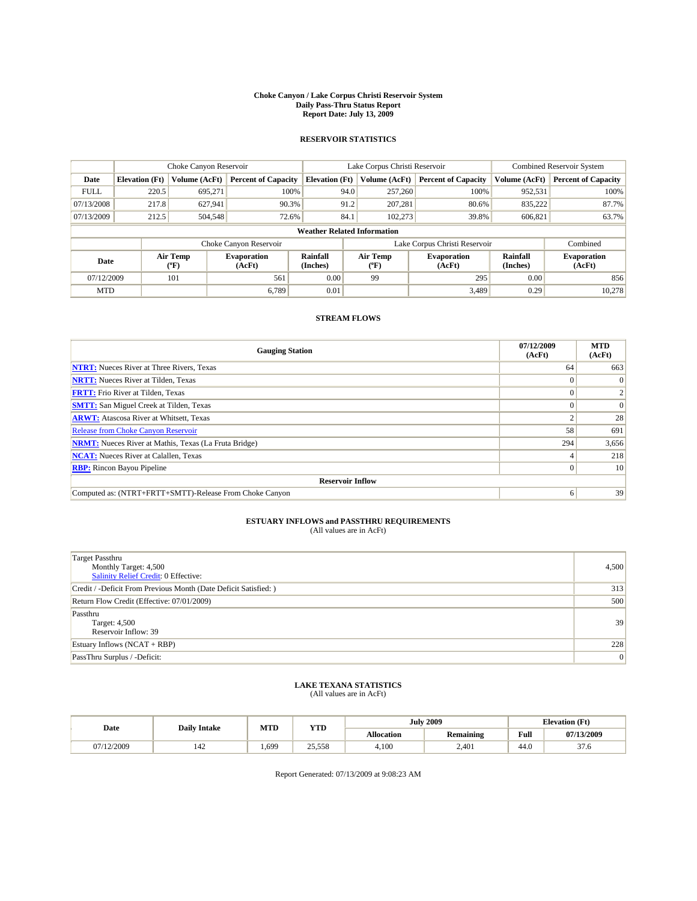#### **Choke Canyon / Lake Corpus Christi Reservoir System Daily Pass-Thru Status Report Report Date: July 13, 2009**

## **RESERVOIR STATISTICS**

|             | Choke Canyon Reservoir             |                          |                              |                       | Lake Corpus Christi Reservoir | <b>Combined Reservoir System</b> |                      |                              |  |  |
|-------------|------------------------------------|--------------------------|------------------------------|-----------------------|-------------------------------|----------------------------------|----------------------|------------------------------|--|--|
| Date        | <b>Elevation</b> (Ft)              | Volume (AcFt)            | <b>Percent of Capacity</b>   | <b>Elevation</b> (Ft) | Volume (AcFt)                 | <b>Percent of Capacity</b>       | Volume (AcFt)        | <b>Percent of Capacity</b>   |  |  |
| <b>FULL</b> | 220.5                              | 695.271                  | 100%                         |                       | 94.0<br>257,260               | 100%                             | 952,531              | 100%                         |  |  |
| 07/13/2008  | 217.8                              | 627,941                  | 90.3%                        |                       | 91.2<br>207,281               | 80.6%                            | 835,222              | 87.7%                        |  |  |
| 07/13/2009  | 212.5                              | 504,548                  | 72.6%                        | 84.1                  | 102,273                       | 39.8%                            | 606,821              | 63.7%                        |  |  |
|             | <b>Weather Related Information</b> |                          |                              |                       |                               |                                  |                      |                              |  |  |
|             |                                    |                          | Choke Canyon Reservoir       |                       |                               | Lake Corpus Christi Reservoir    |                      | Combined                     |  |  |
| Date        |                                    | Air Temp<br>$\rm ^{o}F)$ | <b>Evaporation</b><br>(AcFt) | Rainfall<br>(Inches)  | Air Temp<br>″F)               | <b>Evaporation</b><br>(AcFt)     | Rainfall<br>(Inches) | <b>Evaporation</b><br>(AcFt) |  |  |
| 07/12/2009  |                                    | 101                      | 561                          | 0.00                  | 99                            | 295                              | 0.00                 | 856                          |  |  |
| <b>MTD</b>  |                                    |                          | 6.789                        | 0.01                  |                               | 3,489                            | 0.29                 | 10.278                       |  |  |

### **STREAM FLOWS**

| <b>Gauging Station</b>                                       | 07/12/2009<br>(AcFt) | <b>MTD</b><br>(AcFt) |
|--------------------------------------------------------------|----------------------|----------------------|
| <b>NTRT:</b> Nueces River at Three Rivers, Texas             | 64                   | 663                  |
| <b>NRTT:</b> Nueces River at Tilden, Texas                   |                      | $\Omega$             |
| <b>FRTT:</b> Frio River at Tilden, Texas                     |                      |                      |
| <b>SMTT:</b> San Miguel Creek at Tilden, Texas               |                      | $\Omega$             |
| <b>ARWT:</b> Atascosa River at Whitsett, Texas               |                      | 28                   |
| <b>Release from Choke Canyon Reservoir</b>                   | 58                   | 691                  |
| <b>NRMT:</b> Nueces River at Mathis, Texas (La Fruta Bridge) | 294                  | 3,656                |
| <b>NCAT:</b> Nueces River at Calallen, Texas                 |                      | 218                  |
| <b>RBP:</b> Rincon Bayou Pipeline                            | $\Omega$             | 10                   |
| <b>Reservoir Inflow</b>                                      |                      |                      |
| Computed as: (NTRT+FRTT+SMTT)-Release From Choke Canyon      | 6                    | 39                   |

## **ESTUARY INFLOWS and PASSTHRU REQUIREMENTS**<br>(All values are in AcFt)

| Target Passthru<br>Monthly Target: 4,500<br>Salinity Relief Credit: 0 Effective: | 4,500           |
|----------------------------------------------------------------------------------|-----------------|
| Credit / -Deficit From Previous Month (Date Deficit Satisfied: )                 | 313             |
| Return Flow Credit (Effective: 07/01/2009)                                       | 500             |
| Passthru<br>Target: 4,500<br>Reservoir Inflow: 39                                | 39              |
| Estuary Inflows $(NCAT + RBP)$                                                   | 228             |
| PassThru Surplus / -Deficit:                                                     | $\vert 0 \vert$ |

### **LAKE TEXANA STATISTICS** (All values are in AcFt)

| Date       | <b>Daily Intake</b> | <b>MTD</b> | YTD    |                   | <b>July 2009</b> | <b>Elevation</b> (Ft) |                |
|------------|---------------------|------------|--------|-------------------|------------------|-----------------------|----------------|
|            |                     |            |        | <b>Allocation</b> | <b>Remaining</b> | Full                  | 07/13/2009     |
| 07/12/2009 | 142                 | .,699      | 25,558 | 4.100             | 2.401            | 44.0                  | $\sim$<br>31.O |

Report Generated: 07/13/2009 at 9:08:23 AM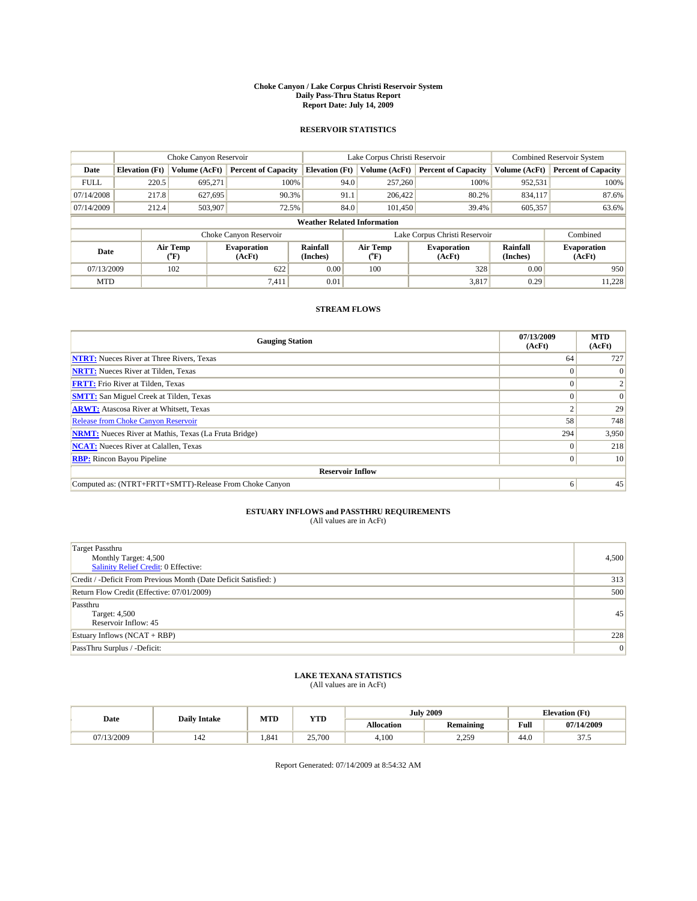#### **Choke Canyon / Lake Corpus Christi Reservoir System Daily Pass-Thru Status Report Report Date: July 14, 2009**

### **RESERVOIR STATISTICS**

|             | Choke Canyon Reservoir             |                                           |                              |                             | Lake Corpus Christi Reservoir | <b>Combined Reservoir System</b> |                      |                              |  |  |
|-------------|------------------------------------|-------------------------------------------|------------------------------|-----------------------------|-------------------------------|----------------------------------|----------------------|------------------------------|--|--|
| Date        | <b>Elevation</b> (Ft)              | <b>Volume (AcFt)</b>                      | <b>Percent of Capacity</b>   | <b>Elevation</b> (Ft)       | Volume (AcFt)                 | <b>Percent of Capacity</b>       | Volume (AcFt)        | <b>Percent of Capacity</b>   |  |  |
| <b>FULL</b> | 220.5                              | 695,271                                   | 100%                         | 94.0                        | 257,260                       | 100%                             | 952,531              | 100%                         |  |  |
| 07/14/2008  | 217.8                              | 627,695                                   | 90.3%                        | 91.1                        | 206,422                       | 80.2%                            | 834,117              | 87.6%                        |  |  |
| 07/14/2009  | 212.4                              | 503,907                                   | 72.5%                        | 84.0                        | 101.450                       | 39.4%                            | 605,357              | 63.6%                        |  |  |
|             | <b>Weather Related Information</b> |                                           |                              |                             |                               |                                  |                      |                              |  |  |
|             |                                    |                                           | Choke Canyon Reservoir       |                             |                               | Lake Corpus Christi Reservoir    |                      | Combined                     |  |  |
| Date        |                                    | Air Temp<br>$({}^{\mathrm{o}}\mathrm{F})$ | <b>Evaporation</b><br>(AcFt) | <b>Rainfall</b><br>(Inches) | Air Temp<br>(°F)              | <b>Evaporation</b><br>(AcFt)     | Rainfall<br>(Inches) | <b>Evaporation</b><br>(AcFt) |  |  |
| 07/13/2009  |                                    | 102                                       | 622                          | 0.00                        | 100                           | 328                              | 0.00                 | 950                          |  |  |
| <b>MTD</b>  |                                    |                                           | 7,411                        | 0.01                        |                               | 3,817                            | 0.29                 | 11,228                       |  |  |

## **STREAM FLOWS**

| <b>Gauging Station</b>                                       | 07/13/2009<br>(AcFt) | <b>MTD</b><br>(AcFt) |  |  |  |  |  |
|--------------------------------------------------------------|----------------------|----------------------|--|--|--|--|--|
| <b>NTRT:</b> Nueces River at Three Rivers, Texas             | 64                   | 727                  |  |  |  |  |  |
| <b>NRTT:</b> Nueces River at Tilden, Texas                   | $\Omega$             |                      |  |  |  |  |  |
| <b>FRTT:</b> Frio River at Tilden, Texas                     |                      |                      |  |  |  |  |  |
| <b>SMTT:</b> San Miguel Creek at Tilden, Texas               |                      | $\Omega$             |  |  |  |  |  |
| <b>ARWT:</b> Atascosa River at Whitsett, Texas               |                      | 29                   |  |  |  |  |  |
| <b>Release from Choke Canyon Reservoir</b>                   | 58                   | 748                  |  |  |  |  |  |
| <b>NRMT:</b> Nueces River at Mathis, Texas (La Fruta Bridge) | 294                  | 3,950                |  |  |  |  |  |
| <b>NCAT:</b> Nueces River at Calallen, Texas                 | $\Omega$             | 218                  |  |  |  |  |  |
| <b>RBP:</b> Rincon Bayou Pipeline                            | $\overline{0}$       | 10                   |  |  |  |  |  |
| <b>Reservoir Inflow</b>                                      |                      |                      |  |  |  |  |  |
| Computed as: (NTRT+FRTT+SMTT)-Release From Choke Canyon      | 6                    | 45                   |  |  |  |  |  |

# **ESTUARY INFLOWS and PASSTHRU REQUIREMENTS**<br>(All values are in AcFt)

| <b>Target Passthru</b><br>Monthly Target: 4,500<br><b>Salinity Relief Credit: 0 Effective:</b> | 4,500 |
|------------------------------------------------------------------------------------------------|-------|
| Credit / -Deficit From Previous Month (Date Deficit Satisfied: )                               | 313   |
| Return Flow Credit (Effective: 07/01/2009)                                                     | 500   |
| Passthru<br>Target: 4,500<br>Reservoir Inflow: 45                                              | 45    |
| Estuary Inflows $(NCAT + RBP)$                                                                 | 228   |
| PassThru Surplus / -Deficit:                                                                   | 0     |

# **LAKE TEXANA STATISTICS** (All values are in AcFt)

|            | <b>Daily Intake</b> | MTD   | <b>YTD</b> |                   | <b>July 2009</b>   | <b>Elevation</b> (Ft)                       |                  |
|------------|---------------------|-------|------------|-------------------|--------------------|---------------------------------------------|------------------|
| Date       |                     |       |            | <b>Allocation</b> | <b>Remaining</b>   | Full<br>the contract of the contract of the | 07/14/2009       |
| 07/13/2009 | 142                 | 1.841 | 25,700     | 4.100             | 2250<br><u>.</u> . | 44.0                                        | $\sim$<br>ن. ، ر |

Report Generated: 07/14/2009 at 8:54:32 AM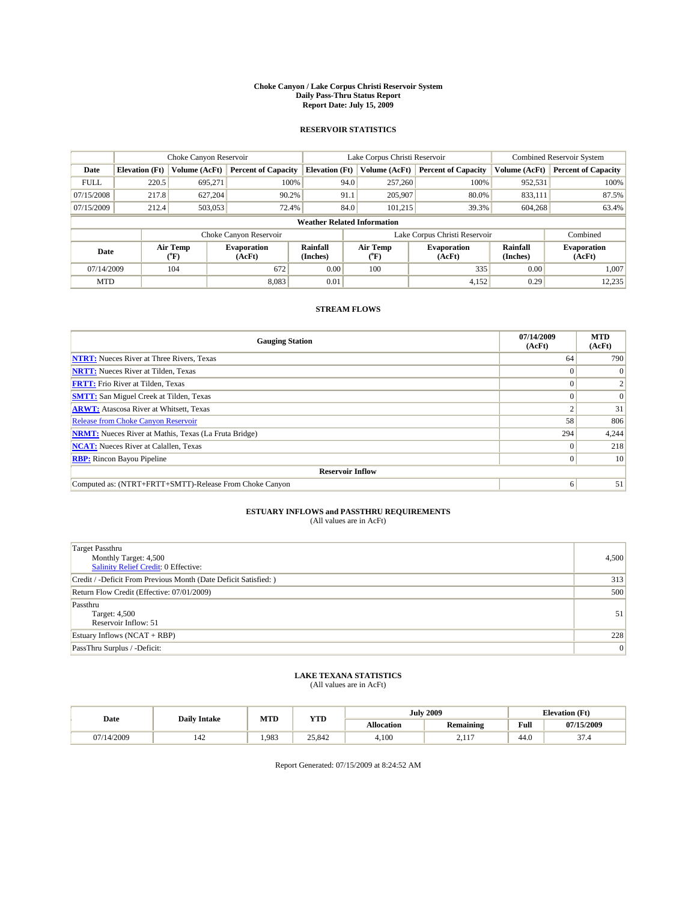#### **Choke Canyon / Lake Corpus Christi Reservoir System Daily Pass-Thru Status Report Report Date: July 15, 2009**

### **RESERVOIR STATISTICS**

|             | Choke Canyon Reservoir             |                                           |                              |                             | Lake Corpus Christi Reservoir | <b>Combined Reservoir System</b> |                      |                              |  |  |
|-------------|------------------------------------|-------------------------------------------|------------------------------|-----------------------------|-------------------------------|----------------------------------|----------------------|------------------------------|--|--|
| Date        | <b>Elevation</b> (Ft)              | <b>Volume (AcFt)</b>                      | <b>Percent of Capacity</b>   | <b>Elevation</b> (Ft)       | Volume (AcFt)                 | <b>Percent of Capacity</b>       | Volume (AcFt)        | <b>Percent of Capacity</b>   |  |  |
| <b>FULL</b> | 220.5                              | 695,271                                   | 100%                         | 94.0                        | 257,260                       | 100%                             | 952,531              | 100%                         |  |  |
| 07/15/2008  | 217.8                              | 627,204                                   | 90.2%                        | 91.1                        | 205,907                       | 80.0%                            | 833,111              | 87.5%                        |  |  |
| 07/15/2009  | 212.4                              | 503,053                                   | 72.4%                        | 84.0                        | 101.215                       | 39.3%                            | 604,268              | 63.4%                        |  |  |
|             | <b>Weather Related Information</b> |                                           |                              |                             |                               |                                  |                      |                              |  |  |
|             |                                    |                                           | Choke Canyon Reservoir       |                             |                               | Lake Corpus Christi Reservoir    |                      | Combined                     |  |  |
| Date        |                                    | Air Temp<br>$({}^{\mathrm{o}}\mathrm{F})$ | <b>Evaporation</b><br>(AcFt) | <b>Rainfall</b><br>(Inches) | Air Temp<br>(°F)              | <b>Evaporation</b><br>(AcFt)     | Rainfall<br>(Inches) | <b>Evaporation</b><br>(AcFt) |  |  |
| 07/14/2009  |                                    | 104                                       | 672                          | 0.00                        | 100                           | 335                              | 0.00                 | 1.007                        |  |  |
| <b>MTD</b>  |                                    |                                           | 8,083                        | 0.01                        |                               | 4,152                            | 0.29                 | 12,235                       |  |  |

## **STREAM FLOWS**

| <b>Gauging Station</b>                                       | 07/14/2009<br>(AcFt) | <b>MTD</b><br>(AcFt) |  |  |  |  |  |
|--------------------------------------------------------------|----------------------|----------------------|--|--|--|--|--|
| <b>NTRT:</b> Nueces River at Three Rivers, Texas             | 64                   | 790                  |  |  |  |  |  |
| <b>NRTT:</b> Nueces River at Tilden, Texas                   | $\Omega$             | $\Omega$             |  |  |  |  |  |
| <b>FRTT:</b> Frio River at Tilden, Texas                     |                      |                      |  |  |  |  |  |
| <b>SMTT:</b> San Miguel Creek at Tilden, Texas               |                      | $\Omega$             |  |  |  |  |  |
| <b>ARWT:</b> Atascosa River at Whitsett, Texas               |                      | 31                   |  |  |  |  |  |
| <b>Release from Choke Canyon Reservoir</b>                   | 58                   | 806                  |  |  |  |  |  |
| <b>NRMT:</b> Nueces River at Mathis, Texas (La Fruta Bridge) | 294                  | 4,244                |  |  |  |  |  |
| <b>NCAT:</b> Nueces River at Calallen, Texas                 | $\Omega$             | 218                  |  |  |  |  |  |
| <b>RBP:</b> Rincon Bayou Pipeline                            | $\overline{0}$       | 10                   |  |  |  |  |  |
| <b>Reservoir Inflow</b>                                      |                      |                      |  |  |  |  |  |
| Computed as: (NTRT+FRTT+SMTT)-Release From Choke Canyon      | 6                    | 51                   |  |  |  |  |  |

# **ESTUARY INFLOWS and PASSTHRU REQUIREMENTS**<br>(All values are in AcFt)

| <b>Target Passthru</b><br>Monthly Target: 4,500<br><b>Salinity Relief Credit: 0 Effective:</b> | 4,500 |
|------------------------------------------------------------------------------------------------|-------|
| Credit / -Deficit From Previous Month (Date Deficit Satisfied: )                               | 313   |
| Return Flow Credit (Effective: 07/01/2009)                                                     | 500   |
| Passthru<br>Target: 4,500<br>Reservoir Inflow: 51                                              | 51    |
| Estuary Inflows $(NCAT + RBP)$                                                                 | 228   |
| PassThru Surplus / -Deficit:                                                                   | 0     |

## **LAKE TEXANA STATISTICS** (All values are in AcFt)

|            | <b>Daily Intake</b> | MTD  | <b>YTD</b> |            | <b>July 2009</b> | <b>Elevation</b> (Ft)                       |                         |
|------------|---------------------|------|------------|------------|------------------|---------------------------------------------|-------------------------|
| Date       |                     |      |            | Allocation | <b>Remaining</b> | Full<br>the contract of the contract of the | 07/15/2009              |
| 07/14/2009 | $\sim$<br>142       | .983 | 25.842     | 4.100      | $\sim$<br>$-11$  | 44.0                                        | $\sim$<br>-4<br>- ، ، ب |

Report Generated: 07/15/2009 at 8:24:52 AM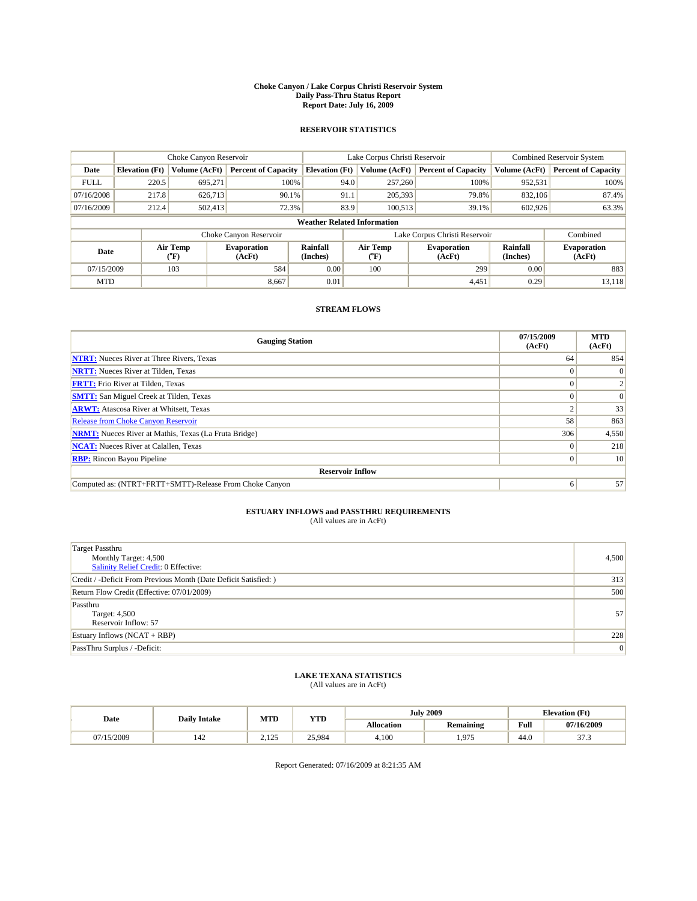#### **Choke Canyon / Lake Corpus Christi Reservoir System Daily Pass-Thru Status Report Report Date: July 16, 2009**

### **RESERVOIR STATISTICS**

|             | Choke Canyon Reservoir             |                                           |                              |                       | Lake Corpus Christi Reservoir | <b>Combined Reservoir System</b> |                      |                              |  |
|-------------|------------------------------------|-------------------------------------------|------------------------------|-----------------------|-------------------------------|----------------------------------|----------------------|------------------------------|--|
| Date        | <b>Elevation</b> (Ft)              | Volume (AcFt)                             | <b>Percent of Capacity</b>   | <b>Elevation</b> (Ft) | Volume (AcFt)                 | <b>Percent of Capacity</b>       | Volume (AcFt)        | <b>Percent of Capacity</b>   |  |
| <b>FULL</b> | 220.5                              | 695,271                                   | 100%                         | 94.0                  | 257,260                       | 100%                             | 952,531              | 100%                         |  |
| 07/16/2008  | 217.8                              | 626,713                                   | 90.1%                        | 91.1                  | 205,393                       | 79.8%                            | 832,106              | 87.4%                        |  |
| 07/16/2009  | 212.4                              | 502,413                                   | 72.3%                        | 83.9                  | 100.513                       | 39.1%                            | 602,926              | 63.3%                        |  |
|             | <b>Weather Related Information</b> |                                           |                              |                       |                               |                                  |                      |                              |  |
|             |                                    |                                           | Choke Canyon Reservoir       |                       |                               | Lake Corpus Christi Reservoir    |                      | Combined                     |  |
| Date        |                                    | Air Temp<br>$({}^{\mathrm{o}}\mathrm{F})$ | <b>Evaporation</b><br>(AcFt) | Rainfall<br>(Inches)  | Air Temp<br>(°F)              | <b>Evaporation</b><br>(AcFt)     | Rainfall<br>(Inches) | <b>Evaporation</b><br>(AcFt) |  |
| 07/15/2009  |                                    | 103                                       | 584                          | 0.00                  | 100                           | 299                              | 0.00                 | 883                          |  |
| <b>MTD</b>  |                                    |                                           | 8.667                        | 0.01                  |                               | 4,451                            | 0.29                 | 13.118                       |  |

### **STREAM FLOWS**

| <b>Gauging Station</b>                                       | 07/15/2009<br>(AcFt) | <b>MTD</b><br>(AcFt) |  |  |  |  |  |
|--------------------------------------------------------------|----------------------|----------------------|--|--|--|--|--|
| <b>NTRT:</b> Nueces River at Three Rivers, Texas             | 64                   | 854                  |  |  |  |  |  |
| <b>NRTT:</b> Nueces River at Tilden, Texas                   | $\Omega$             |                      |  |  |  |  |  |
| <b>FRTT:</b> Frio River at Tilden, Texas                     |                      |                      |  |  |  |  |  |
| <b>SMTT:</b> San Miguel Creek at Tilden, Texas               |                      | $\Omega$             |  |  |  |  |  |
| <b>ARWT:</b> Atascosa River at Whitsett, Texas               |                      | 33                   |  |  |  |  |  |
| <b>Release from Choke Canyon Reservoir</b>                   | 58                   | 863                  |  |  |  |  |  |
| <b>NRMT:</b> Nueces River at Mathis, Texas (La Fruta Bridge) | 306                  | 4,550                |  |  |  |  |  |
| <b>NCAT:</b> Nueces River at Calallen, Texas                 |                      | 218                  |  |  |  |  |  |
| <b>RBP:</b> Rincon Bayou Pipeline                            | $\overline{0}$       | 10                   |  |  |  |  |  |
| <b>Reservoir Inflow</b>                                      |                      |                      |  |  |  |  |  |
| Computed as: (NTRT+FRTT+SMTT)-Release From Choke Canyon      | 6                    | 57                   |  |  |  |  |  |

# **ESTUARY INFLOWS and PASSTHRU REQUIREMENTS**<br>(All values are in AcFt)

| <b>Target Passthru</b><br>Monthly Target: 4,500<br><b>Salinity Relief Credit: 0 Effective:</b> | 4,500 |
|------------------------------------------------------------------------------------------------|-------|
| Credit / -Deficit From Previous Month (Date Deficit Satisfied: )                               | 313   |
| Return Flow Credit (Effective: 07/01/2009)                                                     | 500   |
| Passthru<br>Target: 4,500<br>Reservoir Inflow: 57                                              | 57    |
| Estuary Inflows $(NCAT + RBP)$                                                                 | 228   |
| PassThru Surplus / -Deficit:                                                                   | 0     |

# **LAKE TEXANA STATISTICS** (All values are in AcFt)

|            | <b>Daily Intake</b> | MTD               | <b>YTD</b> |                   | <b>July 2009</b>       | <b>Elevation</b> (Ft)                       |                 |
|------------|---------------------|-------------------|------------|-------------------|------------------------|---------------------------------------------|-----------------|
| Date       |                     |                   |            | <b>Allocation</b> | <b>Remaining</b>       | Full<br>the contract of the contract of the | 07/16/2009      |
| 07/15/2009 | 142                 | 125<br>ل که 1 و ک | 25,984     | 4.100             | .975<br>. . <i>. .</i> | 44.0                                        | 27.2<br>ن. ، ر. |

Report Generated: 07/16/2009 at 8:21:35 AM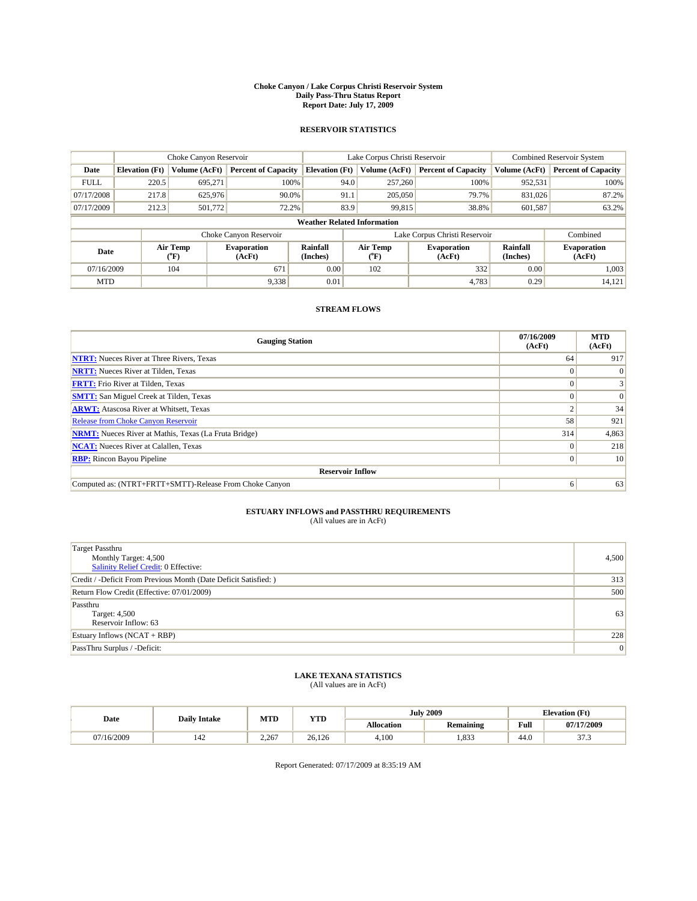#### **Choke Canyon / Lake Corpus Christi Reservoir System Daily Pass-Thru Status Report Report Date: July 17, 2009**

### **RESERVOIR STATISTICS**

|             | Choke Canyon Reservoir             |                                           |                              |                             | Lake Corpus Christi Reservoir | <b>Combined Reservoir System</b> |                             |                              |  |
|-------------|------------------------------------|-------------------------------------------|------------------------------|-----------------------------|-------------------------------|----------------------------------|-----------------------------|------------------------------|--|
| Date        | <b>Elevation</b> (Ft)              | <b>Volume (AcFt)</b>                      | <b>Percent of Capacity</b>   | <b>Elevation</b> (Ft)       | Volume (AcFt)                 | <b>Percent of Capacity</b>       | Volume (AcFt)               | <b>Percent of Capacity</b>   |  |
| <b>FULL</b> | 220.5                              | 695,271                                   | 100%                         | 94.0                        | 257,260                       | 100%                             | 952,531                     | 100%                         |  |
| 07/17/2008  | 217.8                              | 625,976                                   | 90.0%                        | 91.1                        | 205,050                       | 79.7%                            | 831,026                     | 87.2%                        |  |
| 07/17/2009  | 212.3                              | 501,772                                   | 72.2%                        | 83.9                        | 99,815                        | 38.8%                            | 601,587                     | 63.2%                        |  |
|             | <b>Weather Related Information</b> |                                           |                              |                             |                               |                                  |                             |                              |  |
|             |                                    |                                           | Choke Canyon Reservoir       |                             |                               | Lake Corpus Christi Reservoir    |                             | Combined                     |  |
| Date        |                                    | Air Temp<br>$({}^{\mathrm{o}}\mathrm{F})$ | <b>Evaporation</b><br>(AcFt) | <b>Rainfall</b><br>(Inches) | Air Temp<br>(°F)              | <b>Evaporation</b><br>(AcFt)     | <b>Rainfall</b><br>(Inches) | <b>Evaporation</b><br>(AcFt) |  |
| 07/16/2009  |                                    | 104                                       | 671                          | 0.00                        | 102                           | 332                              | 0.00                        | 1.003                        |  |
| <b>MTD</b>  |                                    |                                           | 9,338                        | 0.01                        |                               | 4.783                            | 0.29                        | 14,121                       |  |

## **STREAM FLOWS**

| <b>Gauging Station</b>                                       | 07/16/2009<br>(AcFt) | <b>MTD</b><br>(AcFt) |  |  |  |  |  |
|--------------------------------------------------------------|----------------------|----------------------|--|--|--|--|--|
| <b>NTRT:</b> Nueces River at Three Rivers, Texas             | 64                   | 917                  |  |  |  |  |  |
| <b>NRTT:</b> Nueces River at Tilden, Texas                   | $\Omega$             | $\theta$             |  |  |  |  |  |
| <b>FRTT:</b> Frio River at Tilden, Texas                     |                      |                      |  |  |  |  |  |
| <b>SMTT:</b> San Miguel Creek at Tilden, Texas               |                      | $\Omega$             |  |  |  |  |  |
| <b>ARWT:</b> Atascosa River at Whitsett, Texas               |                      | 34                   |  |  |  |  |  |
| <b>Release from Choke Canyon Reservoir</b>                   | 58                   | 921                  |  |  |  |  |  |
| <b>NRMT:</b> Nueces River at Mathis, Texas (La Fruta Bridge) | 314                  | 4,863                |  |  |  |  |  |
| <b>NCAT:</b> Nueces River at Calallen, Texas                 | $\Omega$             | 218                  |  |  |  |  |  |
| <b>RBP:</b> Rincon Bayou Pipeline                            |                      |                      |  |  |  |  |  |
| <b>Reservoir Inflow</b>                                      |                      |                      |  |  |  |  |  |
| Computed as: (NTRT+FRTT+SMTT)-Release From Choke Canyon      | 6                    | 63                   |  |  |  |  |  |

# **ESTUARY INFLOWS and PASSTHRU REQUIREMENTS**<br>(All values are in AcFt)

| <b>Target Passthru</b><br>Monthly Target: 4,500<br>Salinity Relief Credit: 0 Effective: | 4,500 |
|-----------------------------------------------------------------------------------------|-------|
| Credit / -Deficit From Previous Month (Date Deficit Satisfied: )                        | 313   |
| Return Flow Credit (Effective: 07/01/2009)                                              | 500   |
| Passthru<br>Target: 4,500<br>Reservoir Inflow: 63                                       | 63    |
| Estuary Inflows $(NCAT + RBP)$                                                          | 228   |
| PassThru Surplus / -Deficit:                                                            | 0     |

## **LAKE TEXANA STATISTICS** (All values are in AcFt)

| Date       | <b>Daily Intake</b> | MTD              | <b>YTD</b> |                   | <b>July 2009</b> | <b>Elevation</b> (Ft) |                      |
|------------|---------------------|------------------|------------|-------------------|------------------|-----------------------|----------------------|
|            |                     |                  |            | <b>Allocation</b> | <b>Remaining</b> | Full                  | 07/17/2009           |
| 07/16/2009 | 142                 | 2.267<br>$- - -$ | 26.126     | 4,100             | ,833             | 44.0                  | $\sim$<br>. <u>.</u> |

Report Generated: 07/17/2009 at 8:35:19 AM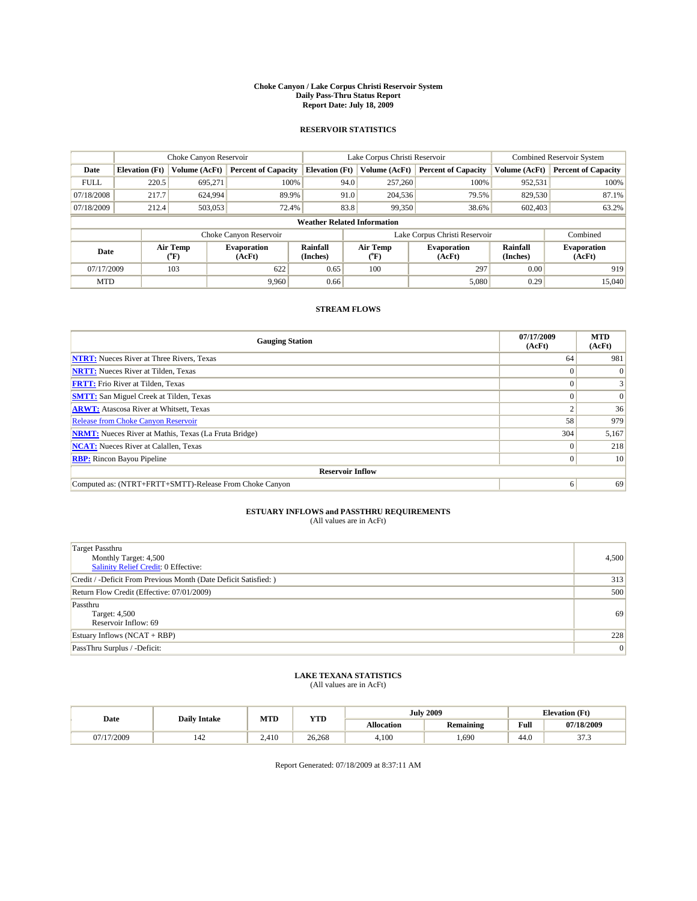#### **Choke Canyon / Lake Corpus Christi Reservoir System Daily Pass-Thru Status Report Report Date: July 18, 2009**

### **RESERVOIR STATISTICS**

|             | Choke Canyon Reservoir             |                                           |                              |                       | Lake Corpus Christi Reservoir | <b>Combined Reservoir System</b> |                      |                              |  |
|-------------|------------------------------------|-------------------------------------------|------------------------------|-----------------------|-------------------------------|----------------------------------|----------------------|------------------------------|--|
| Date        | <b>Elevation</b> (Ft)              | Volume (AcFt)                             | <b>Percent of Capacity</b>   | <b>Elevation</b> (Ft) | Volume (AcFt)                 | <b>Percent of Capacity</b>       | Volume (AcFt)        | <b>Percent of Capacity</b>   |  |
| <b>FULL</b> | 220.5                              | 695.271                                   | 100%                         | 94.0                  | 257,260                       | 100%                             | 952,531              | 100%                         |  |
| 07/18/2008  | 217.7                              | 624,994                                   | 89.9%                        | 91.0                  | 204,536                       | 79.5%                            | 829,530              | 87.1%                        |  |
| 07/18/2009  | 212.4                              | 503,053                                   | 72.4%                        | 83.8                  | 99,350                        | 38.6%                            | 602,403              | 63.2%                        |  |
|             | <b>Weather Related Information</b> |                                           |                              |                       |                               |                                  |                      |                              |  |
|             |                                    |                                           | Choke Canyon Reservoir       |                       |                               | Lake Corpus Christi Reservoir    |                      | Combined                     |  |
| Date        |                                    | Air Temp<br>$({}^{\mathrm{o}}\mathrm{F})$ | <b>Evaporation</b><br>(AcFt) | Rainfall<br>(Inches)  | Air Temp<br>(°F)              | <b>Evaporation</b><br>(AcFt)     | Rainfall<br>(Inches) | <b>Evaporation</b><br>(AcFt) |  |
| 07/17/2009  |                                    | 103                                       | 622                          | 0.65                  | 100                           | 297                              | 0.00                 | 919                          |  |
| <b>MTD</b>  |                                    |                                           | 9.960                        | 0.66                  |                               | 5,080                            | 0.29                 | 15,040                       |  |

### **STREAM FLOWS**

| <b>Gauging Station</b>                                       | 07/17/2009<br>(AcFt) | <b>MTD</b><br>(AcFt) |  |  |  |  |  |
|--------------------------------------------------------------|----------------------|----------------------|--|--|--|--|--|
| <b>NTRT:</b> Nueces River at Three Rivers, Texas             | 64                   | 981                  |  |  |  |  |  |
| <b>NRTT:</b> Nueces River at Tilden, Texas                   | $\Omega$             | $\theta$             |  |  |  |  |  |
| <b>FRTT:</b> Frio River at Tilden, Texas                     |                      |                      |  |  |  |  |  |
| <b>SMTT:</b> San Miguel Creek at Tilden, Texas               |                      | $\Omega$             |  |  |  |  |  |
| <b>ARWT:</b> Atascosa River at Whitsett, Texas               |                      | 36                   |  |  |  |  |  |
| <b>Release from Choke Canyon Reservoir</b>                   | 58                   | 979                  |  |  |  |  |  |
| <b>NRMT:</b> Nueces River at Mathis, Texas (La Fruta Bridge) | 304                  | 5,167                |  |  |  |  |  |
| <b>NCAT:</b> Nueces River at Calallen, Texas                 | $\Omega$             | 218                  |  |  |  |  |  |
| <b>RBP:</b> Rincon Bayou Pipeline                            | $\overline{0}$       | 10                   |  |  |  |  |  |
| <b>Reservoir Inflow</b>                                      |                      |                      |  |  |  |  |  |
| Computed as: (NTRT+FRTT+SMTT)-Release From Choke Canyon      | 6                    | 69                   |  |  |  |  |  |

# **ESTUARY INFLOWS and PASSTHRU REQUIREMENTS**<br>(All values are in AcFt)

| <b>Target Passthru</b><br>Monthly Target: 4,500<br>Salinity Relief Credit: 0 Effective: | 4,500 |
|-----------------------------------------------------------------------------------------|-------|
| Credit / -Deficit From Previous Month (Date Deficit Satisfied: )                        | 313   |
| Return Flow Credit (Effective: 07/01/2009)                                              | 500   |
| Passthru<br>Target: 4,500<br>Reservoir Inflow: 69                                       | 69    |
| Estuary Inflows $(NCAT + RBP)$                                                          | 228   |
| PassThru Surplus / -Deficit:                                                            | 0     |

# **LAKE TEXANA STATISTICS** (All values are in AcFt)

|            | <b>Daily Intake</b> | MTD   | <b>YTD</b> |                   | <b>July 2009</b> | <b>Elevation</b> (Ft)                       |            |
|------------|---------------------|-------|------------|-------------------|------------------|---------------------------------------------|------------|
| Date       |                     |       |            | <b>Allocation</b> | <b>Remaining</b> | Full<br>the contract of the contract of the | 07/18/2009 |
| 07/17/2009 | 142                 | 2.410 | 26.268     | 4.100             | .690             | 44.0                                        | 27.2<br>ر. |

Report Generated: 07/18/2009 at 8:37:11 AM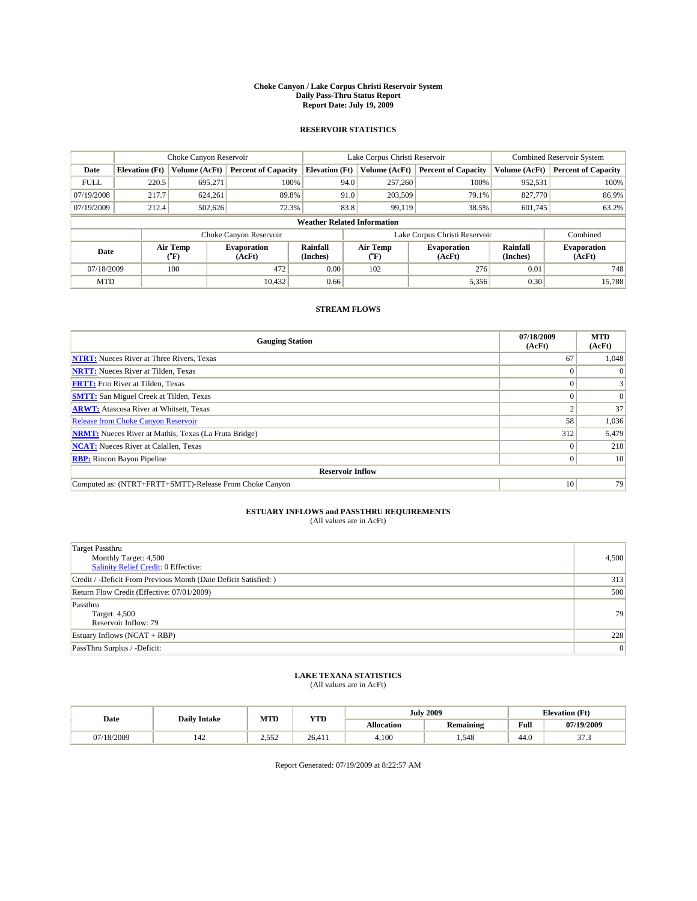#### **Choke Canyon / Lake Corpus Christi Reservoir System Daily Pass-Thru Status Report Report Date: July 19, 2009**

### **RESERVOIR STATISTICS**

|             |                                    | Choke Canyon Reservoir |                              |                             | Lake Corpus Christi Reservoir | Combined Reservoir System     |                      |                              |  |
|-------------|------------------------------------|------------------------|------------------------------|-----------------------------|-------------------------------|-------------------------------|----------------------|------------------------------|--|
| Date        | <b>Elevation</b> (Ft)              | Volume (AcFt)          | <b>Percent of Capacity</b>   | <b>Elevation</b> (Ft)       | Volume (AcFt)                 | <b>Percent of Capacity</b>    | Volume (AcFt)        | <b>Percent of Capacity</b>   |  |
| <b>FULL</b> | 220.5                              | 695,271                | 100%                         | 94.0                        | 257,260                       | 100%                          | 952,531              | 100%                         |  |
| 07/19/2008  | 217.7                              | 624,261                | 89.8%                        | 91.0                        | 203,509                       | 79.1%                         | 827,770              | 86.9%                        |  |
| 07/19/2009  | 212.4                              | 502,626                | 72.3%                        | 83.8                        | 99,119                        | 38.5%                         | 601,745              | 63.2%                        |  |
|             | <b>Weather Related Information</b> |                        |                              |                             |                               |                               |                      |                              |  |
|             |                                    |                        | Choke Canyon Reservoir       |                             |                               | Lake Corpus Christi Reservoir |                      | Combined                     |  |
| Date        |                                    | Air Temp<br>(°F)       | <b>Evaporation</b><br>(AcFt) | <b>Rainfall</b><br>(Inches) | Air Temp<br>$(^{\circ}F)$     | <b>Evaporation</b><br>(AcFt)  | Rainfall<br>(Inches) | <b>Evaporation</b><br>(AcFt) |  |
| 07/18/2009  |                                    | 100                    | 472                          | 0.00                        | 102                           | 276                           | 0.01                 | 748                          |  |
| <b>MTD</b>  |                                    |                        | 10.432                       | 0.66                        |                               | 5,356                         | 0.30                 | 15.788                       |  |

## **STREAM FLOWS**

| <b>Gauging Station</b>                                       | 07/18/2009<br>(AcFt) | <b>MTD</b><br>(AcFt) |  |  |  |  |  |
|--------------------------------------------------------------|----------------------|----------------------|--|--|--|--|--|
| <b>NTRT:</b> Nueces River at Three Rivers, Texas             | 67                   | 1,048                |  |  |  |  |  |
| <b>NRTT:</b> Nueces River at Tilden, Texas                   |                      |                      |  |  |  |  |  |
| <b>FRTT:</b> Frio River at Tilden, Texas                     |                      |                      |  |  |  |  |  |
| <b>SMTT:</b> San Miguel Creek at Tilden, Texas               |                      | $\Omega$             |  |  |  |  |  |
| <b>ARWT:</b> Atascosa River at Whitsett, Texas               |                      | 37                   |  |  |  |  |  |
| <b>Release from Choke Canyon Reservoir</b>                   | 58                   | 1,036                |  |  |  |  |  |
| <b>NRMT:</b> Nueces River at Mathis, Texas (La Fruta Bridge) | 312                  | 5,479                |  |  |  |  |  |
| <b>NCAT:</b> Nueces River at Calallen, Texas                 | $\Omega$             | 218                  |  |  |  |  |  |
| <b>RBP:</b> Rincon Bayou Pipeline                            | $\overline{0}$       | 10                   |  |  |  |  |  |
| <b>Reservoir Inflow</b>                                      |                      |                      |  |  |  |  |  |
| Computed as: (NTRT+FRTT+SMTT)-Release From Choke Canyon      | 10                   | 79                   |  |  |  |  |  |

# **ESTUARY INFLOWS and PASSTHRU REQUIREMENTS**<br>(All values are in AcFt)

| <b>Target Passthru</b><br>Monthly Target: 4,500<br><b>Salinity Relief Credit: 0 Effective:</b> | 4,500 |
|------------------------------------------------------------------------------------------------|-------|
| Credit / -Deficit From Previous Month (Date Deficit Satisfied: )                               | 313   |
| Return Flow Credit (Effective: 07/01/2009)                                                     | 500   |
| Passthru<br>Target: 4,500<br>Reservoir Inflow: 79                                              | 79    |
| Estuary Inflows $(NCAT + RBP)$                                                                 | 228   |
| PassThru Surplus / -Deficit:                                                                   | 0     |

# **LAKE TEXANA STATISTICS** (All values are in AcFt)

|            | <b>Daily Intake</b> | MTD          | <b>YTD</b> |                   | <b>July 2009</b> | <b>Elevation</b> (Ft)                       |                 |
|------------|---------------------|--------------|------------|-------------------|------------------|---------------------------------------------|-----------------|
| Date       |                     |              |            | <b>Allocation</b> | <b>Remaining</b> | Full<br>the contract of the contract of the | 07/19/2009      |
| 07/18/2009 | 142                 | 552<br>ے رہے | 26.411     | 4.100             | .548             | 44.0                                        | 27.2<br>ن. ، ر. |

Report Generated: 07/19/2009 at 8:22:57 AM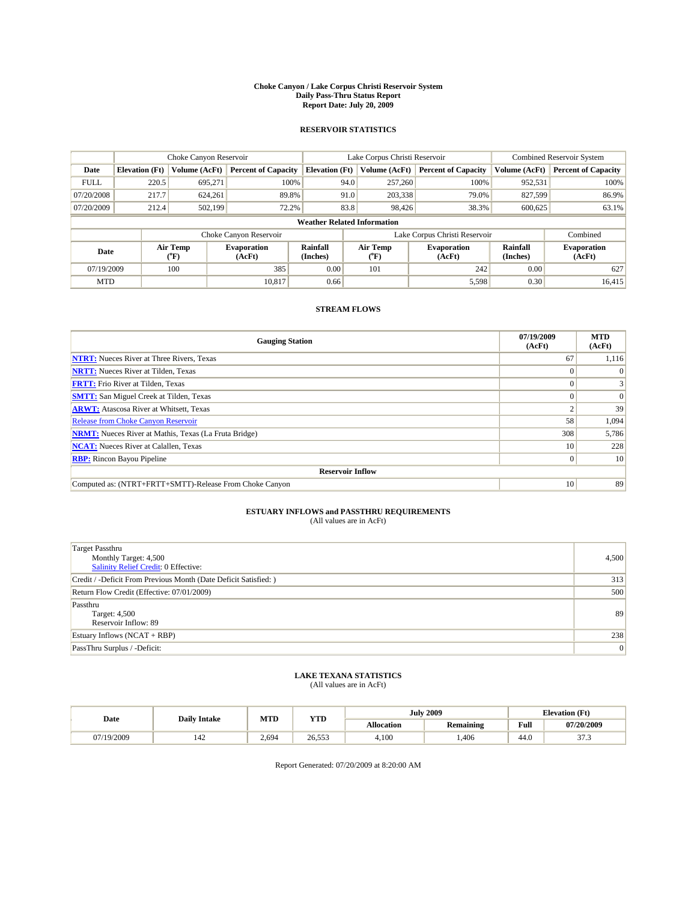#### **Choke Canyon / Lake Corpus Christi Reservoir System Daily Pass-Thru Status Report Report Date: July 20, 2009**

### **RESERVOIR STATISTICS**

|             | Choke Canyon Reservoir             |                                           |                              |                             | Lake Corpus Christi Reservoir | <b>Combined Reservoir System</b> |                      |                              |  |
|-------------|------------------------------------|-------------------------------------------|------------------------------|-----------------------------|-------------------------------|----------------------------------|----------------------|------------------------------|--|
| Date        | <b>Elevation</b> (Ft)              | Volume (AcFt)                             | <b>Percent of Capacity</b>   | <b>Elevation</b> (Ft)       | Volume (AcFt)                 | <b>Percent of Capacity</b>       | Volume (AcFt)        | <b>Percent of Capacity</b>   |  |
| <b>FULL</b> | 220.5                              | 695,271                                   | 100%                         | 94.0                        | 257,260                       | 100%                             | 952,531              | 100%                         |  |
| 07/20/2008  | 217.7                              | 624,261                                   | 89.8%                        | 91.0                        | 203,338                       | 79.0%                            | 827,599              | 86.9%                        |  |
| 07/20/2009  | 212.4                              | 502,199                                   | 72.2%                        | 83.8                        | 98,426                        | 38.3%                            | 600,625              | 63.1%                        |  |
|             | <b>Weather Related Information</b> |                                           |                              |                             |                               |                                  |                      |                              |  |
|             |                                    |                                           | Choke Canyon Reservoir       |                             |                               | Lake Corpus Christi Reservoir    |                      | Combined                     |  |
| Date        |                                    | Air Temp<br>$({}^{\mathrm{o}}\mathrm{F})$ | <b>Evaporation</b><br>(AcFt) | <b>Rainfall</b><br>(Inches) | Air Temp<br>(°F)              | <b>Evaporation</b><br>(AcFt)     | Rainfall<br>(Inches) | <b>Evaporation</b><br>(AcFt) |  |
| 07/19/2009  |                                    | 100                                       | 385                          | 0.00                        | 101                           | 242                              | 0.00                 | 627                          |  |
| <b>MTD</b>  |                                    |                                           | 10.817                       | 0.66                        |                               | 5,598                            | 0.30                 | 16.415                       |  |

## **STREAM FLOWS**

| <b>Gauging Station</b>                                       | 07/19/2009<br>(AcFt) | <b>MTD</b><br>(AcFt) |  |  |  |  |  |
|--------------------------------------------------------------|----------------------|----------------------|--|--|--|--|--|
| <b>NTRT:</b> Nueces River at Three Rivers, Texas             | 67                   | 1,116                |  |  |  |  |  |
| <b>NRTT:</b> Nueces River at Tilden, Texas                   | $\theta$             |                      |  |  |  |  |  |
| <b>FRTT:</b> Frio River at Tilden, Texas                     |                      |                      |  |  |  |  |  |
| <b>SMTT:</b> San Miguel Creek at Tilden, Texas               |                      | $\Omega$             |  |  |  |  |  |
| <b>ARWT:</b> Atascosa River at Whitsett, Texas               |                      | 39                   |  |  |  |  |  |
| <b>Release from Choke Canyon Reservoir</b>                   | 58                   | 1,094                |  |  |  |  |  |
| <b>NRMT:</b> Nueces River at Mathis, Texas (La Fruta Bridge) | 308                  | 5,786                |  |  |  |  |  |
| <b>NCAT:</b> Nueces River at Calallen, Texas                 | 10                   | 228                  |  |  |  |  |  |
| <b>RBP:</b> Rincon Bayou Pipeline                            | $\overline{0}$       | 10                   |  |  |  |  |  |
| <b>Reservoir Inflow</b>                                      |                      |                      |  |  |  |  |  |
| Computed as: (NTRT+FRTT+SMTT)-Release From Choke Canyon      | 10 <sup>1</sup>      | 89                   |  |  |  |  |  |

# **ESTUARY INFLOWS and PASSTHRU REQUIREMENTS**<br>(All values are in AcFt)

| <b>Target Passthru</b><br>Monthly Target: 4,500<br>Salinity Relief Credit: 0 Effective: | 4,500 |
|-----------------------------------------------------------------------------------------|-------|
| Credit / -Deficit From Previous Month (Date Deficit Satisfied: )                        | 313   |
| Return Flow Credit (Effective: 07/01/2009)                                              | 500   |
| Passthru<br>Target: 4,500<br>Reservoir Inflow: 89                                       | 89    |
| Estuary Inflows $(NCAT + RBP)$                                                          | 238   |
| PassThru Surplus / -Deficit:                                                            | 0     |

## **LAKE TEXANA STATISTICS** (All values are in AcFt)

|            | <b>Daily Intake</b> | MTD   | <b>YTD</b> |                   | <b>July 2009</b> | <b>Elevation</b> (Ft)                       |            |
|------------|---------------------|-------|------------|-------------------|------------------|---------------------------------------------|------------|
| Date       |                     |       |            | <b>Allocation</b> | <b>Remaining</b> | Full<br>the contract of the contract of the | 07/20/2009 |
| 07/19/2009 | 142                 | 2.694 | 26.553     | 4.100             | .406             | 44.0                                        | 27.2<br>ر. |

Report Generated: 07/20/2009 at 8:20:00 AM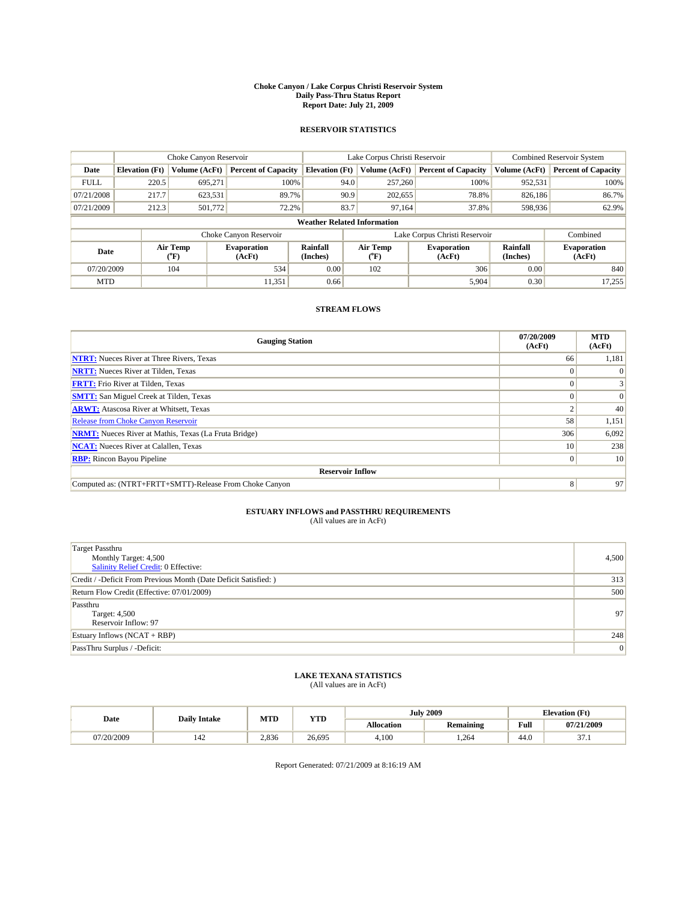#### **Choke Canyon / Lake Corpus Christi Reservoir System Daily Pass-Thru Status Report Report Date: July 21, 2009**

### **RESERVOIR STATISTICS**

|             |                                    | Choke Canyon Reservoir                    |                              |                             | Lake Corpus Christi Reservoir | <b>Combined Reservoir System</b> |                      |                              |  |
|-------------|------------------------------------|-------------------------------------------|------------------------------|-----------------------------|-------------------------------|----------------------------------|----------------------|------------------------------|--|
| Date        | <b>Elevation</b> (Ft)              | Volume (AcFt)                             | <b>Percent of Capacity</b>   | <b>Elevation</b> (Ft)       | Volume (AcFt)                 | <b>Percent of Capacity</b>       | Volume (AcFt)        | <b>Percent of Capacity</b>   |  |
| <b>FULL</b> | 220.5                              | 695,271                                   | 100%                         | 94.0                        | 257,260                       | 100%                             | 952,531              | 100%                         |  |
| 07/21/2008  | 217.7                              | 623,531                                   | 89.7%                        | 90.9                        | 202,655                       | 78.8%                            | 826,186              | 86.7%                        |  |
| 07/21/2009  | 212.3                              | 501,772                                   | 72.2%                        | 83.7                        | 97,164                        | 37.8%                            | 598,936              | 62.9%                        |  |
|             | <b>Weather Related Information</b> |                                           |                              |                             |                               |                                  |                      |                              |  |
|             |                                    |                                           | Choke Canyon Reservoir       |                             |                               | Lake Corpus Christi Reservoir    |                      | Combined                     |  |
| Date        |                                    | Air Temp<br>$({}^{\mathrm{o}}\mathrm{F})$ | <b>Evaporation</b><br>(AcFt) | <b>Rainfall</b><br>(Inches) | Air Temp<br>(°F)              | <b>Evaporation</b><br>(AcFt)     | Rainfall<br>(Inches) | <b>Evaporation</b><br>(AcFt) |  |
| 07/20/2009  |                                    | 104                                       | 534                          | 0.00                        | 102                           | 306                              | 0.00                 | 840                          |  |
| <b>MTD</b>  |                                    |                                           | 11,351                       | 0.66                        |                               | 5,904                            | 0.30                 | 17,255                       |  |

### **STREAM FLOWS**

| <b>Gauging Station</b>                                       | 07/20/2009<br>(AcFt) | <b>MTD</b><br>(AcFt) |  |  |  |  |
|--------------------------------------------------------------|----------------------|----------------------|--|--|--|--|
| <b>NTRT:</b> Nueces River at Three Rivers, Texas             | 66                   | 1,181                |  |  |  |  |
| <b>NRTT:</b> Nueces River at Tilden, Texas                   |                      | $\Omega$             |  |  |  |  |
| <b>FRTT:</b> Frio River at Tilden, Texas                     |                      |                      |  |  |  |  |
| <b>SMTT:</b> San Miguel Creek at Tilden, Texas               |                      | $\Omega$             |  |  |  |  |
| <b>ARWT:</b> Atascosa River at Whitsett, Texas               |                      | 40                   |  |  |  |  |
| <b>Release from Choke Canyon Reservoir</b>                   | 58                   | 1,151                |  |  |  |  |
| <b>NRMT:</b> Nueces River at Mathis, Texas (La Fruta Bridge) | 306                  | 6,092                |  |  |  |  |
| <b>NCAT:</b> Nueces River at Calallen, Texas                 | 10                   | 238                  |  |  |  |  |
| <b>RBP:</b> Rincon Bayou Pipeline                            | 0                    | 10                   |  |  |  |  |
| <b>Reservoir Inflow</b>                                      |                      |                      |  |  |  |  |
| Computed as: (NTRT+FRTT+SMTT)-Release From Choke Canyon      | 8                    | 97                   |  |  |  |  |

# **ESTUARY INFLOWS and PASSTHRU REQUIREMENTS**<br>(All values are in AcFt)

| <b>Target Passthru</b><br>Monthly Target: 4,500<br>Salinity Relief Credit: 0 Effective: | 4,500 |
|-----------------------------------------------------------------------------------------|-------|
| Credit / -Deficit From Previous Month (Date Deficit Satisfied: )                        | 313   |
| Return Flow Credit (Effective: 07/01/2009)                                              | 500   |
| Passthru<br>Target: 4,500<br>Reservoir Inflow: 97                                       | 97    |
| Estuary Inflows $(NCAT + RBP)$                                                          | 248   |
| PassThru Surplus / -Deficit:                                                            | 0     |

# **LAKE TEXANA STATISTICS** (All values are in AcFt)

|            | <b>Daily Intake</b> | MTD   | <b>YTD</b> |                   | <b>July 2009</b> | <b>Elevation</b> (Ft)                       |             |
|------------|---------------------|-------|------------|-------------------|------------------|---------------------------------------------|-------------|
| Date       |                     |       |            | <b>Allocation</b> | <b>Remaining</b> | Full<br>the contract of the contract of the | 07/21/2009  |
| 07/20/2009 | 142                 | 2.836 | 26.695     | 4.100             | .264             | 44.0                                        | $\sim$<br>. |

Report Generated: 07/21/2009 at 8:16:19 AM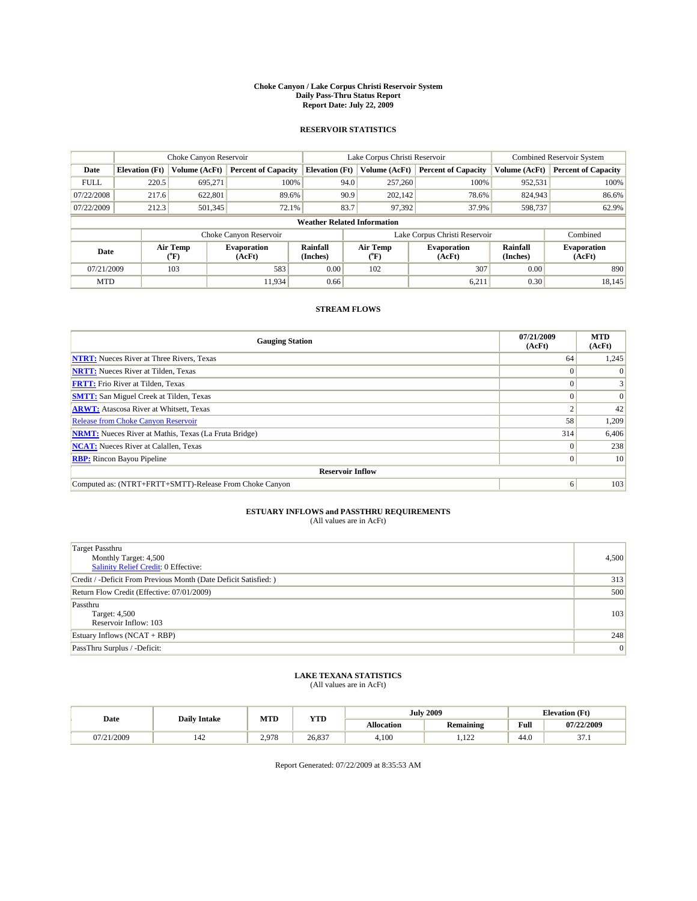#### **Choke Canyon / Lake Corpus Christi Reservoir System Daily Pass-Thru Status Report Report Date: July 22, 2009**

### **RESERVOIR STATISTICS**

|             | Choke Canyon Reservoir             |                                |                              |                       | Lake Corpus Christi Reservoir  | <b>Combined Reservoir System</b> |                      |                              |  |
|-------------|------------------------------------|--------------------------------|------------------------------|-----------------------|--------------------------------|----------------------------------|----------------------|------------------------------|--|
| Date        | <b>Elevation</b> (Ft)              | Volume (AcFt)                  | <b>Percent of Capacity</b>   | <b>Elevation</b> (Ft) | Volume (AcFt)                  | <b>Percent of Capacity</b>       | Volume (AcFt)        | <b>Percent of Capacity</b>   |  |
| <b>FULL</b> | 220.5                              | 695.271                        | 100%                         | 94.0                  | 257,260                        | 100%                             | 952,531              | 100%                         |  |
| 07/22/2008  | 217.6                              | 622,801                        | 89.6%                        | 90.9                  | 202.142                        | 78.6%                            | 824,943              | 86.6%                        |  |
| 07/22/2009  | 212.3                              | 501,345                        | 72.1%                        | 83.7                  | 97,392                         | 37.9%                            | 598,737              | 62.9%                        |  |
|             | <b>Weather Related Information</b> |                                |                              |                       |                                |                                  |                      |                              |  |
|             |                                    |                                | Choke Canyon Reservoir       |                       | Lake Corpus Christi Reservoir  |                                  | Combined             |                              |  |
| Date        |                                    | Air Temp<br>$({}^o\mathrm{F})$ | <b>Evaporation</b><br>(AcFt) | Rainfall<br>(Inches)  | Air Temp<br>$({}^o\mathrm{F})$ | <b>Evaporation</b><br>(AcFt)     | Rainfall<br>(Inches) | <b>Evaporation</b><br>(AcFt) |  |
| 07/21/2009  |                                    | 103                            | 583                          | 0.00                  | 102                            | 307                              | 0.00                 | 890                          |  |
| <b>MTD</b>  |                                    |                                | 11.934                       | 0.66                  |                                | 6,211                            | 0.30                 | 18,145                       |  |

## **STREAM FLOWS**

| <b>Gauging Station</b>                                       | 07/21/2009<br>(AcFt) | <b>MTD</b><br>(AcFt) |  |  |  |  |  |
|--------------------------------------------------------------|----------------------|----------------------|--|--|--|--|--|
| <b>NTRT:</b> Nueces River at Three Rivers, Texas             | 64                   | 1,245                |  |  |  |  |  |
| <b>NRTT:</b> Nueces River at Tilden, Texas                   | $\theta$             |                      |  |  |  |  |  |
| <b>FRTT:</b> Frio River at Tilden, Texas                     |                      |                      |  |  |  |  |  |
| <b>SMTT:</b> San Miguel Creek at Tilden, Texas               |                      | $\Omega$             |  |  |  |  |  |
| <b>ARWT:</b> Atascosa River at Whitsett, Texas               |                      | 42                   |  |  |  |  |  |
| <b>Release from Choke Canyon Reservoir</b>                   | 58                   | 1,209                |  |  |  |  |  |
| <b>NRMT:</b> Nueces River at Mathis, Texas (La Fruta Bridge) | 314                  | 6,406                |  |  |  |  |  |
| <b>NCAT:</b> Nueces River at Calallen, Texas                 | $\theta$             | 238                  |  |  |  |  |  |
| <b>RBP:</b> Rincon Bayou Pipeline                            | $\overline{0}$       | 10                   |  |  |  |  |  |
| <b>Reservoir Inflow</b>                                      |                      |                      |  |  |  |  |  |
| Computed as: (NTRT+FRTT+SMTT)-Release From Choke Canyon      | 6                    | 103                  |  |  |  |  |  |

# **ESTUARY INFLOWS and PASSTHRU REQUIREMENTS**<br>(All values are in AcFt)

| <b>Target Passthru</b><br>Monthly Target: 4,500<br>Salinity Relief Credit: 0 Effective: | 4,500 |
|-----------------------------------------------------------------------------------------|-------|
| Credit / -Deficit From Previous Month (Date Deficit Satisfied: )                        | 313   |
| Return Flow Credit (Effective: 07/01/2009)                                              | 500   |
| Passthru<br>Target: 4,500<br>Reservoir Inflow: 103                                      | 103   |
| Estuary Inflows $(NCAT + RBP)$                                                          | 248   |
| PassThru Surplus / -Deficit:                                                            | 0     |

## **LAKE TEXANA STATISTICS** (All values are in AcFt)

| Date       | <b>Daily Intake</b> | MTD   | <b>YTD</b> |                   | <b>July 2009</b> | <b>Elevation</b> (Ft) |             |
|------------|---------------------|-------|------------|-------------------|------------------|-----------------------|-------------|
|            |                     |       |            | <b>Allocation</b> | <b>Remaining</b> | Full                  | 07/22/2009  |
| 07/21/2009 | 142                 | 2.978 | 26.837     | 4.100             | 100<br>.         | 44.0                  | $\sim$<br>. |

Report Generated: 07/22/2009 at 8:35:53 AM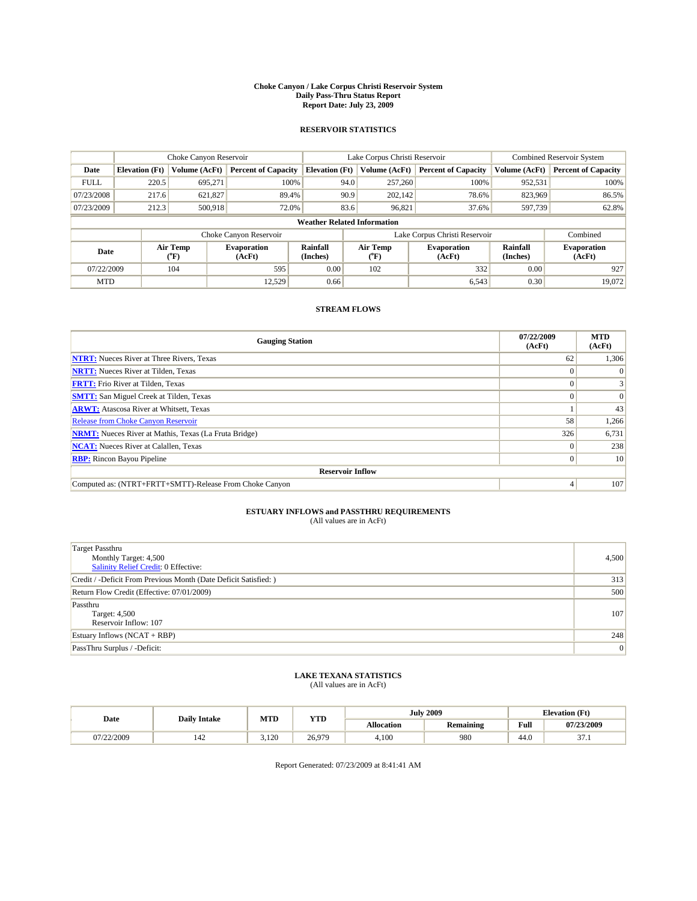#### **Choke Canyon / Lake Corpus Christi Reservoir System Daily Pass-Thru Status Report Report Date: July 23, 2009**

### **RESERVOIR STATISTICS**

|             | Choke Canyon Reservoir             |                                |                              |                       | Lake Corpus Christi Reservoir  | <b>Combined Reservoir System</b> |                      |                              |  |
|-------------|------------------------------------|--------------------------------|------------------------------|-----------------------|--------------------------------|----------------------------------|----------------------|------------------------------|--|
| Date        | <b>Elevation</b> (Ft)              | Volume (AcFt)                  | <b>Percent of Capacity</b>   | <b>Elevation</b> (Ft) | Volume (AcFt)                  | <b>Percent of Capacity</b>       | Volume (AcFt)        | <b>Percent of Capacity</b>   |  |
| <b>FULL</b> | 220.5                              | 695,271                        | 100%                         | 94.0                  | 257,260                        | 100%                             | 952,531              | 100%                         |  |
| 07/23/2008  | 217.6                              | 621,827                        | 89.4%                        | 90.9                  | 202.142                        | 78.6%                            | 823,969              | 86.5%                        |  |
| 07/23/2009  | 212.3                              | 500,918                        | 72.0%                        | 83.6                  | 96,821                         | 37.6%                            | 597,739              | 62.8%                        |  |
|             | <b>Weather Related Information</b> |                                |                              |                       |                                |                                  |                      |                              |  |
|             |                                    |                                | Choke Canyon Reservoir       |                       | Lake Corpus Christi Reservoir  |                                  |                      | Combined                     |  |
| Date        |                                    | Air Temp<br>$({}^o\mathrm{F})$ | <b>Evaporation</b><br>(AcFt) | Rainfall<br>(Inches)  | Air Temp<br>$({}^o\mathrm{F})$ | <b>Evaporation</b><br>(AcFt)     | Rainfall<br>(Inches) | <b>Evaporation</b><br>(AcFt) |  |
| 07/22/2009  |                                    | 104                            | 595                          | 0.00                  | 102                            | 332                              | 0.00                 | 927                          |  |
| <b>MTD</b>  |                                    |                                | 12.529                       | 0.66                  |                                | 6,543                            | 0.30                 | 19.072                       |  |

### **STREAM FLOWS**

| <b>Gauging Station</b>                                       | 07/22/2009<br>(AcFt) | <b>MTD</b><br>(AcFt) |  |  |  |  |  |
|--------------------------------------------------------------|----------------------|----------------------|--|--|--|--|--|
| <b>NTRT:</b> Nueces River at Three Rivers, Texas             | 62                   | 1,306                |  |  |  |  |  |
| <b>NRTT:</b> Nueces River at Tilden, Texas                   |                      |                      |  |  |  |  |  |
| <b>FRTT:</b> Frio River at Tilden, Texas                     |                      |                      |  |  |  |  |  |
| <b>SMTT:</b> San Miguel Creek at Tilden, Texas               |                      | $\Omega$             |  |  |  |  |  |
| <b>ARWT:</b> Atascosa River at Whitsett, Texas               |                      | 43                   |  |  |  |  |  |
| <b>Release from Choke Canyon Reservoir</b>                   | 58                   | 1,266                |  |  |  |  |  |
| <b>NRMT:</b> Nueces River at Mathis, Texas (La Fruta Bridge) | 326                  | 6,731                |  |  |  |  |  |
| <b>NCAT:</b> Nueces River at Calallen, Texas                 | $\theta$             | 238                  |  |  |  |  |  |
| <b>RBP:</b> Rincon Bayou Pipeline                            | $\overline{0}$       | 10                   |  |  |  |  |  |
| <b>Reservoir Inflow</b>                                      |                      |                      |  |  |  |  |  |
| Computed as: (NTRT+FRTT+SMTT)-Release From Choke Canyon      |                      | 107                  |  |  |  |  |  |

# **ESTUARY INFLOWS and PASSTHRU REQUIREMENTS**<br>(All values are in AcFt)

| <b>Target Passthru</b><br>Monthly Target: 4,500<br>Salinity Relief Credit: 0 Effective: | 4,500 |
|-----------------------------------------------------------------------------------------|-------|
| Credit / -Deficit From Previous Month (Date Deficit Satisfied: )                        | 313   |
| Return Flow Credit (Effective: 07/01/2009)                                              | 500   |
| Passthru<br>Target: 4,500<br>Reservoir Inflow: 107                                      | 107   |
| Estuary Inflows $(NCAT + RBP)$                                                          | 248   |
| PassThru Surplus / -Deficit:                                                            | 0     |

# **LAKE TEXANA STATISTICS** (All values are in AcFt)

|            | <b>Daily Intake</b> | MTD   | <b>YTD</b> |                   | <b>July 2009</b> | <b>Elevation</b> (Ft)                       |             |
|------------|---------------------|-------|------------|-------------------|------------------|---------------------------------------------|-------------|
| Date       |                     |       |            | <b>Allocation</b> | <b>Remaining</b> | Full<br>the contract of the contract of the | 07/23/2009  |
| 07/22/2009 | 142                 | 3.120 | 26.979     | 4.100             | 980              | 44.0                                        | $\sim$<br>. |

Report Generated: 07/23/2009 at 8:41:41 AM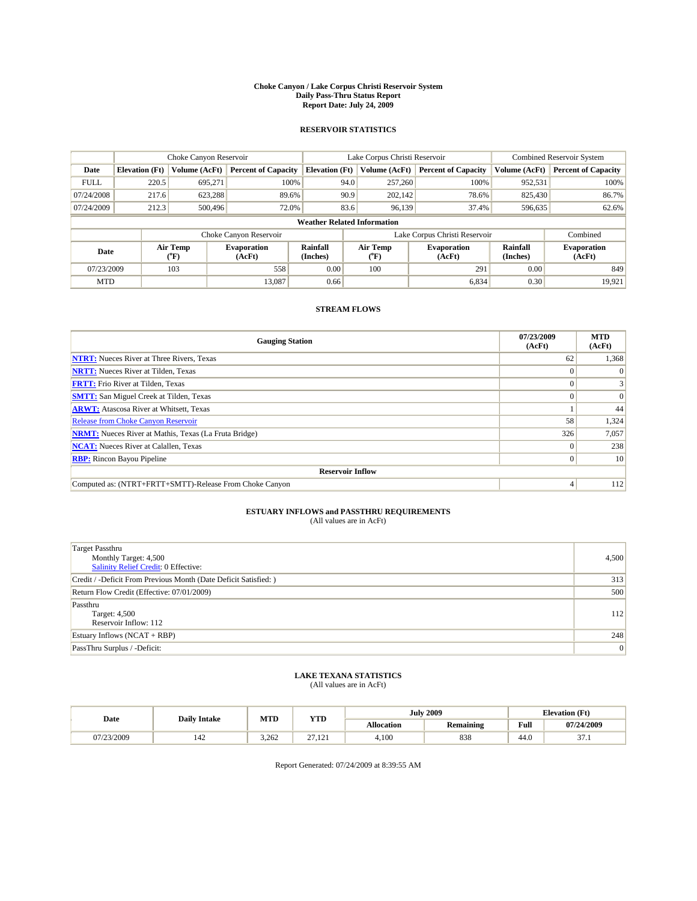#### **Choke Canyon / Lake Corpus Christi Reservoir System Daily Pass-Thru Status Report Report Date: July 24, 2009**

### **RESERVOIR STATISTICS**

|             | Choke Canyon Reservoir             |                                           |                              |                             | Lake Corpus Christi Reservoir | <b>Combined Reservoir System</b> |                      |                              |  |
|-------------|------------------------------------|-------------------------------------------|------------------------------|-----------------------------|-------------------------------|----------------------------------|----------------------|------------------------------|--|
| Date        | <b>Elevation</b> (Ft)              | Volume (AcFt)                             | <b>Percent of Capacity</b>   | <b>Elevation</b> (Ft)       | Volume (AcFt)                 | <b>Percent of Capacity</b>       | Volume (AcFt)        | <b>Percent of Capacity</b>   |  |
| <b>FULL</b> | 220.5                              | 695,271                                   | 100%                         | 94.0                        | 257,260                       | 100%                             | 952,531              | 100%                         |  |
| 07/24/2008  | 217.6                              | 623,288                                   | 89.6%                        | 90.9                        | 202,142                       | 78.6%                            | 825,430              | 86.7%                        |  |
| 07/24/2009  | 212.3                              | 500,496                                   | 72.0%                        | 83.6                        | 96,139                        | 37.4%                            | 596,635              | 62.6%                        |  |
|             | <b>Weather Related Information</b> |                                           |                              |                             |                               |                                  |                      |                              |  |
|             |                                    |                                           | Choke Canyon Reservoir       |                             |                               | Lake Corpus Christi Reservoir    |                      | Combined                     |  |
| Date        |                                    | Air Temp<br>$({}^{\mathrm{o}}\mathrm{F})$ | <b>Evaporation</b><br>(AcFt) | <b>Rainfall</b><br>(Inches) | Air Temp<br>(°F)              | <b>Evaporation</b><br>(AcFt)     | Rainfall<br>(Inches) | <b>Evaporation</b><br>(AcFt) |  |
| 07/23/2009  |                                    | 103                                       | 558                          | 0.00                        | 100                           | 291                              | 0.00                 | 849                          |  |
| <b>MTD</b>  |                                    |                                           | 13.087                       | 0.66                        |                               | 6,834                            | 0.30                 | 19,921                       |  |

## **STREAM FLOWS**

| <b>Gauging Station</b>                                       | 07/23/2009<br>(AcFt) | <b>MTD</b><br>(AcFt) |  |  |  |  |  |
|--------------------------------------------------------------|----------------------|----------------------|--|--|--|--|--|
| <b>NTRT:</b> Nueces River at Three Rivers, Texas             | 62                   | 1,368                |  |  |  |  |  |
| <b>NRTT:</b> Nueces River at Tilden, Texas                   |                      |                      |  |  |  |  |  |
| <b>FRTT:</b> Frio River at Tilden, Texas                     |                      |                      |  |  |  |  |  |
| <b>SMTT:</b> San Miguel Creek at Tilden, Texas               |                      | $\Omega$             |  |  |  |  |  |
| <b>ARWT:</b> Atascosa River at Whitsett, Texas               |                      | 44                   |  |  |  |  |  |
| Release from Choke Canyon Reservoir                          | 58                   | 1,324                |  |  |  |  |  |
| <b>NRMT:</b> Nueces River at Mathis, Texas (La Fruta Bridge) | 326                  | 7,057                |  |  |  |  |  |
| <b>NCAT:</b> Nueces River at Calallen, Texas                 |                      | 238                  |  |  |  |  |  |
| <b>RBP:</b> Rincon Bayou Pipeline                            | $\Omega$             | 10                   |  |  |  |  |  |
| <b>Reservoir Inflow</b>                                      |                      |                      |  |  |  |  |  |
| Computed as: (NTRT+FRTT+SMTT)-Release From Choke Canyon      | $\overline{4}$       | 112                  |  |  |  |  |  |

# **ESTUARY INFLOWS and PASSTHRU REQUIREMENTS**<br>(All values are in AcFt)

| <b>Target Passthru</b><br>Monthly Target: 4,500<br><b>Salinity Relief Credit: 0 Effective:</b> | 4,500 |
|------------------------------------------------------------------------------------------------|-------|
| Credit / -Deficit From Previous Month (Date Deficit Satisfied: )                               | 313   |
| Return Flow Credit (Effective: 07/01/2009)                                                     | 500   |
| Passthru<br>Target: 4,500<br>Reservoir Inflow: 112                                             | 112   |
| Estuary Inflows $(NCAT + RBP)$                                                                 | 248   |
| PassThru Surplus / -Deficit:                                                                   | 0     |

## **LAKE TEXANA STATISTICS** (All values are in AcFt)

|            | <b>Daily Intake</b> | MTD   | <b>YTD</b>              |                   | <b>July 2009</b> | <b>Elevation</b> (Ft)                       |             |
|------------|---------------------|-------|-------------------------|-------------------|------------------|---------------------------------------------|-------------|
| Date       |                     |       |                         | <b>Allocation</b> | <b>Remaining</b> | Full<br>the contract of the contract of the | 07/24/2009  |
| 07/23/2009 | 142                 | 3.262 | $\sim$<br>101<br>21.121 | 4.100             | 838              | 44.0                                        | $\sim$<br>. |

Report Generated: 07/24/2009 at 8:39:55 AM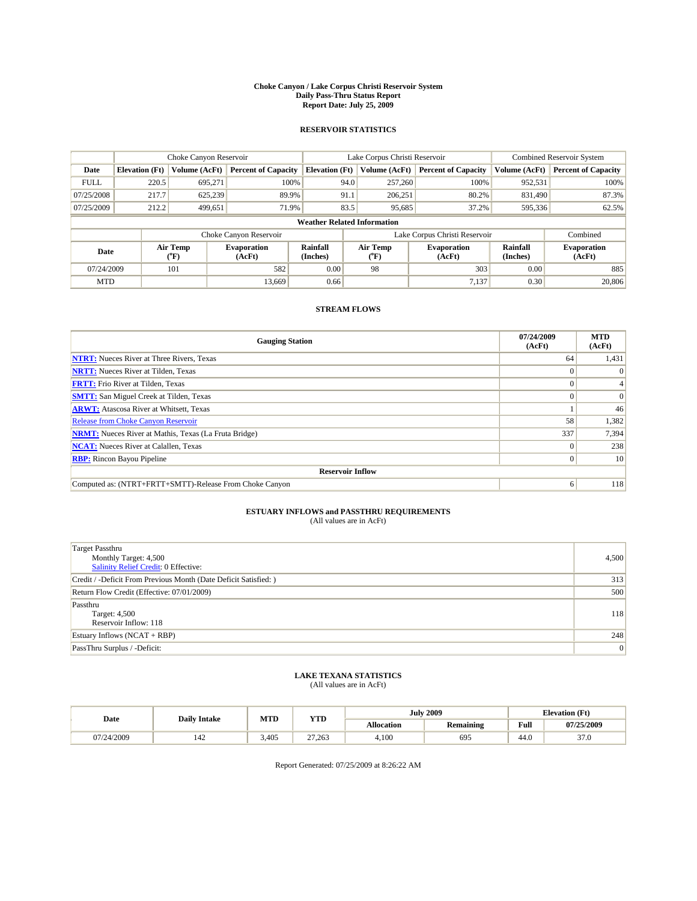#### **Choke Canyon / Lake Corpus Christi Reservoir System Daily Pass-Thru Status Report Report Date: July 25, 2009**

### **RESERVOIR STATISTICS**

|             | Choke Canyon Reservoir             |                                |                              |                       | Lake Corpus Christi Reservoir | <b>Combined Reservoir System</b> |                      |                              |  |  |
|-------------|------------------------------------|--------------------------------|------------------------------|-----------------------|-------------------------------|----------------------------------|----------------------|------------------------------|--|--|
| Date        | <b>Elevation</b> (Ft)              | Volume (AcFt)                  | <b>Percent of Capacity</b>   | <b>Elevation</b> (Ft) | Volume (AcFt)                 | <b>Percent of Capacity</b>       | Volume (AcFt)        | <b>Percent of Capacity</b>   |  |  |
| <b>FULL</b> | 220.5                              | 695.271                        | 100%                         | 94.0                  | 257,260                       | 100%                             | 952,531              | 100%                         |  |  |
| 07/25/2008  | 217.7                              | 625,239                        | 89.9%                        | 91.1                  | 206,251                       | 80.2%                            | 831.490              | 87.3%                        |  |  |
| 07/25/2009  | 212.2                              | 499,651                        | 71.9%                        | 83.5                  | 95,685                        | 37.2%                            | 595,336              | 62.5%                        |  |  |
|             | <b>Weather Related Information</b> |                                |                              |                       |                               |                                  |                      |                              |  |  |
|             |                                    |                                | Choke Canyon Reservoir       |                       | Lake Corpus Christi Reservoir |                                  |                      | Combined                     |  |  |
| Date        |                                    | Air Temp<br>$({}^o\mathrm{F})$ | <b>Evaporation</b><br>(AcFt) | Rainfall<br>(Inches)  | Air Temp<br>(°F)              | <b>Evaporation</b><br>(AcFt)     | Rainfall<br>(Inches) | <b>Evaporation</b><br>(AcFt) |  |  |
| 07/24/2009  |                                    | 101                            | 582                          | 0.00                  | 98                            | 303                              | 0.00                 | 885                          |  |  |
| <b>MTD</b>  |                                    |                                | 13.669                       | 0.66                  |                               | 7,137                            | 0.30                 | 20,806                       |  |  |

## **STREAM FLOWS**

| <b>Gauging Station</b>                                       | 07/24/2009<br>(AcFt) | <b>MTD</b><br>(AcFt) |  |  |  |  |  |
|--------------------------------------------------------------|----------------------|----------------------|--|--|--|--|--|
| <b>NTRT:</b> Nueces River at Three Rivers, Texas             | 64                   | 1,431                |  |  |  |  |  |
| <b>NRTT:</b> Nueces River at Tilden, Texas                   |                      |                      |  |  |  |  |  |
| <b>FRTT:</b> Frio River at Tilden, Texas                     |                      |                      |  |  |  |  |  |
| <b>SMTT:</b> San Miguel Creek at Tilden, Texas               |                      | $\Omega$             |  |  |  |  |  |
| <b>ARWT:</b> Atascosa River at Whitsett, Texas               |                      | 46                   |  |  |  |  |  |
| <b>Release from Choke Canyon Reservoir</b>                   | 58                   | 1,382                |  |  |  |  |  |
| <b>NRMT:</b> Nueces River at Mathis, Texas (La Fruta Bridge) | 337                  | 7,394                |  |  |  |  |  |
| <b>NCAT:</b> Nueces River at Calallen, Texas                 | $\Omega$             | 238                  |  |  |  |  |  |
| <b>RBP:</b> Rincon Bayou Pipeline                            | $\overline{0}$       | 10                   |  |  |  |  |  |
| <b>Reservoir Inflow</b>                                      |                      |                      |  |  |  |  |  |
| Computed as: (NTRT+FRTT+SMTT)-Release From Choke Canyon      | 6                    | 118                  |  |  |  |  |  |

# **ESTUARY INFLOWS and PASSTHRU REQUIREMENTS**<br>(All values are in AcFt)

| <b>Target Passthru</b><br>Monthly Target: 4,500<br><b>Salinity Relief Credit: 0 Effective:</b> | 4,500 |
|------------------------------------------------------------------------------------------------|-------|
| Credit / -Deficit From Previous Month (Date Deficit Satisfied: )                               | 313   |
| Return Flow Credit (Effective: 07/01/2009)                                                     | 500   |
| Passthru<br>Target: 4,500<br>Reservoir Inflow: 118                                             | 118   |
| Estuary Inflows $(NCAT + RBP)$                                                                 | 248   |
| PassThru Surplus / -Deficit:                                                                   | 0     |

## **LAKE TEXANA STATISTICS** (All values are in AcFt)

|            | <b>Daily Intake</b>   | MTD   | <b>YTD</b> |                   | <b>July 2009</b> | <b>Elevation</b> (Ft) |            |
|------------|-----------------------|-------|------------|-------------------|------------------|-----------------------|------------|
| Date       |                       |       |            | <b>Allocation</b> | Remaining        | Full                  | 07/25/2009 |
| 07/24/2009 | $\overline{A}$<br>142 | 3.405 | 27.263     | 4.100             | 695              | 44.0                  | 37.0       |

Report Generated: 07/25/2009 at 8:26:22 AM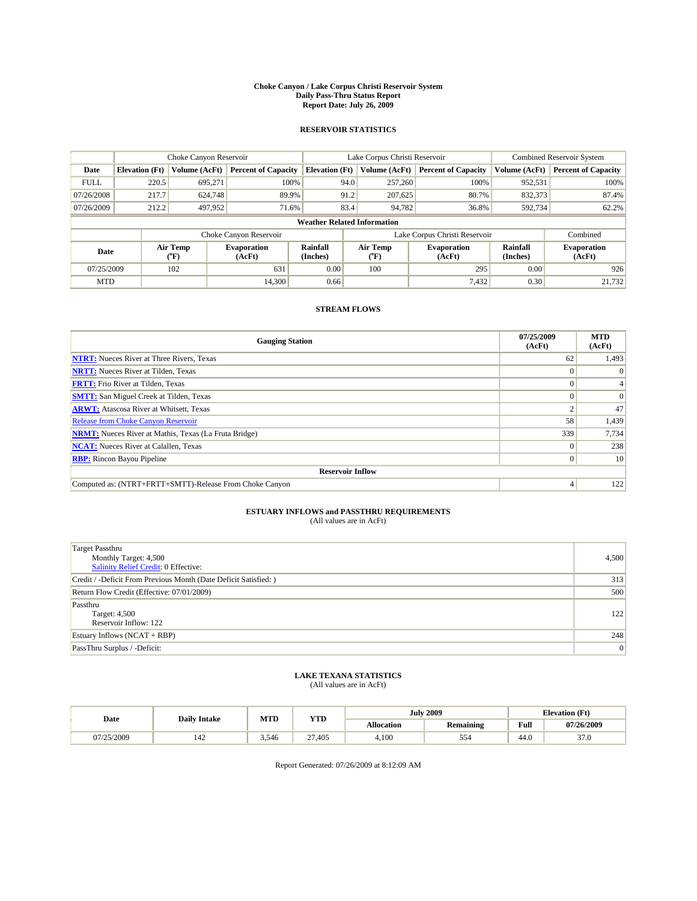#### **Choke Canyon / Lake Corpus Christi Reservoir System Daily Pass-Thru Status Report Report Date: July 26, 2009**

### **RESERVOIR STATISTICS**

|             | Choke Canyon Reservoir             |                                |                              |                       | Lake Corpus Christi Reservoir  | <b>Combined Reservoir System</b> |                      |                              |  |  |
|-------------|------------------------------------|--------------------------------|------------------------------|-----------------------|--------------------------------|----------------------------------|----------------------|------------------------------|--|--|
| Date        | <b>Elevation</b> (Ft)              | Volume (AcFt)                  | <b>Percent of Capacity</b>   | <b>Elevation</b> (Ft) | Volume (AcFt)                  | <b>Percent of Capacity</b>       | Volume (AcFt)        | <b>Percent of Capacity</b>   |  |  |
| <b>FULL</b> | 220.5                              | 695,271                        | 100%                         | 94.0                  | 257,260                        | 100%                             | 952,531              | 100%                         |  |  |
| 07/26/2008  | 217.7                              | 624,748                        | 89.9%                        | 91.2                  | 207,625                        | 80.7%                            | 832,373              | 87.4%                        |  |  |
| 07/26/2009  | 212.2                              | 497,952                        | 71.6%                        | 83.4                  | 94,782                         | 36.8%                            | 592,734              | 62.2%                        |  |  |
|             | <b>Weather Related Information</b> |                                |                              |                       |                                |                                  |                      |                              |  |  |
|             |                                    |                                | Choke Canyon Reservoir       |                       |                                | Lake Corpus Christi Reservoir    |                      | Combined                     |  |  |
| Date        |                                    | Air Temp<br>$({}^o\mathrm{F})$ | <b>Evaporation</b><br>(AcFt) | Rainfall<br>(Inches)  | Air Temp<br>$({}^o\mathrm{F})$ | <b>Evaporation</b><br>(AcFt)     | Rainfall<br>(Inches) | <b>Evaporation</b><br>(AcFt) |  |  |
| 07/25/2009  |                                    | 102                            | 631                          | 0.00                  | 100                            | 295                              | 0.00                 | 926                          |  |  |
| <b>MTD</b>  |                                    |                                | 14.300                       | 0.66                  |                                | 7,432                            | 0.30                 | 21,732                       |  |  |

## **STREAM FLOWS**

| <b>Gauging Station</b>                                       | 07/25/2009<br>(AcFt) | <b>MTD</b><br>(AcFt) |  |  |  |  |  |
|--------------------------------------------------------------|----------------------|----------------------|--|--|--|--|--|
| <b>NTRT:</b> Nueces River at Three Rivers, Texas             | 62                   | 1,493                |  |  |  |  |  |
| <b>NRTT:</b> Nueces River at Tilden, Texas                   |                      |                      |  |  |  |  |  |
| <b>FRTT:</b> Frio River at Tilden, Texas                     |                      |                      |  |  |  |  |  |
| <b>SMTT:</b> San Miguel Creek at Tilden, Texas               |                      | $\Omega$             |  |  |  |  |  |
| <b>ARWT:</b> Atascosa River at Whitsett, Texas               |                      | 47                   |  |  |  |  |  |
| <b>Release from Choke Canyon Reservoir</b>                   | 58                   | 1,439                |  |  |  |  |  |
| <b>NRMT:</b> Nueces River at Mathis, Texas (La Fruta Bridge) | 339                  | 7,734                |  |  |  |  |  |
| <b>NCAT:</b> Nueces River at Calallen, Texas                 | $\theta$             | 238                  |  |  |  |  |  |
| <b>RBP:</b> Rincon Bayou Pipeline                            | $\overline{0}$       | 10                   |  |  |  |  |  |
| <b>Reservoir Inflow</b>                                      |                      |                      |  |  |  |  |  |
| Computed as: (NTRT+FRTT+SMTT)-Release From Choke Canyon      |                      | 122                  |  |  |  |  |  |

# **ESTUARY INFLOWS and PASSTHRU REQUIREMENTS**<br>(All values are in AcFt)

| <b>Target Passthru</b><br>Monthly Target: 4,500<br>Salinity Relief Credit: 0 Effective: | 4,500 |
|-----------------------------------------------------------------------------------------|-------|
| Credit / -Deficit From Previous Month (Date Deficit Satisfied: )                        | 313   |
| Return Flow Credit (Effective: 07/01/2009)                                              | 500   |
| Passthru<br>Target: 4,500<br>Reservoir Inflow: 122                                      | 122   |
| Estuary Inflows $(NCAT + RBP)$                                                          | 248   |
| PassThru Surplus / -Deficit:                                                            | 0     |

## **LAKE TEXANA STATISTICS** (All values are in AcFt)

|            | <b>Daily Intake</b> | MTD   | <b>YTD</b> |                   | <b>July 2009</b> | <b>Elevation</b> (Ft)                       |            |
|------------|---------------------|-------|------------|-------------------|------------------|---------------------------------------------|------------|
| Date       |                     |       |            | <b>Allocation</b> | <b>Remaining</b> | Full<br>the contract of the contract of the | 07/26/2009 |
| 07/25/2009 | 142                 | 3.546 | 27.405     | 4.100             | 554              | 44.0                                        | 37.0       |

Report Generated: 07/26/2009 at 8:12:09 AM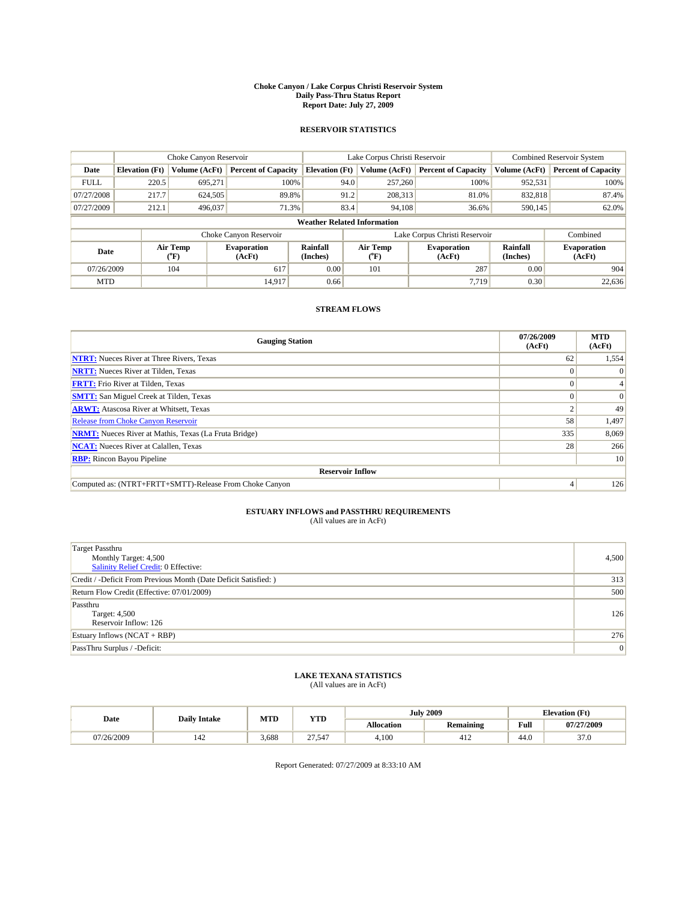#### **Choke Canyon / Lake Corpus Christi Reservoir System Daily Pass-Thru Status Report Report Date: July 27, 2009**

### **RESERVOIR STATISTICS**

|             | Choke Canyon Reservoir             |                                           |                              |                             | Lake Corpus Christi Reservoir           | <b>Combined Reservoir System</b> |                      |                              |  |  |
|-------------|------------------------------------|-------------------------------------------|------------------------------|-----------------------------|-----------------------------------------|----------------------------------|----------------------|------------------------------|--|--|
| Date        | <b>Elevation</b> (Ft)              | Volume (AcFt)                             | <b>Percent of Capacity</b>   | <b>Elevation</b> (Ft)       | Volume (AcFt)                           | <b>Percent of Capacity</b>       | Volume (AcFt)        | <b>Percent of Capacity</b>   |  |  |
| <b>FULL</b> | 220.5                              | 695,271                                   | 100%                         | 94.0                        | 257,260                                 | 100%                             | 952,531              | 100%                         |  |  |
| 07/27/2008  | 217.7                              | 624,505                                   | 89.8%                        | 91.2                        | 208,313                                 | 81.0%                            | 832,818              | 87.4%                        |  |  |
| 07/27/2009  | 212.1                              | 496,037                                   | 71.3%                        | 83.4                        | 94,108                                  | 36.6%                            | 590,145              | 62.0%                        |  |  |
|             | <b>Weather Related Information</b> |                                           |                              |                             |                                         |                                  |                      |                              |  |  |
|             |                                    |                                           | Choke Canyon Reservoir       |                             |                                         | Lake Corpus Christi Reservoir    |                      | Combined                     |  |  |
| Date        |                                    | Air Temp<br>$({}^{\mathrm{o}}\mathrm{F})$ | <b>Evaporation</b><br>(AcFt) | <b>Rainfall</b><br>(Inches) | Air Temp<br>$(^{\mathrm{o}}\mathrm{F})$ | <b>Evaporation</b><br>(AcFt)     | Rainfall<br>(Inches) | <b>Evaporation</b><br>(AcFt) |  |  |
| 07/26/2009  |                                    | 104                                       | 617                          | 0.00                        | 101                                     | 287                              | 0.00                 | 904                          |  |  |
| <b>MTD</b>  |                                    |                                           | 14.917                       | 0.66                        |                                         | 7.719                            | 0.30                 | 22,636                       |  |  |

## **STREAM FLOWS**

| <b>Gauging Station</b>                                       | 07/26/2009<br>(AcFt) | <b>MTD</b><br>(AcFt) |  |  |  |  |  |
|--------------------------------------------------------------|----------------------|----------------------|--|--|--|--|--|
| <b>NTRT:</b> Nueces River at Three Rivers, Texas             | 62                   | 1,554                |  |  |  |  |  |
| <b>NRTT:</b> Nueces River at Tilden, Texas                   |                      |                      |  |  |  |  |  |
| <b>FRTT:</b> Frio River at Tilden, Texas                     |                      |                      |  |  |  |  |  |
| <b>SMTT:</b> San Miguel Creek at Tilden, Texas               |                      | $\Omega$             |  |  |  |  |  |
| <b>ARWT:</b> Atascosa River at Whitsett, Texas               |                      | 49                   |  |  |  |  |  |
| <b>Release from Choke Canyon Reservoir</b>                   | 58                   | 1,497                |  |  |  |  |  |
| <b>NRMT:</b> Nueces River at Mathis, Texas (La Fruta Bridge) | 335                  | 8,069                |  |  |  |  |  |
| <b>NCAT:</b> Nueces River at Calallen, Texas                 | 28                   | 266                  |  |  |  |  |  |
| <b>RBP:</b> Rincon Bayou Pipeline                            |                      | 10                   |  |  |  |  |  |
| <b>Reservoir Inflow</b>                                      |                      |                      |  |  |  |  |  |
| Computed as: (NTRT+FRTT+SMTT)-Release From Choke Canyon      |                      | 126                  |  |  |  |  |  |

# **ESTUARY INFLOWS and PASSTHRU REQUIREMENTS**<br>(All values are in AcFt)

| <b>Target Passthru</b><br>Monthly Target: 4,500<br>Salinity Relief Credit: 0 Effective: | 4,500 |
|-----------------------------------------------------------------------------------------|-------|
| Credit / -Deficit From Previous Month (Date Deficit Satisfied: )                        | 313   |
| Return Flow Credit (Effective: 07/01/2009)                                              | 500   |
| Passthru<br>Target: 4,500<br>Reservoir Inflow: 126                                      | 126   |
| Estuary Inflows $(NCAT + RBP)$                                                          | 276   |
| PassThru Surplus / -Deficit:                                                            | 0     |

## **LAKE TEXANA STATISTICS** (All values are in AcFt)

| Date       | <b>Daily Intake</b> | MTD   | <b>YTD</b> |                   | <b>July 2009</b>      | <b>Elevation</b> (Ft) |                |
|------------|---------------------|-------|------------|-------------------|-----------------------|-----------------------|----------------|
|            |                     |       |            | <b>Allocation</b> | <b>Remaining</b>      | Full                  | 07/27/2009     |
| 07/26/2009 | 142                 | 3.688 | 27.547     | 4.100             | 1 <sup>2</sup><br>414 | 44.0                  | $\sim$<br>37.0 |

Report Generated: 07/27/2009 at 8:33:10 AM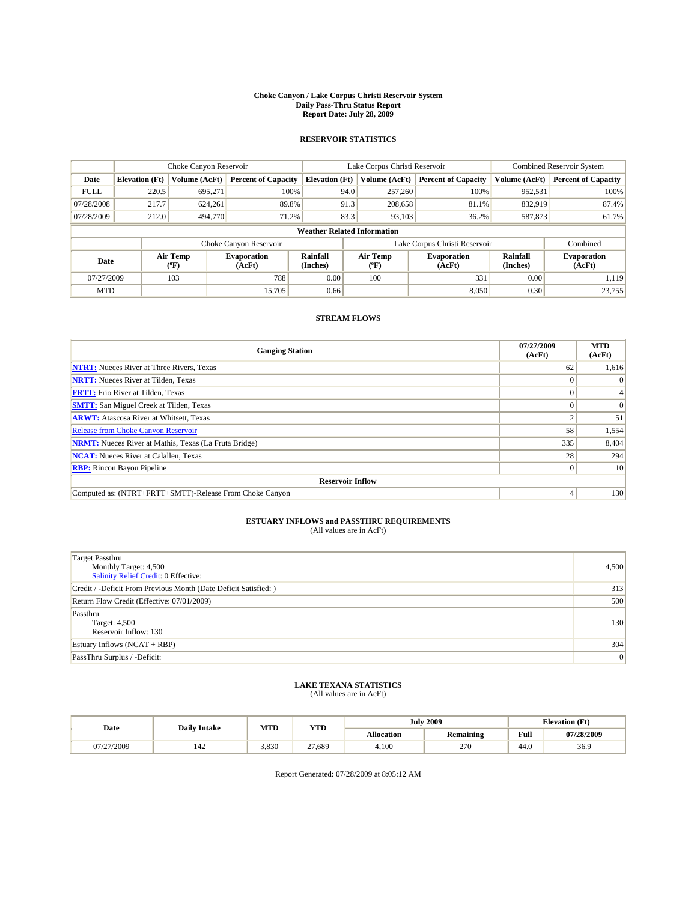#### **Choke Canyon / Lake Corpus Christi Reservoir System Daily Pass-Thru Status Report Report Date: July 28, 2009**

## **RESERVOIR STATISTICS**

|             | Choke Canyon Reservoir             |                  |                              |                       | Lake Corpus Christi Reservoir | Combined Reservoir System     |                      |                              |  |
|-------------|------------------------------------|------------------|------------------------------|-----------------------|-------------------------------|-------------------------------|----------------------|------------------------------|--|
| Date        | <b>Elevation</b> (Ft)              | Volume (AcFt)    | <b>Percent of Capacity</b>   | <b>Elevation</b> (Ft) | Volume (AcFt)                 | <b>Percent of Capacity</b>    | Volume (AcFt)        | <b>Percent of Capacity</b>   |  |
| <b>FULL</b> | 220.5                              | 695.271          | 100%                         |                       | 94.0<br>257,260               | 100%                          | 952,531              | 100%                         |  |
| 07/28/2008  | 217.7                              | 624,261          | 89.8%                        |                       | 91.3<br>208,658               | 81.1%                         | 832,919              | 87.4%                        |  |
| 07/28/2009  | 212.0                              | 494,770          | 71.2%                        |                       | 83.3<br>93.103                | 36.2%                         | 587,873              | 61.7%                        |  |
|             | <b>Weather Related Information</b> |                  |                              |                       |                               |                               |                      |                              |  |
|             |                                    |                  | Choke Canyon Reservoir       |                       |                               | Lake Corpus Christi Reservoir |                      | Combined                     |  |
| Date        |                                    | Air Temp<br>(°F) | <b>Evaporation</b><br>(AcFt) | Rainfall<br>(Inches)  | Air Temp<br>″F)               | <b>Evaporation</b><br>(AcFt)  | Rainfall<br>(Inches) | <b>Evaporation</b><br>(AcFt) |  |
| 07/27/2009  |                                    | 103              | 788                          | 0.00                  | 100                           | 331                           | 0.00                 | 1.119                        |  |
| <b>MTD</b>  |                                    |                  | 15,705                       | 0.66                  |                               | 8.050                         | 0.30                 | 23,755                       |  |

### **STREAM FLOWS**

| <b>Gauging Station</b>                                       | 07/27/2009<br>(AcFt) | <b>MTD</b><br>(AcFt) |  |  |  |  |  |
|--------------------------------------------------------------|----------------------|----------------------|--|--|--|--|--|
| <b>NTRT:</b> Nueces River at Three Rivers, Texas             | 62                   | 1,616                |  |  |  |  |  |
| <b>NRTT:</b> Nueces River at Tilden, Texas                   |                      | $\Omega$             |  |  |  |  |  |
| <b>FRTT:</b> Frio River at Tilden, Texas                     |                      |                      |  |  |  |  |  |
| <b>SMTT:</b> San Miguel Creek at Tilden, Texas               |                      | $\vert 0 \vert$      |  |  |  |  |  |
| <b>ARWT:</b> Atascosa River at Whitsett, Texas               |                      | 51                   |  |  |  |  |  |
| <b>Release from Choke Canyon Reservoir</b>                   | 58                   | 1,554                |  |  |  |  |  |
| <b>NRMT:</b> Nueces River at Mathis, Texas (La Fruta Bridge) | 335                  | 8,404                |  |  |  |  |  |
| <b>NCAT:</b> Nueces River at Calallen, Texas                 | 28                   | 294                  |  |  |  |  |  |
| <b>RBP:</b> Rincon Bayou Pipeline                            |                      | 10                   |  |  |  |  |  |
| <b>Reservoir Inflow</b>                                      |                      |                      |  |  |  |  |  |
| Computed as: (NTRT+FRTT+SMTT)-Release From Choke Canyon      |                      | 130                  |  |  |  |  |  |

## **ESTUARY INFLOWS and PASSTHRU REQUIREMENTS**<br>(All values are in AcFt)

| Target Passthru<br>Monthly Target: 4,500<br>Salinity Relief Credit: 0 Effective: | 4,500           |
|----------------------------------------------------------------------------------|-----------------|
| Credit / -Deficit From Previous Month (Date Deficit Satisfied: )                 | 313             |
| Return Flow Credit (Effective: 07/01/2009)                                       | 500             |
| Passthru<br>Target: 4,500<br>Reservoir Inflow: 130                               | 130             |
| Estuary Inflows $(NCAT + RBP)$                                                   | 304             |
| PassThru Surplus / -Deficit:                                                     | $\vert 0 \vert$ |

### **LAKE TEXANA STATISTICS** (All values are in AcFt)

| Date       | <b>Daily Intake</b> | MTD   | YTD    |                   | <b>July 2009</b> | <b>Elevation</b> (Ft) |            |
|------------|---------------------|-------|--------|-------------------|------------------|-----------------------|------------|
|            |                     |       |        | <b>Allocation</b> | <b>Remaining</b> | Full                  | 07/28/2009 |
| 07/27/2009 | 142.                | 3,830 | 27,689 | 4,100             | 270              | 44.0                  | 36.9       |

Report Generated: 07/28/2009 at 8:05:12 AM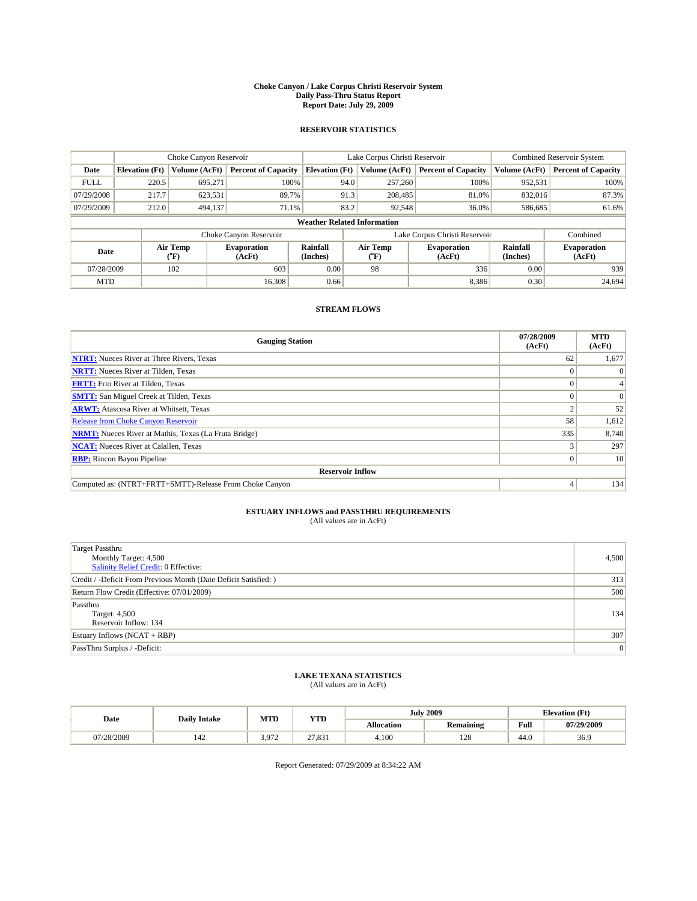#### **Choke Canyon / Lake Corpus Christi Reservoir System Daily Pass-Thru Status Report Report Date: July 29, 2009**

### **RESERVOIR STATISTICS**

|             | Choke Canyon Reservoir             |                                |                              |                       | Lake Corpus Christi Reservoir | <b>Combined Reservoir System</b> |                      |                              |  |  |
|-------------|------------------------------------|--------------------------------|------------------------------|-----------------------|-------------------------------|----------------------------------|----------------------|------------------------------|--|--|
| Date        | <b>Elevation</b> (Ft)              | Volume (AcFt)                  | <b>Percent of Capacity</b>   | <b>Elevation</b> (Ft) | Volume (AcFt)                 | <b>Percent of Capacity</b>       | Volume (AcFt)        | <b>Percent of Capacity</b>   |  |  |
| <b>FULL</b> | 220.5                              | 695.271                        | 100%                         | 94.0                  | 257,260                       | 100%                             | 952,531              | 100%                         |  |  |
| 07/29/2008  | 217.7                              | 623,531                        | 89.7%                        | 91.3                  | 208,485                       | 81.0%                            | 832,016              | 87.3%                        |  |  |
| 07/29/2009  | 212.0                              | 494,137                        | 71.1%                        | 83.2                  | 92,548                        | 36.0%                            | 586,685              | 61.6%                        |  |  |
|             | <b>Weather Related Information</b> |                                |                              |                       |                               |                                  |                      |                              |  |  |
|             |                                    |                                | Choke Canyon Reservoir       |                       | Lake Corpus Christi Reservoir |                                  |                      | Combined                     |  |  |
| Date        |                                    | Air Temp<br>$({}^o\mathrm{F})$ | <b>Evaporation</b><br>(AcFt) | Rainfall<br>(Inches)  | Air Temp<br>(°F)              | <b>Evaporation</b><br>(AcFt)     | Rainfall<br>(Inches) | <b>Evaporation</b><br>(AcFt) |  |  |
| 07/28/2009  |                                    | 102                            | 603                          | 0.00                  | 98                            | 336                              | 0.00                 | 939                          |  |  |
| <b>MTD</b>  |                                    |                                | 16.308                       | 0.66                  |                               | 8,386                            | 0.30                 | 24.694                       |  |  |

## **STREAM FLOWS**

| <b>Gauging Station</b>                                       | 07/28/2009<br>(AcFt) | <b>MTD</b><br>(AcFt) |  |  |  |  |  |
|--------------------------------------------------------------|----------------------|----------------------|--|--|--|--|--|
| <b>NTRT:</b> Nueces River at Three Rivers, Texas             | 62                   | 1,677                |  |  |  |  |  |
| <b>NRTT:</b> Nueces River at Tilden, Texas                   |                      |                      |  |  |  |  |  |
| <b>FRTT:</b> Frio River at Tilden, Texas                     |                      |                      |  |  |  |  |  |
| <b>SMTT:</b> San Miguel Creek at Tilden, Texas               |                      | $\Omega$             |  |  |  |  |  |
| <b>ARWT:</b> Atascosa River at Whitsett, Texas               |                      | 52                   |  |  |  |  |  |
| <b>Release from Choke Canyon Reservoir</b>                   | 58                   | 1,612                |  |  |  |  |  |
| <b>NRMT:</b> Nueces River at Mathis, Texas (La Fruta Bridge) | 335                  | 8,740                |  |  |  |  |  |
| <b>NCAT:</b> Nueces River at Calallen, Texas                 |                      | 297                  |  |  |  |  |  |
| <b>RBP:</b> Rincon Bayou Pipeline                            | $\overline{0}$       | 10                   |  |  |  |  |  |
| <b>Reservoir Inflow</b>                                      |                      |                      |  |  |  |  |  |
| Computed as: (NTRT+FRTT+SMTT)-Release From Choke Canyon      |                      | 134                  |  |  |  |  |  |

# **ESTUARY INFLOWS and PASSTHRU REQUIREMENTS**<br>(All values are in AcFt)

| <b>Target Passthru</b><br>Monthly Target: 4,500<br>Salinity Relief Credit: 0 Effective: | 4,500 |
|-----------------------------------------------------------------------------------------|-------|
| Credit / -Deficit From Previous Month (Date Deficit Satisfied: )                        | 313   |
| Return Flow Credit (Effective: 07/01/2009)                                              | 500   |
| Passthru<br>Target: 4,500<br>Reservoir Inflow: 134                                      | 134   |
| Estuary Inflows (NCAT + RBP)                                                            | 307   |
| PassThru Surplus / -Deficit:                                                            | 0     |

# **LAKE TEXANA STATISTICS** (All values are in AcFt)

|            | <b>Daily Intake</b> | MTD   | <b>YTD</b> |                   | <b>July 2009</b> | <b>Elevation</b> (Ft)                       |            |
|------------|---------------------|-------|------------|-------------------|------------------|---------------------------------------------|------------|
| Date       |                     |       |            | <b>Allocation</b> | <b>Remaining</b> | Full<br>the contract of the contract of the | 07/29/2009 |
| 07/28/2009 | 142                 | 3.972 | 27.831     | 4.100             | 128              | 44.0                                        | 36.9       |

Report Generated: 07/29/2009 at 8:34:22 AM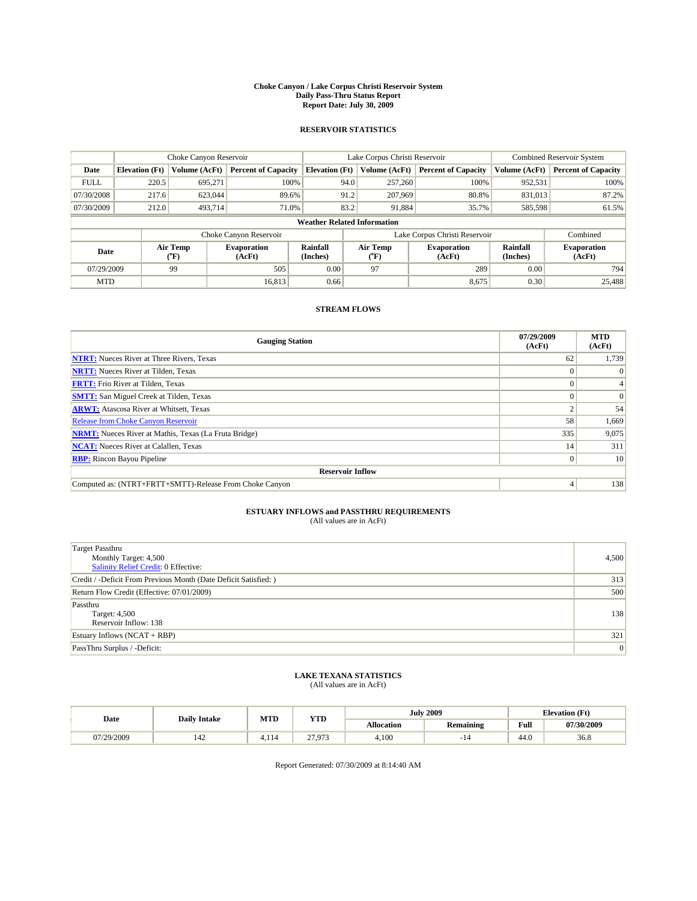#### **Choke Canyon / Lake Corpus Christi Reservoir System Daily Pass-Thru Status Report Report Date: July 30, 2009**

### **RESERVOIR STATISTICS**

|             | Choke Canyon Reservoir             |                                           |                              |                             | Lake Corpus Christi Reservoir | <b>Combined Reservoir System</b> |                      |                              |  |
|-------------|------------------------------------|-------------------------------------------|------------------------------|-----------------------------|-------------------------------|----------------------------------|----------------------|------------------------------|--|
| Date        | <b>Elevation</b> (Ft)              | Volume (AcFt)                             | <b>Percent of Capacity</b>   | <b>Elevation</b> (Ft)       | Volume (AcFt)                 | <b>Percent of Capacity</b>       | Volume (AcFt)        | <b>Percent of Capacity</b>   |  |
| <b>FULL</b> | 220.5                              | 695,271                                   | 100%                         | 94.0                        | 257,260                       | 100%                             | 952,531              | 100%                         |  |
| 07/30/2008  | 217.6                              | 623,044                                   | 89.6%                        | 91.2                        | 207,969                       | 80.8%                            | 831,013              | 87.2%                        |  |
| 07/30/2009  | 212.0                              | 493,714                                   | 71.0%                        | 83.2                        | 91,884                        | 35.7%                            | 585,598              | 61.5%                        |  |
|             | <b>Weather Related Information</b> |                                           |                              |                             |                               |                                  |                      |                              |  |
|             |                                    |                                           | Choke Canyon Reservoir       |                             | Lake Corpus Christi Reservoir |                                  |                      | Combined                     |  |
| Date        |                                    | Air Temp<br>$({}^{\mathrm{o}}\mathrm{F})$ | <b>Evaporation</b><br>(AcFt) | <b>Rainfall</b><br>(Inches) | Air Temp<br>(°F)              | <b>Evaporation</b><br>(AcFt)     | Rainfall<br>(Inches) | <b>Evaporation</b><br>(AcFt) |  |
| 07/29/2009  |                                    | 99                                        | 505                          | 0.00                        | 97                            | 289                              | 0.00                 | 794                          |  |
| <b>MTD</b>  |                                    |                                           | 16.813                       | 0.66                        |                               | 8,675                            | 0.30                 | 25,488                       |  |

## **STREAM FLOWS**

| <b>Gauging Station</b>                                       | 07/29/2009<br>(AcFt) | <b>MTD</b><br>(AcFt) |  |  |  |  |  |
|--------------------------------------------------------------|----------------------|----------------------|--|--|--|--|--|
| <b>NTRT:</b> Nueces River at Three Rivers, Texas             | 62                   | 1,739                |  |  |  |  |  |
| <b>NRTT:</b> Nueces River at Tilden, Texas                   |                      |                      |  |  |  |  |  |
| <b>FRTT:</b> Frio River at Tilden, Texas                     |                      |                      |  |  |  |  |  |
| <b>SMTT:</b> San Miguel Creek at Tilden, Texas               |                      | $\Omega$             |  |  |  |  |  |
| <b>ARWT:</b> Atascosa River at Whitsett, Texas               |                      | 54                   |  |  |  |  |  |
| <b>Release from Choke Canyon Reservoir</b>                   | 58                   | 1,669                |  |  |  |  |  |
| <b>NRMT:</b> Nueces River at Mathis, Texas (La Fruta Bridge) | 335                  | 9,075                |  |  |  |  |  |
| <b>NCAT:</b> Nueces River at Calallen, Texas                 | 14 <sub>1</sub>      | 311                  |  |  |  |  |  |
| <b>RBP:</b> Rincon Bayou Pipeline                            | $\overline{0}$       | 10                   |  |  |  |  |  |
| <b>Reservoir Inflow</b>                                      |                      |                      |  |  |  |  |  |
| Computed as: (NTRT+FRTT+SMTT)-Release From Choke Canyon      |                      | 138                  |  |  |  |  |  |

# **ESTUARY INFLOWS and PASSTHRU REQUIREMENTS**<br>(All values are in AcFt)

| <b>Target Passthru</b><br>Monthly Target: 4,500<br>Salinity Relief Credit: 0 Effective: | 4,500 |
|-----------------------------------------------------------------------------------------|-------|
| Credit / -Deficit From Previous Month (Date Deficit Satisfied: )                        | 313   |
| Return Flow Credit (Effective: 07/01/2009)                                              | 500   |
| Passthru<br>Target: 4,500<br>Reservoir Inflow: 138                                      | 138   |
| Estuary Inflows $(NCAT + RBP)$                                                          | 321   |
| PassThru Surplus / -Deficit:                                                            | 0     |

## **LAKE TEXANA STATISTICS** (All values are in AcFt)

| Date       | <b>Daily Intake</b> | MTD  | <b>YTD</b>     |                   | <b>July 2009</b> | <b>Elevation</b> (Ft) |            |
|------------|---------------------|------|----------------|-------------------|------------------|-----------------------|------------|
|            |                     |      |                | <b>Allocation</b> | <b>Remaining</b> | Full                  | 07/30/2009 |
| 07/29/2009 | 142                 | 114ء | 27.072<br>---- | 4.100             | . .              | 44.0                  | 36.8       |

Report Generated: 07/30/2009 at 8:14:40 AM